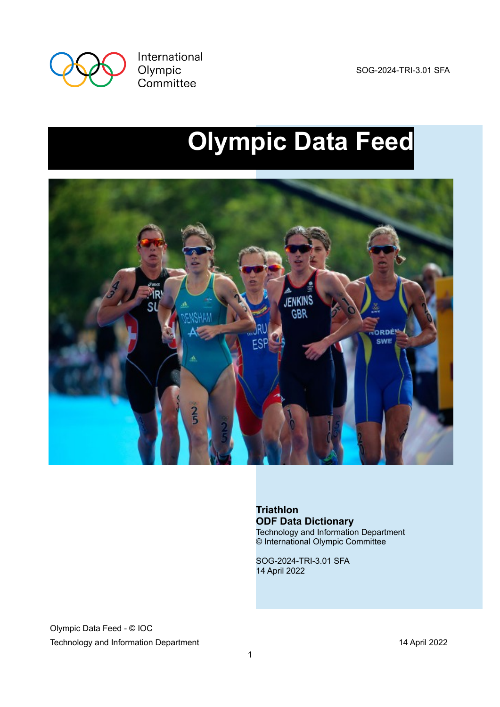

SOG-2024-TRI-3.01 SFA

# **Olympic Data Feed**



**Triathlon ODF Data Dictionary** Technology and Information Department © International Olympic Committee

SOG-2024-TRI-3.01 SFA 14 April 2022

Olympic Data Feed - © IOC Technology and Information Department 14 April 2022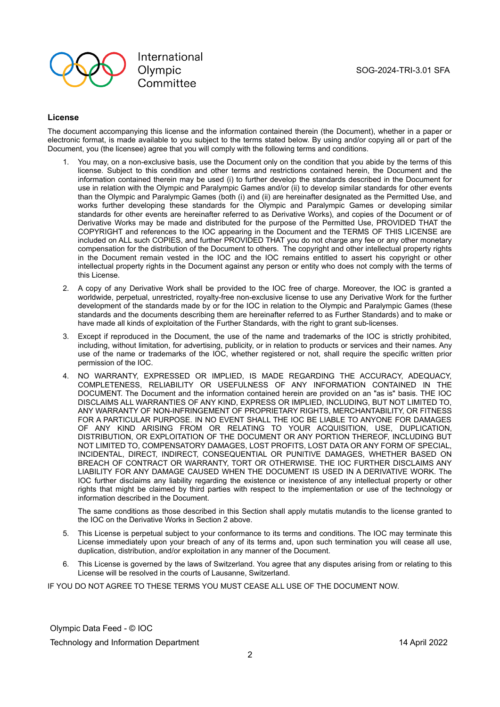

#### **License**

The document accompanying this license and the information contained therein (the Document), whether in a paper or electronic format, is made available to you subject to the terms stated below. By using and/or copying all or part of the Document, you (the licensee) agree that you will comply with the following terms and conditions.

- 1. You may, on a non-exclusive basis, use the Document only on the condition that you abide by the terms of this license. Subject to this condition and other terms and restrictions contained herein, the Document and the information contained therein may be used (i) to further develop the standards described in the Document for use in relation with the Olympic and Paralympic Games and/or (ii) to develop similar standards for other events than the Olympic and Paralympic Games (both (i) and (ii) are hereinafter designated as the Permitted Use, and works further developing these standards for the Olympic and Paralympic Games or developing similar standards for other events are hereinafter referred to as Derivative Works), and copies of the Document or of Derivative Works may be made and distributed for the purpose of the Permitted Use, PROVIDED THAT the COPYRIGHT and references to the IOC appearing in the Document and the TERMS OF THIS LICENSE are included on ALL such COPIES, and further PROVIDED THAT you do not charge any fee or any other monetary compensation for the distribution of the Document to others. The copyright and other intellectual property rights in the Document remain vested in the IOC and the IOC remains entitled to assert his copyright or other intellectual property rights in the Document against any person or entity who does not comply with the terms of this License.
- 2. A copy of any Derivative Work shall be provided to the IOC free of charge. Moreover, the IOC is granted a worldwide, perpetual, unrestricted, royalty-free non-exclusive license to use any Derivative Work for the further development of the standards made by or for the IOC in relation to the Olympic and Paralympic Games (these standards and the documents describing them are hereinafter referred to as Further Standards) and to make or have made all kinds of exploitation of the Further Standards, with the right to grant sub-licenses.
- 3. Except if reproduced in the Document, the use of the name and trademarks of the IOC is strictly prohibited, including, without limitation, for advertising, publicity, or in relation to products or services and their names. Any use of the name or trademarks of the IOC, whether registered or not, shall require the specific written prior permission of the IOC.
- 4. NO WARRANTY, EXPRESSED OR IMPLIED, IS MADE REGARDING THE ACCURACY, ADEQUACY, COMPLETENESS, RELIABILITY OR USEFULNESS OF ANY INFORMATION CONTAINED IN THE DOCUMENT. The Document and the information contained herein are provided on an "as is" basis. THE IOC DISCLAIMS ALL WARRANTIES OF ANY KIND, EXPRESS OR IMPLIED, INCLUDING, BUT NOT LIMITED TO, ANY WARRANTY OF NON-INFRINGEMENT OF PROPRIETARY RIGHTS, MERCHANTABILITY, OR FITNESS FOR A PARTICULAR PURPOSE. IN NO EVENT SHALL THE IOC BE LIABLE TO ANYONE FOR DAMAGES OF ANY KIND ARISING FROM OR RELATING TO YOUR ACQUISITION, USE, DUPLICATION, DISTRIBUTION, OR EXPLOITATION OF THE DOCUMENT OR ANY PORTION THEREOF, INCLUDING BUT NOT LIMITED TO, COMPENSATORY DAMAGES, LOST PROFITS, LOST DATA OR ANY FORM OF SPECIAL, INCIDENTAL, DIRECT, INDIRECT, CONSEQUENTIAL OR PUNITIVE DAMAGES, WHETHER BASED ON BREACH OF CONTRACT OR WARRANTY, TORT OR OTHERWISE. THE IOC FURTHER DISCLAIMS ANY LIABILITY FOR ANY DAMAGE CAUSED WHEN THE DOCUMENT IS USED IN A DERIVATIVE WORK. The IOC further disclaims any liability regarding the existence or inexistence of any intellectual property or other rights that might be claimed by third parties with respect to the implementation or use of the technology or information described in the Document.

The same conditions as those described in this Section shall apply mutatis mutandis to the license granted to the IOC on the Derivative Works in Section 2 above.

- 5. This License is perpetual subject to your conformance to its terms and conditions. The IOC may terminate this License immediately upon your breach of any of its terms and, upon such termination you will cease all use, duplication, distribution, and/or exploitation in any manner of the Document.
- 6. This License is governed by the laws of Switzerland. You agree that any disputes arising from or relating to this License will be resolved in the courts of Lausanne, Switzerland.

IF YOU DO NOT AGREE TO THESE TERMS YOU MUST CEASE ALL USE OF THE DOCUMENT NOW.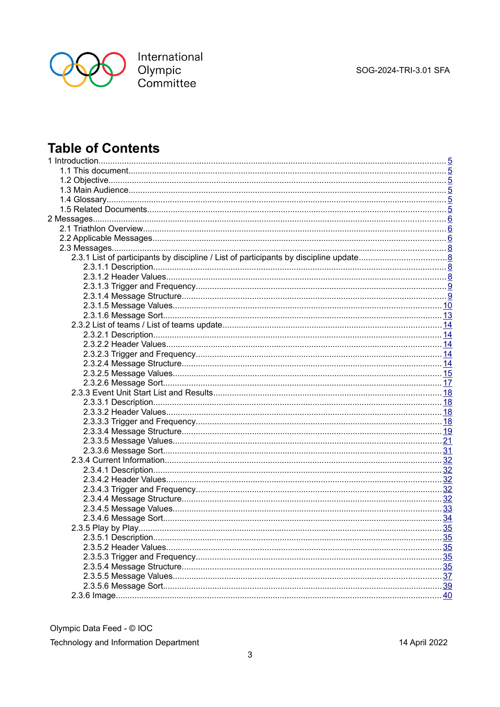

# **Table of Contents**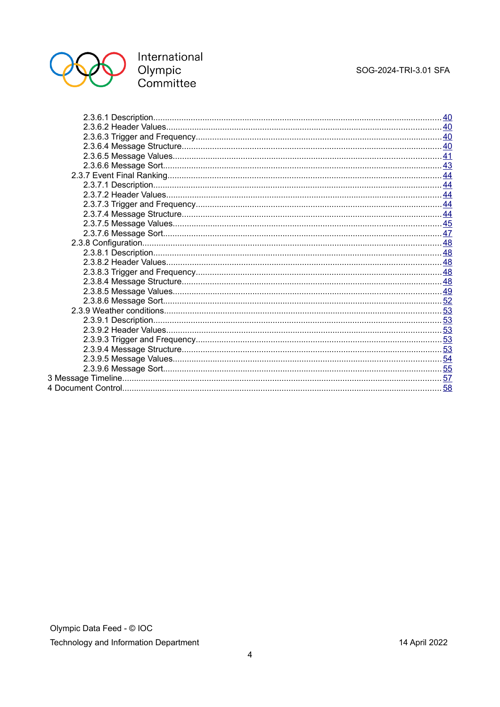

#### SOG-2024-TRI-3.01 SFA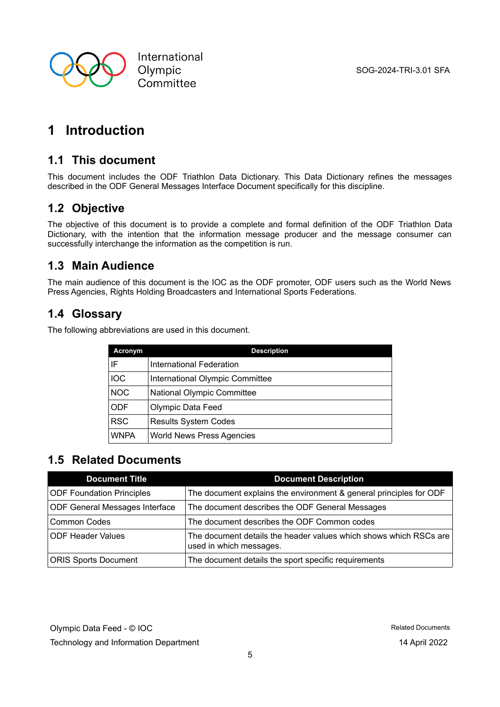SOG-2024-TRI-3.01 SFA



# <span id="page-4-5"></span>**1 Introduction**

## <span id="page-4-4"></span>**1.1 This document**

This document includes the ODF Triathlon Data Dictionary. This Data Dictionary refines the messages described in the ODF General Messages Interface Document specifically for this discipline.

## <span id="page-4-3"></span>**1.2 Objective**

The objective of this document is to provide a complete and formal definition of the ODF Triathlon Data Dictionary, with the intention that the information message producer and the message consumer can successfully interchange the information as the competition is run.

## <span id="page-4-2"></span>**1.3 Main Audience**

The main audience of this document is the IOC as the ODF promoter, ODF users such as the World News Press Agencies, Rights Holding Broadcasters and International Sports Federations.

## <span id="page-4-1"></span>**1.4 Glossary**

The following abbreviations are used in this document.

| <b>Acronym</b> | <b>Description</b>                |  |  |  |
|----------------|-----------------------------------|--|--|--|
| IF             | International Federation          |  |  |  |
| <b>IOC</b>     | International Olympic Committee   |  |  |  |
| <b>NOC</b>     | <b>National Olympic Committee</b> |  |  |  |
| ODE            | Olympic Data Feed                 |  |  |  |
| <b>RSC</b>     | <b>Results System Codes</b>       |  |  |  |
| <b>WNPA</b>    | <b>World News Press Agencies</b>  |  |  |  |

## <span id="page-4-0"></span>**1.5 Related Documents**

| <b>Document Title</b>                 | <b>Document Description</b>                                                                  |
|---------------------------------------|----------------------------------------------------------------------------------------------|
| <b>ODF Foundation Principles</b>      | The document explains the environment & general principles for ODF                           |
| <b>ODF General Messages Interface</b> | The document describes the ODF General Messages                                              |
| <b>Common Codes</b>                   | The document describes the ODF Common codes                                                  |
| <b>ODF Header Values</b>              | The document details the header values which shows which RSCs are<br>used in which messages. |
| <b>ORIS Sports Document</b>           | The document details the sport specific requirements                                         |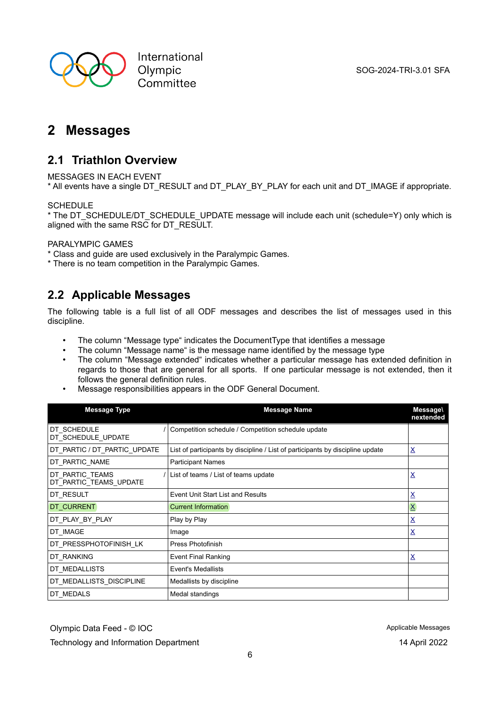



# <span id="page-5-2"></span>**2 Messages**

## <span id="page-5-1"></span>**2.1 Triathlon Overview**

MESSAGES IN EACH EVENT

\* All events have a single DT\_RESULT and DT\_PLAY\_BY\_PLAY for each unit and DT\_IMAGE if appropriate.

#### **SCHEDULE**

\* The DT\_SCHEDULE/DT\_SCHEDULE\_UPDATE message will include each unit (schedule=Y) only which is aligned with the same RSC for DT\_RESULT.

#### PARALYMPIC GAMES

- \* Class and guide are used exclusively in the Paralympic Games.
- \* There is no team competition in the Paralympic Games.

## <span id="page-5-0"></span>**2.2 Applicable Messages**

The following table is a full list of all ODF messages and describes the list of messages used in this discipline.

- The column "Message type" indicates the DocumentType that identifies a message
- The column "Message name" is the message name identified by the message type
- The column "Message extended" indicates whether a particular message has extended definition in regards to those that are general for all sports. If one particular message is not extended, then it follows the general definition rules.
- Message responsibilities appears in the ODF General Document.

| <b>Message Type</b>                       | <b>Message Name</b>                                                            |                          |  |  |
|-------------------------------------------|--------------------------------------------------------------------------------|--------------------------|--|--|
| DT SCHEDULE<br>DT SCHEDULE UPDATE         | Competition schedule / Competition schedule update                             |                          |  |  |
| DT PARTIC / DT PARTIC UPDATE              | List of participants by discipline / List of participants by discipline update | $\mathbf{\underline{X}}$ |  |  |
| DT PARTIC NAME                            | <b>Participant Names</b>                                                       |                          |  |  |
| DT PARTIC TEAMS<br>DT_PARTIC_TEAMS_UPDATE | List of teams / List of teams update                                           | $\underline{\mathsf{X}}$ |  |  |
| DT RESULT                                 | <b>Event Unit Start List and Results</b>                                       | $\overline{\mathsf{X}}$  |  |  |
| DT CURRENT                                | Current Information                                                            | $\underline{\mathsf{X}}$ |  |  |
| DT PLAY BY PLAY                           | Play by Play                                                                   | $\underline{\mathsf{X}}$ |  |  |
| DT IMAGE                                  | Image                                                                          | $\overline{\mathsf{X}}$  |  |  |
| DT PRESSPHOTOFINISH LK                    | Press Photofinish                                                              |                          |  |  |
| DT RANKING                                | Event Final Ranking                                                            | $\overline{\mathsf{X}}$  |  |  |
| DT MEDALLISTS                             | <b>Event's Medallists</b>                                                      |                          |  |  |
| DT MEDALLISTS DISCIPLINE                  | Medallists by discipline                                                       |                          |  |  |
| DT MEDALS                                 | Medal standings                                                                |                          |  |  |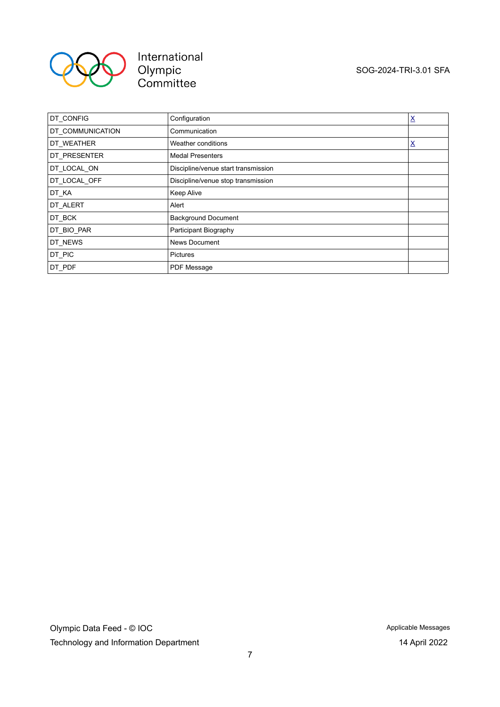

#### SOG-2024-TRI-3.01 SFA

| DT CONFIG        | $\mathbf{\underline{x}}$<br>Configuration |                 |  |
|------------------|-------------------------------------------|-----------------|--|
| DT COMMUNICATION | Communication                             |                 |  |
| DT WEATHER       | Weather conditions                        | $\underline{X}$ |  |
| DT_PRESENTER     | <b>Medal Presenters</b>                   |                 |  |
| DT_LOCAL_ON      | Discipline/venue start transmission       |                 |  |
| DT_LOCAL_OFF     | Discipline/venue stop transmission        |                 |  |
| DT KA            | <b>Keep Alive</b>                         |                 |  |
| DT ALERT         | Alert                                     |                 |  |
| DT_BCK           | <b>Background Document</b>                |                 |  |
| DT BIO PAR       | Participant Biography                     |                 |  |
| DT NEWS          | News Document                             |                 |  |
| DT_PIC           | <b>Pictures</b>                           |                 |  |
| DT_PDF           | PDF Message                               |                 |  |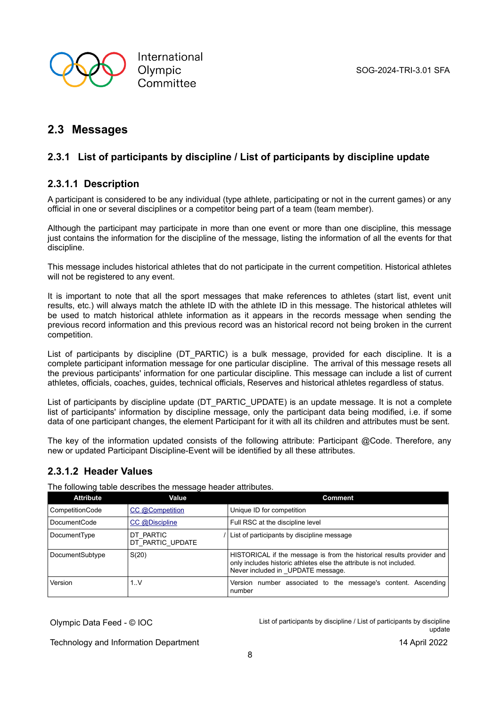

## <span id="page-7-3"></span>**2.3 Messages**

## <span id="page-7-2"></span>**2.3.1 List of participants by discipline / List of participants by discipline update**

## <span id="page-7-1"></span>**2.3.1.1 Description**

A participant is considered to be any individual (type athlete, participating or not in the current games) or any official in one or several disciplines or a competitor being part of a team (team member).

Although the participant may participate in more than one event or more than one discipline, this message just contains the information for the discipline of the message, listing the information of all the events for that discipline.

This message includes historical athletes that do not participate in the current competition. Historical athletes will not be registered to any event.

It is important to note that all the sport messages that make references to athletes (start list, event unit results, etc.) will always match the athlete ID with the athlete ID in this message. The historical athletes will be used to match historical athlete information as it appears in the records message when sending the previous record information and this previous record was an historical record not being broken in the current competition.

List of participants by discipline (DT\_PARTIC) is a bulk message, provided for each discipline. It is a complete participant information message for one particular discipline. The arrival of this message resets all the previous participants' information for one particular discipline. This message can include a list of current athletes, officials, coaches, guides, technical officials, Reserves and historical athletes regardless of status.

List of participants by discipline update (DT\_PARTIC\_UPDATE) is an update message. It is not a complete list of participants' information by discipline message, only the participant data being modified, i.e. if some data of one participant changes, the element Participant for it with all its children and attributes must be sent.

The key of the information updated consists of the following attribute: Participant @Code. Therefore, any new or updated Participant Discipline-Event will be identified by all these attributes.

## <span id="page-7-0"></span>**2.3.1.2 Header Values**

The following table describes the message header attributes.

| <b>Attribute</b>    | Value                         | <b>Comment</b>                                                                                                                                                                    |
|---------------------|-------------------------------|-----------------------------------------------------------------------------------------------------------------------------------------------------------------------------------|
| CompetitionCode     | CC @Competition               | Unique ID for competition                                                                                                                                                         |
| <b>DocumentCode</b> | CC @Discipline                | Full RSC at the discipline level                                                                                                                                                  |
| DocumentType        | DT PARTIC<br>DT PARTIC UPDATE | List of participants by discipline message                                                                                                                                        |
| DocumentSubtype     | S(20)                         | HISTORICAL if the message is from the historical results provider and<br>only includes historic athletes else the attribute is not included.<br>Never included in UPDATE message. |
| Version             | 1V                            | Version number associated to the message's content. Ascending<br>number                                                                                                           |

Olympic Data Feed - © IOC List of participants by discipline / List of participants by discipline update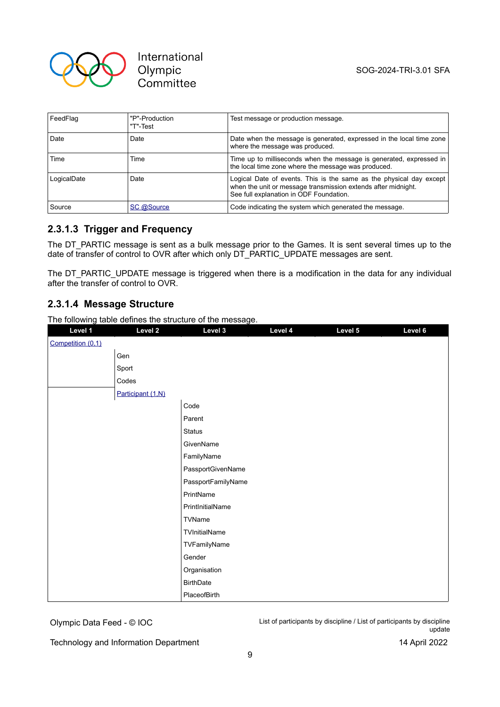

| FeedFlag    | "P"-Production<br>"T"-Test | Test message or production message.                                                                                                                                             |
|-------------|----------------------------|---------------------------------------------------------------------------------------------------------------------------------------------------------------------------------|
| Date        | Date                       | Date when the message is generated, expressed in the local time zone<br>where the message was produced.                                                                         |
| Time        | Time                       | Time up to milliseconds when the message is generated, expressed in<br>the local time zone where the message was produced.                                                      |
| LogicalDate | Date                       | Logical Date of events. This is the same as the physical day except<br>when the unit or message transmission extends after midnight.<br>See full explanation in ODF Foundation. |
| Source      | SC @Source                 | Code indicating the system which generated the message.                                                                                                                         |

## <span id="page-8-1"></span>**2.3.1.3 Trigger and Frequency**

The DT\_PARTIC message is sent as a bulk message prior to the Games. It is sent several times up to the date of transfer of control to OVR after which only DT\_PARTIC\_UPDATE messages are sent.

The DT\_PARTIC\_UPDATE message is triggered when there is a modification in the data for any individual after the transfer of control to OVR.

#### <span id="page-8-0"></span>**2.3.1.4 Message Structure**

The following table defines the structure of the message.

| Level 1           | Level 2           | Level 3            | Level 4 | Level 5 | Level 6 |
|-------------------|-------------------|--------------------|---------|---------|---------|
| Competition (0,1) |                   |                    |         |         |         |
|                   | Gen               |                    |         |         |         |
|                   | Sport             |                    |         |         |         |
|                   | Codes             |                    |         |         |         |
|                   | Participant (1,N) |                    |         |         |         |
|                   |                   | Code               |         |         |         |
|                   |                   | Parent             |         |         |         |
|                   |                   | <b>Status</b>      |         |         |         |
|                   |                   | GivenName          |         |         |         |
|                   |                   | FamilyName         |         |         |         |
|                   |                   | PassportGivenName  |         |         |         |
|                   |                   | PassportFamilyName |         |         |         |
|                   |                   | PrintName          |         |         |         |
|                   |                   | PrintlnitialName   |         |         |         |
|                   |                   | TVName             |         |         |         |
|                   |                   | TVInitialName      |         |         |         |
|                   |                   | TVFamilyName       |         |         |         |
|                   |                   | Gender             |         |         |         |
|                   |                   | Organisation       |         |         |         |
|                   |                   | <b>BirthDate</b>   |         |         |         |
|                   |                   | PlaceofBirth       |         |         |         |

Olympic Data Feed - © IOC **List of participants by discipline** / List of participants by discipline update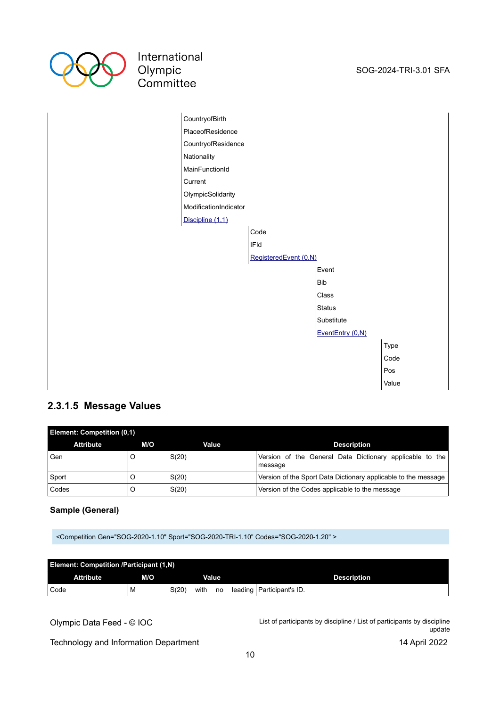

| CountryofBirth        |                       |                  |       |
|-----------------------|-----------------------|------------------|-------|
| PlaceofResidence      |                       |                  |       |
| CountryofResidence    |                       |                  |       |
| Nationality           |                       |                  |       |
| MainFunctionId        |                       |                  |       |
| Current               |                       |                  |       |
| OlympicSolidarity     |                       |                  |       |
| ModificationIndicator |                       |                  |       |
| Discipline (1,1)      |                       |                  |       |
|                       | Code                  |                  |       |
|                       | IFld                  |                  |       |
|                       | RegisteredEvent (0,N) |                  |       |
|                       |                       | Event            |       |
|                       |                       | <b>Bib</b>       |       |
|                       |                       | Class            |       |
|                       |                       | Status           |       |
|                       |                       | Substitute       |       |
|                       |                       | EventEntry (0,N) |       |
|                       |                       |                  | Type  |
|                       |                       |                  | Code  |
|                       |                       |                  | Pos   |
|                       |                       |                  | Value |

## <span id="page-9-0"></span>**2.3.1.5 Message Values**

<span id="page-9-2"></span>

| <b>Element: Competition (0,1)</b> |     |       |                                                                     |
|-----------------------------------|-----|-------|---------------------------------------------------------------------|
| <b>Attribute</b>                  | M/O | Value | <b>Description</b>                                                  |
| Gen                               |     | S(20) | Version of the General Data Dictionary applicable to the<br>message |
| Sport                             |     | S(20) | Version of the Sport Data Dictionary applicable to the message      |
| Codes                             | Ő   | S(20) | Version of the Codes applicable to the message                      |

#### **Sample (General)**

<Competition Gen="SOG-2020-1.10" Sport="SOG-2020-TRI-1.10" Codes="SOG-2020-1.20" >

<span id="page-9-1"></span>

| <b>Element: Competition /Participant (1,N)</b> |     |       |      |       |                             |
|------------------------------------------------|-----|-------|------|-------|-----------------------------|
| <b>Attribute</b>                               | M/O |       |      | Value | <b>Description</b>          |
| Code                                           | M   | S(20) | with | no    | leading   Participant's ID. |

Olympic Data Feed - © IOC List of participants by discipline / List of participants by discipline update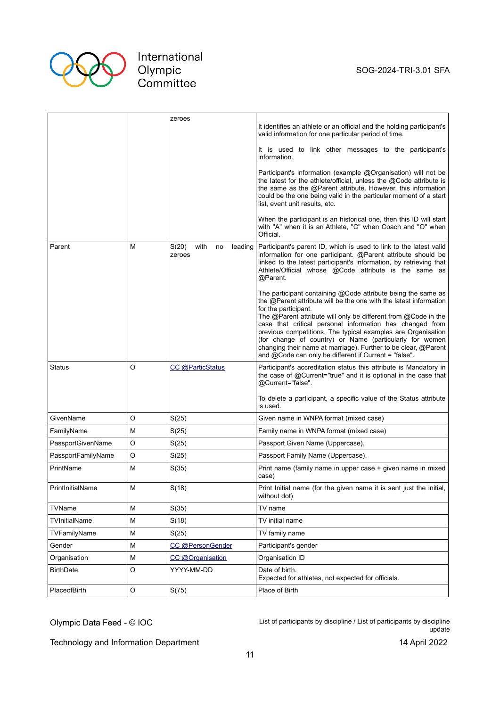

International<br>Olympic<br>Committee

#### SOG-2024-TRI-3.01 SFA

 $\overline{\phantom{a}}$ 

|                      |   | zeroes                                   | It identifies an athlete or an official and the holding participant's<br>valid information for one particular period of time.                                                                                                                                                                                                                                                                                                                                                                                                                 |
|----------------------|---|------------------------------------------|-----------------------------------------------------------------------------------------------------------------------------------------------------------------------------------------------------------------------------------------------------------------------------------------------------------------------------------------------------------------------------------------------------------------------------------------------------------------------------------------------------------------------------------------------|
|                      |   |                                          | It is used to link other messages to the participant's<br>information.                                                                                                                                                                                                                                                                                                                                                                                                                                                                        |
|                      |   |                                          | Participant's information (example @Organisation) will not be<br>the latest for the athlete/official, unless the @Code attribute is<br>the same as the @Parent attribute. However, this information<br>could be the one being valid in the particular moment of a start<br>list, event unit results, etc.                                                                                                                                                                                                                                     |
|                      |   |                                          | When the participant is an historical one, then this ID will start<br>with "A" when it is an Athlete, "C" when Coach and "O" when<br>Official.                                                                                                                                                                                                                                                                                                                                                                                                |
| Parent               | М | S(20)<br>with<br>leading<br>no<br>zeroes | Participant's parent ID, which is used to link to the latest valid<br>information for one participant. @Parent attribute should be<br>linked to the latest participant's information, by retrieving that<br>Athlete/Official whose @Code attribute is the same as<br>@Parent.                                                                                                                                                                                                                                                                 |
|                      |   |                                          | The participant containing @Code attribute being the same as<br>the @Parent attribute will be the one with the latest information<br>for the participant.<br>The @Parent attribute will only be different from @Code in the<br>case that critical personal information has changed from<br>previous competitions. The typical examples are Organisation<br>(for change of country) or Name (particularly for women<br>changing their name at marriage). Further to be clear, @Parent<br>and @Code can only be different if Current = "false". |
| <b>Status</b>        | O | CC @ParticStatus                         | Participant's accreditation status this attribute is Mandatory in<br>the case of @Current="true" and it is optional in the case that<br>@Current="false".                                                                                                                                                                                                                                                                                                                                                                                     |
|                      |   |                                          | To delete a participant, a specific value of the Status attribute<br>is used.                                                                                                                                                                                                                                                                                                                                                                                                                                                                 |
| GivenName            | O | S(25)                                    | Given name in WNPA format (mixed case)                                                                                                                                                                                                                                                                                                                                                                                                                                                                                                        |
| FamilyName           | М | S(25)                                    | Family name in WNPA format (mixed case)                                                                                                                                                                                                                                                                                                                                                                                                                                                                                                       |
| PassportGivenName    | O | S(25)                                    | Passport Given Name (Uppercase).                                                                                                                                                                                                                                                                                                                                                                                                                                                                                                              |
| PassportFamilyName   | O | S(25)                                    | Passport Family Name (Uppercase).                                                                                                                                                                                                                                                                                                                                                                                                                                                                                                             |
| PrintName            | М | S(35)                                    | Print name (family name in upper case + given name in mixed<br>case)                                                                                                                                                                                                                                                                                                                                                                                                                                                                          |
| PrintlnitialName     | М | S(18)                                    | Print Initial name (for the given name it is sent just the initial,<br>without dot)                                                                                                                                                                                                                                                                                                                                                                                                                                                           |
| TVName               | М | S(35)                                    | TV name                                                                                                                                                                                                                                                                                                                                                                                                                                                                                                                                       |
| <b>TVInitialName</b> | М | S(18)                                    | TV initial name                                                                                                                                                                                                                                                                                                                                                                                                                                                                                                                               |
| TVFamilyName         | М | S(25)                                    | TV family name                                                                                                                                                                                                                                                                                                                                                                                                                                                                                                                                |
| Gender               | М | CC @PersonGender                         | Participant's gender                                                                                                                                                                                                                                                                                                                                                                                                                                                                                                                          |
| Organisation         | M | CC @Organisation                         | Organisation ID                                                                                                                                                                                                                                                                                                                                                                                                                                                                                                                               |
| <b>BirthDate</b>     | O | YYYY-MM-DD                               | Date of birth.<br>Expected for athletes, not expected for officials.                                                                                                                                                                                                                                                                                                                                                                                                                                                                          |
| PlaceofBirth         | O | S(75)                                    | Place of Birth                                                                                                                                                                                                                                                                                                                                                                                                                                                                                                                                |

 $\overline{1}$ 

Olympic Data Feed - © IOC List of participants by discipline / List of participants by discipline update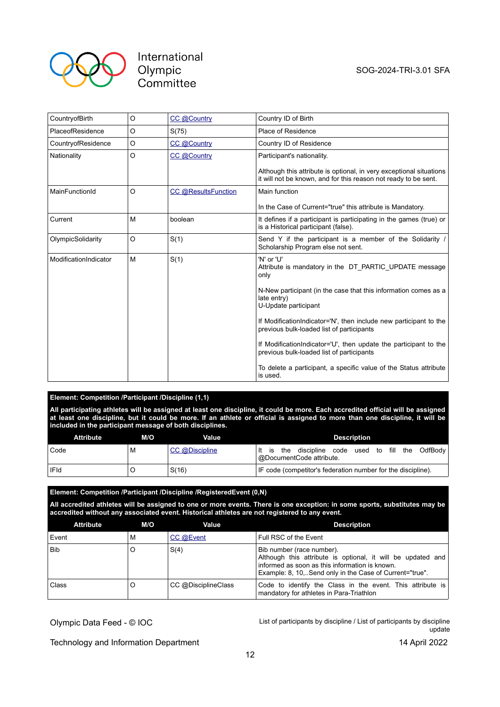

| CountryofBirth        | O       | CC @Country         | Country ID of Birth                                                                                                                    |
|-----------------------|---------|---------------------|----------------------------------------------------------------------------------------------------------------------------------------|
| PlaceofResidence      | O       | S(75)               | Place of Residence                                                                                                                     |
| CountryofResidence    | O       | CC @Country         | Country ID of Residence                                                                                                                |
| Nationality           | O       | CC @Country         | Participant's nationality.                                                                                                             |
|                       |         |                     | Although this attribute is optional, in very exceptional situations<br>it will not be known, and for this reason not ready to be sent. |
| MainFunctionId        | O       | CC @ResultsFunction | Main function                                                                                                                          |
|                       |         |                     | In the Case of Current="true" this attribute is Mandatory.                                                                             |
| Current               | M       | boolean             | It defines if a participant is participating in the games (true) or<br>is a Historical participant (false).                            |
| OlympicSolidarity     | $\circ$ | S(1)                | Send Y if the participant is a member of the Solidarity /<br>Scholarship Program else not sent.                                        |
| ModificationIndicator | M       | S(1)                | 'N' or 'U'<br>Attribute is mandatory in the DT PARTIC UPDATE message<br>only                                                           |
|                       |         |                     | N-New participant (in the case that this information comes as a<br>late entry)<br>U-Update participant                                 |
|                       |         |                     | If Modification Indicator='N', then include new participant to the<br>previous bulk-loaded list of participants                        |
|                       |         |                     | If ModificationIndicator='U', then update the participant to the<br>previous bulk-loaded list of participants                          |
|                       |         |                     | To delete a participant, a specific value of the Status attribute<br>is used.                                                          |

#### <span id="page-11-1"></span>**Element: Competition /Participant /Discipline (1,1)**

**All participating athletes will be assigned at least one discipline, it could be more. Each accredited official will be assigned at least one discipline, but it could be more. If an athlete or official is assigned to more than one discipline, it will be included in the participant message of both disciplines.**

| <b>Attribute</b> | M/O | Value          | Description                                                                    |
|------------------|-----|----------------|--------------------------------------------------------------------------------|
| Code             | M   | CC @Discipline | It is the discipline code used to fill the OdfBody<br>@DocumentCode attribute. |
| l IFId           |     | S(16)          | IF code (competitor's federation number for the discipline).                   |

<span id="page-11-0"></span>**Element: Competition /Participant /Discipline /RegisteredEvent (0,N)**

**All accredited athletes will be assigned to one or more events. There is one exception: in some sports, substitutes may be accredited without any associated event. Historical athletes are not registered to any event.**

| <b>Attribute</b> | M/O | Value               | <b>Description</b>                                                                                                                                                                                    |
|------------------|-----|---------------------|-------------------------------------------------------------------------------------------------------------------------------------------------------------------------------------------------------|
| Event            | м   | CC @Event           | Full RSC of the Event                                                                                                                                                                                 |
| <b>Bib</b>       |     | S(4)                | Bib number (race number).<br>Although this attribute is optional, it will be updated and<br>informed as soon as this information is known.<br>Example: 8, 10,Send only in the Case of Current="true". |
| Class            |     | CC @DisciplineClass | Code to identify the Class in the event. This attribute is<br>mandatory for athletes in Para-Triathlon                                                                                                |

Olympic Data Feed - © IOC List of participants by discipline / List of participants by discipline update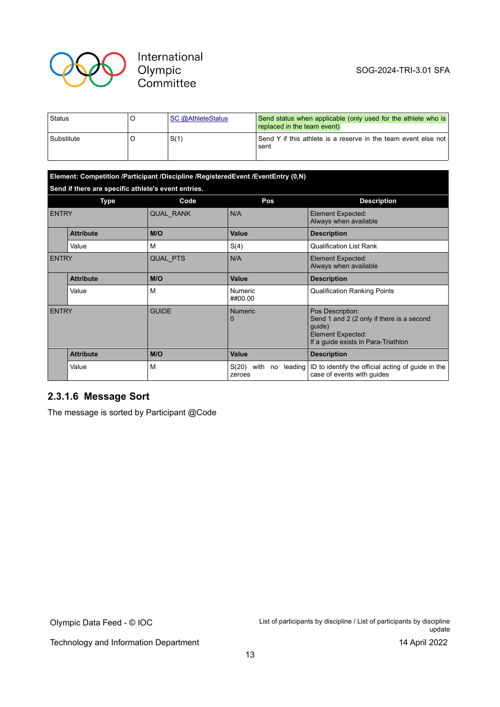

| Status     | SC @AthleteStatus | Send status when applicable (only used for the athlete who is<br>replaced in the team event) |
|------------|-------------------|----------------------------------------------------------------------------------------------|
| Substitute | S(1)              | Send Y if this athlete is a reserve in the team event else not<br>sent                       |

#### <span id="page-12-1"></span>**Element: Competition /Participant /Discipline /RegisteredEvent /EventEntry (0,N)**

|              | Send if there are specific athlete's event entries. |                  |                                      |                                                                                                                                            |  |  |
|--------------|-----------------------------------------------------|------------------|--------------------------------------|--------------------------------------------------------------------------------------------------------------------------------------------|--|--|
|              | <b>Type</b>                                         | Code             | Pos                                  | <b>Description</b>                                                                                                                         |  |  |
| <b>ENTRY</b> |                                                     | <b>QUAL RANK</b> | N/A                                  | Element Expected:<br>Always when available                                                                                                 |  |  |
|              | <b>Attribute</b>                                    | M/O              | <b>Value</b>                         | <b>Description</b>                                                                                                                         |  |  |
|              | Value                                               | M                | S(4)                                 | <b>Qualification List Rank</b>                                                                                                             |  |  |
| <b>ENTRY</b> |                                                     | <b>QUAL PTS</b>  | N/A                                  | <b>Element Expected:</b><br>Always when available                                                                                          |  |  |
|              | <b>Attribute</b>                                    | M/O              | Value                                | <b>Description</b>                                                                                                                         |  |  |
|              | Value                                               | M                | Numeric<br>##00.00                   | <b>Qualification Ranking Points</b>                                                                                                        |  |  |
| <b>ENTRY</b> |                                                     | <b>GUIDE</b>     | <b>Numeric</b><br>$\Omega$           | Pos Description:<br>Send 1 and 2 (2 only if there is a second<br>guide)<br><b>Element Expected:</b><br>If a guide exists in Para-Triathlon |  |  |
|              | <b>Attribute</b>                                    | M/O              | <b>Value</b>                         | <b>Description</b>                                                                                                                         |  |  |
|              | Value                                               | M                | $S(20)$ with no<br>leading<br>zeroes | ID to identify the official acting of guide in the<br>case of events with guides                                                           |  |  |

# <span id="page-12-0"></span>**2.3.1.6 Message Sort**

The message is sorted by Participant @Code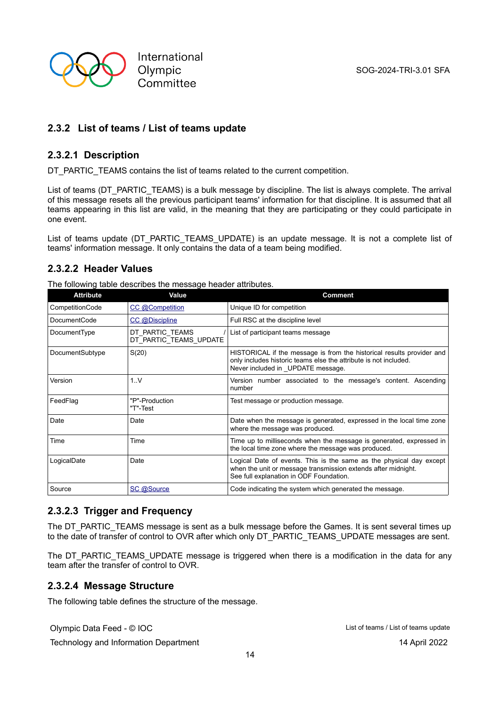

## <span id="page-13-4"></span>**2.3.2 List of teams / List of teams update**

#### <span id="page-13-3"></span>**2.3.2.1 Description**

DT\_PARTIC\_TEAMS contains the list of teams related to the current competition.

List of teams (DT\_PARTIC\_TEAMS) is a bulk message by discipline. The list is always complete. The arrival of this message resets all the previous participant teams' information for that discipline. It is assumed that all teams appearing in this list are valid, in the meaning that they are participating or they could participate in one event.

List of teams update (DT\_PARTIC\_TEAMS\_UPDATE) is an update message. It is not a complete list of teams' information message. It only contains the data of a team being modified.

## <span id="page-13-2"></span>**2.3.2.2 Header Values**

The following table describes the message header attributes.

| <b>Attribute</b>    | Value                                     | <b>Comment</b>                                                                                                                                                                  |
|---------------------|-------------------------------------------|---------------------------------------------------------------------------------------------------------------------------------------------------------------------------------|
| CompetitionCode     | CC @Competition                           | Unique ID for competition                                                                                                                                                       |
| <b>DocumentCode</b> | CC @Discipline                            | Full RSC at the discipline level                                                                                                                                                |
| DocumentType        | DT PARTIC TEAMS<br>DT_PARTIC_TEAMS_UPDATE | List of participant teams message                                                                                                                                               |
| DocumentSubtype     | S(20)                                     | HISTORICAL if the message is from the historical results provider and<br>only includes historic teams else the attribute is not included.<br>Never included in _UPDATE message. |
| Version             | 1.1V                                      | Version number associated to the message's content. Ascending<br>number                                                                                                         |
| FeedFlag            | "P"-Production<br>"T"-Test                | Test message or production message.                                                                                                                                             |
| Date                | Date                                      | Date when the message is generated, expressed in the local time zone<br>where the message was produced.                                                                         |
| Time                | Time                                      | Time up to milliseconds when the message is generated, expressed in<br>the local time zone where the message was produced.                                                      |
| LogicalDate         | Date                                      | Logical Date of events. This is the same as the physical day except<br>when the unit or message transmission extends after midnight.<br>See full explanation in ODF Foundation. |
| Source              | <b>SC</b> @Source                         | Code indicating the system which generated the message.                                                                                                                         |

## <span id="page-13-1"></span>**2.3.2.3 Trigger and Frequency**

The DT\_PARTIC\_TEAMS message is sent as a bulk message before the Games. It is sent several times up to the date of transfer of control to OVR after which only DT\_PARTIC\_TEAMS\_UPDATE messages are sent.

The DT\_PARTIC\_TEAMS\_UPDATE message is triggered when there is a modification in the data for any team after the transfer of control to OVR.

#### <span id="page-13-0"></span>**2.3.2.4 Message Structure**

The following table defines the structure of the message.

Olympic Data Feed - © IOC <br>
Colympic Data Feed - © IOC List of teams update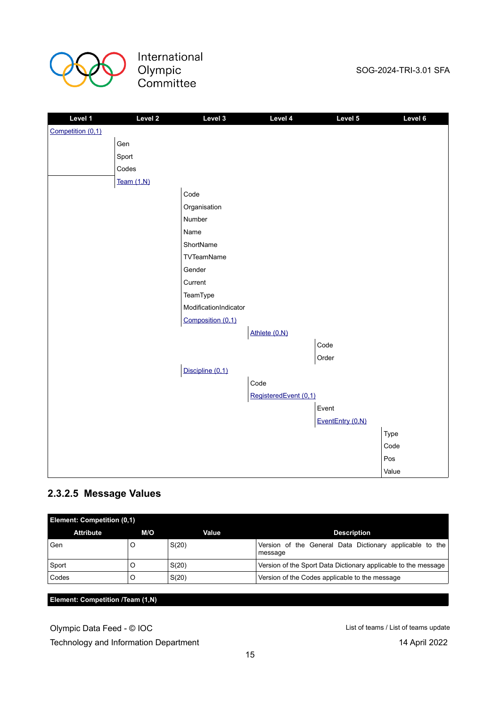

| Level 1           | Level 2      | Level 3               | Level 4               | Level 5          | Level 6 |
|-------------------|--------------|-----------------------|-----------------------|------------------|---------|
| Competition (0,1) |              |                       |                       |                  |         |
|                   | Gen          |                       |                       |                  |         |
|                   | Sport        |                       |                       |                  |         |
|                   | Codes        |                       |                       |                  |         |
|                   | Team $(1,N)$ |                       |                       |                  |         |
|                   |              | Code                  |                       |                  |         |
|                   |              | Organisation          |                       |                  |         |
|                   |              | Number                |                       |                  |         |
|                   |              | Name                  |                       |                  |         |
|                   |              | ShortName             |                       |                  |         |
|                   |              | TVTeamName            |                       |                  |         |
|                   |              | Gender                |                       |                  |         |
|                   |              | Current               |                       |                  |         |
|                   |              | TeamType              |                       |                  |         |
|                   |              | ModificationIndicator |                       |                  |         |
|                   |              | Composition (0,1)     |                       |                  |         |
|                   |              |                       | Athlete (0,N)         |                  |         |
|                   |              |                       |                       | Code             |         |
|                   |              |                       |                       | Order            |         |
|                   |              | Discipline (0,1)      |                       |                  |         |
|                   |              |                       | Code                  |                  |         |
|                   |              |                       | RegisteredEvent (0,1) |                  |         |
|                   |              |                       |                       | Event            |         |
|                   |              |                       |                       | EventEntry (0,N) |         |
|                   |              |                       |                       |                  | Type    |
|                   |              |                       |                       |                  | Code    |
|                   |              |                       |                       |                  | Pos     |
|                   |              |                       |                       |                  | Value   |

## <span id="page-14-0"></span>**2.3.2.5 Message Values**

<span id="page-14-2"></span>

| <b>Element: Competition (0,1)</b> |     |       |                                                                     |  |  |
|-----------------------------------|-----|-------|---------------------------------------------------------------------|--|--|
| <b>Attribute</b>                  | M/O | Value | <b>Description</b>                                                  |  |  |
| Gen                               |     | S(20) | Version of the General Data Dictionary applicable to the<br>message |  |  |
| Sport                             | Ő   | S(20) | Version of the Sport Data Dictionary applicable to the message      |  |  |
| Codes                             |     | S(20) | Version of the Codes applicable to the message                      |  |  |

#### <span id="page-14-1"></span>**Element: Competition /Team (1,N)**

Olympic Data Feed - © IOC <br>
Colympic Data Feed - © IOC List of teams update Technology and Information Department 14 April 2022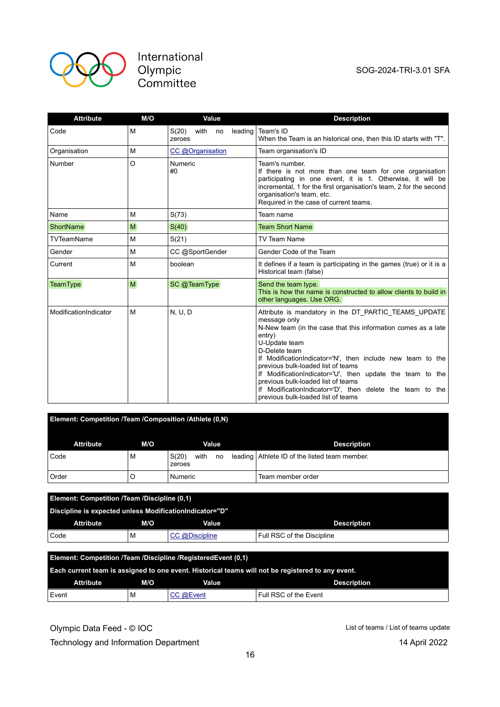

#### SOG-2024-TRI-3.01 SFA

| <b>Attribute</b>      | M/O     | Value                                    | <b>Description</b>                                                                                                                                                                                                                                                                                                                                                                                                                                                                             |
|-----------------------|---------|------------------------------------------|------------------------------------------------------------------------------------------------------------------------------------------------------------------------------------------------------------------------------------------------------------------------------------------------------------------------------------------------------------------------------------------------------------------------------------------------------------------------------------------------|
| Code                  | M       | S(20)<br>leading<br>with<br>no<br>zeroes | Team's ID<br>When the Team is an historical one, then this ID starts with "T".                                                                                                                                                                                                                                                                                                                                                                                                                 |
| Organisation          | м       | CC @Organisation                         | Team organisation's ID                                                                                                                                                                                                                                                                                                                                                                                                                                                                         |
| Number                | $\circ$ | <b>Numeric</b><br>#0                     | Team's number.<br>If there is not more than one team for one organisation<br>participating in one event, it is 1. Otherwise, it will be<br>incremental, 1 for the first organisation's team, 2 for the second<br>organisation's team, etc.<br>Required in the case of current teams.                                                                                                                                                                                                           |
| Name                  | М       | S(73)                                    | Team name                                                                                                                                                                                                                                                                                                                                                                                                                                                                                      |
| ShortName             | M       | S(40)                                    | <b>Team Short Name</b>                                                                                                                                                                                                                                                                                                                                                                                                                                                                         |
| TVTeamName            | M       | S(21)                                    | <b>TV Team Name</b>                                                                                                                                                                                                                                                                                                                                                                                                                                                                            |
| Gender                | M       | CC @SportGender                          | Gender Code of the Team                                                                                                                                                                                                                                                                                                                                                                                                                                                                        |
| Current               | M       | boolean                                  | It defines if a team is participating in the games (true) or it is a<br>Historical team (false)                                                                                                                                                                                                                                                                                                                                                                                                |
| <b>TeamType</b>       | M       | SC @TeamType                             | Send the team type.<br>This is how the name is constructed to allow clients to build in<br>other languages. Use ORG.                                                                                                                                                                                                                                                                                                                                                                           |
| ModificationIndicator | M       | N, U, D                                  | Attribute is mandatory in the DT PARTIC TEAMS UPDATE<br>message only<br>N-New team (in the case that this information comes as a late<br>entry)<br>U-Update team<br>D-Delete team<br>If ModificationIndicator='N', then include new team to the<br>previous bulk-loaded list of teams<br>If ModificationIndicator='U', then update the team to the<br>previous bulk-loaded list of teams<br>If ModificationIndicator='D', then delete the team to<br>the<br>previous bulk-loaded list of teams |

<span id="page-15-2"></span>

| Element: Competition /Team /Composition /Athlete (0,N) |     |                               |                                                 |  |  |  |
|--------------------------------------------------------|-----|-------------------------------|-------------------------------------------------|--|--|--|
| <b>Attribute</b>                                       | M/O | Value                         | <b>Description</b>                              |  |  |  |
| Code                                                   | M   | S(20)<br>with<br>no<br>zeroes | leading   Athlete ID of the listed team member. |  |  |  |
| Order                                                  | Ő   | Numeric                       | Team member order                               |  |  |  |

<span id="page-15-1"></span>

| <b>Element: Competition /Team /Discipline (0.1)</b>     |     |                |                            |  |  |
|---------------------------------------------------------|-----|----------------|----------------------------|--|--|
| Discipline is expected unless ModificationIndicator="D" |     |                |                            |  |  |
| <b>Attribute</b>                                        | M/O | Value          | <b>Description</b>         |  |  |
| Code                                                    | M   | CC @Discipline | Full RSC of the Discipline |  |  |

<span id="page-15-0"></span>

| Element: Competition /Team /Discipline /RegisteredEvent (0.1)                                     |     |           |                       |  |
|---------------------------------------------------------------------------------------------------|-----|-----------|-----------------------|--|
| Each current team is assigned to one event. Historical teams will not be registered to any event. |     |           |                       |  |
| <b>Attribute</b>                                                                                  | M/O | Value     | <b>Description</b>    |  |
| Event                                                                                             | M   | CC @Event | Full RSC of the Event |  |

Olympic Data Feed - © IOC **List of teams / List of teams / List of teams update**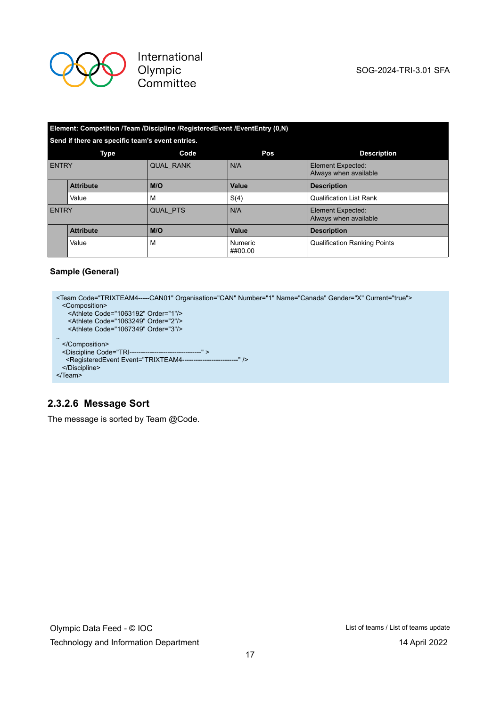

<span id="page-16-1"></span>

|              | Element: Competition /Team /Discipline /RegisteredEvent /EventEntry (0,N) |                  |                           |                                            |  |  |
|--------------|---------------------------------------------------------------------------|------------------|---------------------------|--------------------------------------------|--|--|
|              | Send if there are specific team's event entries.                          |                  |                           |                                            |  |  |
|              | <b>Type</b>                                                               | Code             | Pos                       | <b>Description</b>                         |  |  |
| <b>ENTRY</b> |                                                                           | <b>QUAL RANK</b> | N/A                       | Element Expected:<br>Always when available |  |  |
|              | <b>Attribute</b>                                                          | M/O              | Value                     | <b>Description</b>                         |  |  |
|              | Value                                                                     | M                | S(4)                      | <b>Qualification List Rank</b>             |  |  |
| <b>ENTRY</b> |                                                                           | <b>QUAL PTS</b>  | N/A                       | Element Expected:<br>Always when available |  |  |
|              | <b>Attribute</b>                                                          | M/O              | <b>Value</b>              | <b>Description</b>                         |  |  |
|              | Value                                                                     | M                | <b>Numeric</b><br>##00.00 | <b>Qualification Ranking Points</b>        |  |  |

#### **Sample (General)**

```
<Team Code="TRIXTEAM4-----CAN01" Organisation="CAN" Number="1" Name="Canada" Gender="X" Current="true">
  <Composition>
   <Athlete Code="1063192" Order="1"/>
    <Athlete Code="1063249" Order="2"/>
    <Athlete Code="1067349" Order="3"/>
..
 </Composition>
 <Discipline Code="TRI--------------------------------" >
   <RegisteredEvent Event="TRIXTEAM4-------------------------" />
 </Discipline>
</Team>
```
## <span id="page-16-0"></span>**2.3.2.6 Message Sort**

The message is sorted by Team @Code.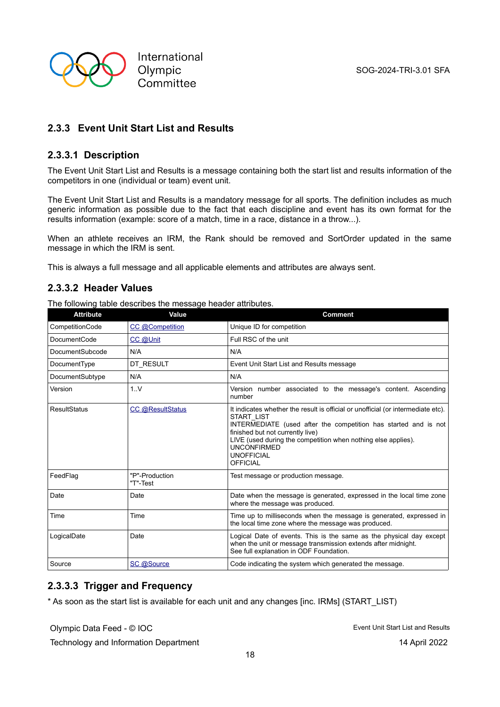

## <span id="page-17-3"></span>**2.3.3 Event Unit Start List and Results**

#### <span id="page-17-2"></span>**2.3.3.1 Description**

The Event Unit Start List and Results is a message containing both the start list and results information of the competitors in one (individual or team) event unit.

The Event Unit Start List and Results is a mandatory message for all sports. The definition includes as much generic information as possible due to the fact that each discipline and event has its own format for the results information (example: score of a match, time in a race, distance in a throw...).

When an athlete receives an IRM, the Rank should be removed and SortOrder updated in the same message in which the IRM is sent.

This is always a full message and all applicable elements and attributes are always sent.

## <span id="page-17-1"></span>**2.3.3.2 Header Values**

The following table describes the message header attributes.

| <b>Attribute</b>       | Value                      | <b>Comment</b>                                                                                                                                                                                                                                                                                                                              |
|------------------------|----------------------------|---------------------------------------------------------------------------------------------------------------------------------------------------------------------------------------------------------------------------------------------------------------------------------------------------------------------------------------------|
| CompetitionCode        | CC @Competition            | Unique ID for competition                                                                                                                                                                                                                                                                                                                   |
| <b>DocumentCode</b>    | CC @Unit                   | Full RSC of the unit                                                                                                                                                                                                                                                                                                                        |
| <b>DocumentSubcode</b> | N/A                        | N/A                                                                                                                                                                                                                                                                                                                                         |
| DocumentType           | DT RESULT                  | Event Unit Start List and Results message                                                                                                                                                                                                                                                                                                   |
| DocumentSubtype        | N/A                        | N/A                                                                                                                                                                                                                                                                                                                                         |
| Version                | 1.1V                       | Version number associated to the message's content. Ascending<br>number                                                                                                                                                                                                                                                                     |
| <b>ResultStatus</b>    | CC @ResultStatus           | It indicates whether the result is official or unofficial (or intermediate etc).<br><b>START LIST</b><br>INTERMEDIATE (used after the competition has started and is not<br>finished but not currently live)<br>LIVE (used during the competition when nothing else applies).<br><b>UNCONFIRMED</b><br><b>UNOFFICIAL</b><br><b>OFFICIAL</b> |
| FeedFlag               | "P"-Production<br>"T"-Test | Test message or production message.                                                                                                                                                                                                                                                                                                         |
| Date                   | Date                       | Date when the message is generated, expressed in the local time zone<br>where the message was produced.                                                                                                                                                                                                                                     |
| Time                   | Time                       | Time up to milliseconds when the message is generated, expressed in<br>the local time zone where the message was produced.                                                                                                                                                                                                                  |
| LogicalDate            | Date                       | Logical Date of events. This is the same as the physical day except<br>when the unit or message transmission extends after midnight.<br>See full explanation in ODF Foundation.                                                                                                                                                             |
| Source                 | SC @Source                 | Code indicating the system which generated the message.                                                                                                                                                                                                                                                                                     |

## <span id="page-17-0"></span>**2.3.3.3 Trigger and Frequency**

\* As soon as the start list is available for each unit and any changes [inc. IRMs] (START\_LIST)

Olympic Data Feed - © IOC **Event Unit Start List and Results**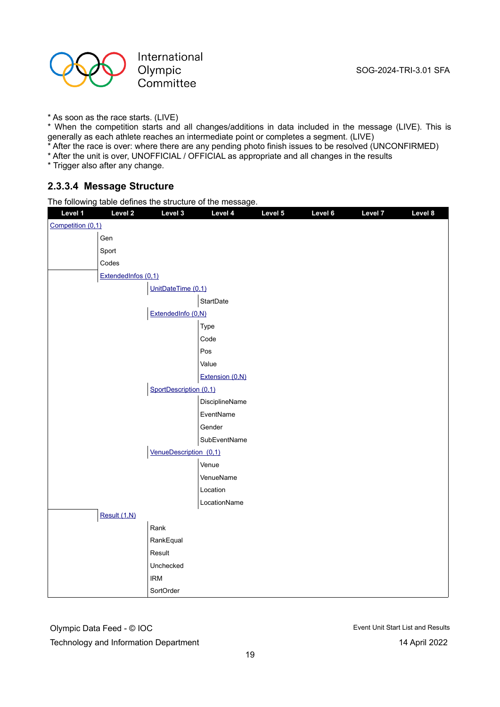

\* As soon as the race starts. (LIVE)

\* When the competition starts and all changes/additions in data included in the message (LIVE). This is generally as each athlete reaches an intermediate point or completes a segment. (LIVE)

- \* After the race is over: where there are any pending photo finish issues to be resolved (UNCONFIRMED)
- \* After the unit is over, UNOFFICIAL / OFFICIAL as appropriate and all changes in the results
- \* Trigger also after any change.

## <span id="page-18-0"></span>**2.3.3.4 Message Structure**

The following table defines the structure of the message.

| Level 1           | Level 2             | Level 3                | Level 4         | Level 5 | Level 6 | Level 7 | Level 8 |
|-------------------|---------------------|------------------------|-----------------|---------|---------|---------|---------|
| Competition (0,1) |                     |                        |                 |         |         |         |         |
|                   | Gen                 |                        |                 |         |         |         |         |
|                   | Sport               |                        |                 |         |         |         |         |
|                   | Codes               |                        |                 |         |         |         |         |
|                   | ExtendedInfos (0,1) |                        |                 |         |         |         |         |
|                   |                     | UnitDateTime (0,1)     |                 |         |         |         |         |
|                   |                     |                        | StartDate       |         |         |         |         |
|                   |                     | ExtendedInfo (0,N)     |                 |         |         |         |         |
|                   |                     |                        | Type            |         |         |         |         |
|                   |                     |                        | Code            |         |         |         |         |
|                   |                     |                        | Pos             |         |         |         |         |
|                   |                     |                        | Value           |         |         |         |         |
|                   |                     |                        | Extension (0,N) |         |         |         |         |
|                   |                     | SportDescription (0,1) |                 |         |         |         |         |
|                   |                     |                        | DisciplineName  |         |         |         |         |
|                   |                     |                        | EventName       |         |         |         |         |
|                   |                     |                        | Gender          |         |         |         |         |
|                   |                     |                        | SubEventName    |         |         |         |         |
|                   |                     | VenueDescription (0,1) |                 |         |         |         |         |
|                   |                     |                        | Venue           |         |         |         |         |
|                   |                     |                        | VenueName       |         |         |         |         |
|                   |                     |                        | Location        |         |         |         |         |
|                   |                     |                        | LocationName    |         |         |         |         |
|                   | Result (1,N)        |                        |                 |         |         |         |         |
|                   |                     | Rank                   |                 |         |         |         |         |
|                   |                     | RankEqual              |                 |         |         |         |         |
|                   |                     | Result                 |                 |         |         |         |         |
|                   |                     | Unchecked              |                 |         |         |         |         |
|                   |                     | <b>IRM</b>             |                 |         |         |         |         |
|                   |                     | SortOrder              |                 |         |         |         |         |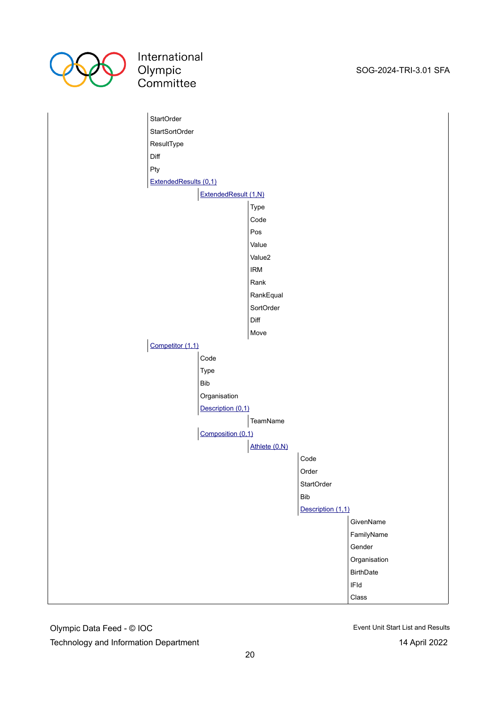



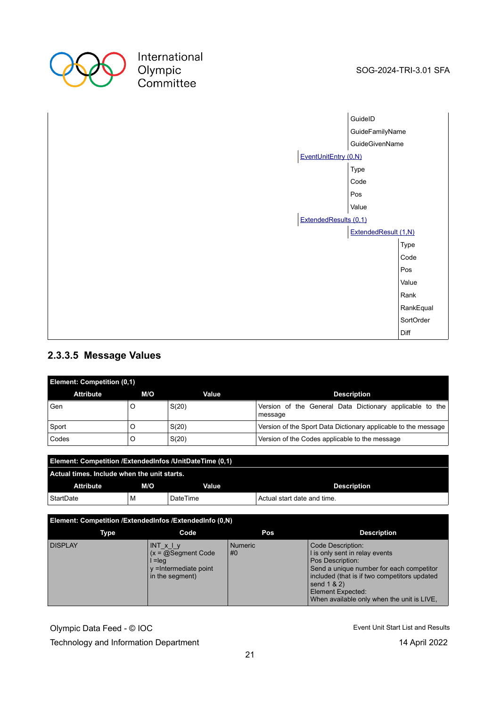



## <span id="page-20-0"></span>**2.3.3.5 Message Values**

<span id="page-20-3"></span>

| <b>Element: Competition (0,1)</b> |     |       |                                                                     |  |  |
|-----------------------------------|-----|-------|---------------------------------------------------------------------|--|--|
| <b>Attribute</b>                  | M/O | Value | <b>Description</b>                                                  |  |  |
| Gen                               |     | S(20) | Version of the General Data Dictionary applicable to the<br>message |  |  |
| Sport                             |     | S(20) | Version of the Sport Data Dictionary applicable to the message      |  |  |
| Codes                             |     | S(20) | Version of the Codes applicable to the message                      |  |  |

<span id="page-20-2"></span>

| Element: Competition / Extended Infos / Unit Date Time (0,1) |     |          |                             |  |
|--------------------------------------------------------------|-----|----------|-----------------------------|--|
| Actual times. Include when the unit starts.                  |     |          |                             |  |
| <b>Attribute</b>                                             | M/O | Value    | <b>Description</b>          |  |
| StartDate                                                    | M   | DateTime | Actual start date and time. |  |

<span id="page-20-1"></span>

| Element: Competition /ExtendedInfos /ExtendedInfo (0,N) |                                                                                                        |                      |                                                                                                                                                                                                                                                               |  |  |
|---------------------------------------------------------|--------------------------------------------------------------------------------------------------------|----------------------|---------------------------------------------------------------------------------------------------------------------------------------------------------------------------------------------------------------------------------------------------------------|--|--|
| Type                                                    | Code                                                                                                   | Pos                  | <b>Description</b>                                                                                                                                                                                                                                            |  |  |
| <b>DISPLAY</b>                                          | $INT \times I \vee$<br>$(x = @$ Seqment Code<br>$=$ lea<br>$y =$ Intermediate point<br>in the segment) | <b>Numeric</b><br>#0 | Code Description:<br>I is only sent in relay events<br>Pos Description:<br>Send a unique number for each competitor<br>included (that is if two competitors updated<br>send $1 & 2$<br><b>Element Expected:</b><br>When available only when the unit is LIVE, |  |  |

Olympic Data Feed - © IOC **Example 2018** Event Unit Start List and Results Technology and Information Department 14 April 2022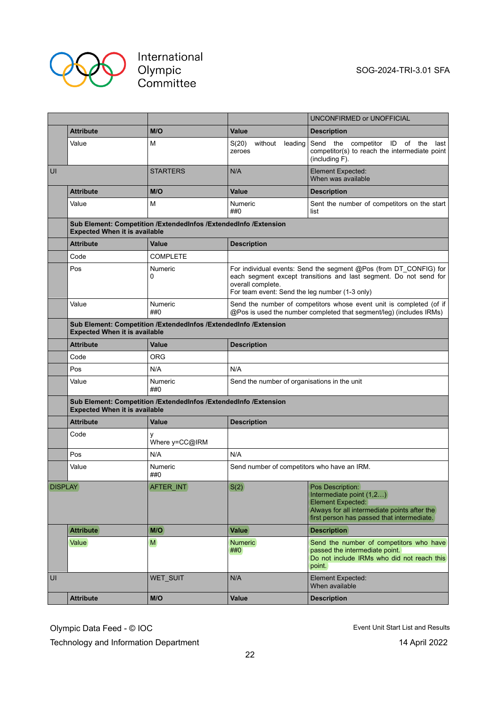

|                |                                                                                                          |                                                                  |                                                                     | UNCONFIRMED or UNOFFICIAL                                                                                                                                       |  |
|----------------|----------------------------------------------------------------------------------------------------------|------------------------------------------------------------------|---------------------------------------------------------------------|-----------------------------------------------------------------------------------------------------------------------------------------------------------------|--|
|                | <b>Attribute</b>                                                                                         | M/O                                                              | <b>Value</b>                                                        | <b>Description</b>                                                                                                                                              |  |
|                | Value                                                                                                    | M                                                                | S(20)<br>without<br>leading<br>zeroes                               | Send the<br>competitor<br>ID of the<br>last<br>competitor(s) to reach the intermediate point<br>(including F).                                                  |  |
| UI             |                                                                                                          | <b>STARTERS</b>                                                  | N/A                                                                 | <b>Element Expected:</b><br>When was available                                                                                                                  |  |
|                | <b>Attribute</b>                                                                                         | M/O                                                              | <b>Value</b>                                                        | <b>Description</b>                                                                                                                                              |  |
|                | Value                                                                                                    | M                                                                | Numeric<br>##0                                                      | Sent the number of competitors on the start<br>list                                                                                                             |  |
|                | <b>Expected When it is available</b>                                                                     | Sub Element: Competition /ExtendedInfos /ExtendedInfo /Extension |                                                                     |                                                                                                                                                                 |  |
|                | Attribute                                                                                                | <b>Value</b>                                                     | <b>Description</b>                                                  |                                                                                                                                                                 |  |
|                | Code                                                                                                     | <b>COMPLETE</b>                                                  |                                                                     |                                                                                                                                                                 |  |
|                | Pos                                                                                                      | Numeric<br>0                                                     | overall complete.<br>For team event: Send the leg number (1-3 only) | For individual events: Send the segment @Pos (from DT_CONFIG) for<br>each segment except transitions and last segment. Do not send for                          |  |
|                | Value                                                                                                    | Numeric<br>##()                                                  |                                                                     | Send the number of competitors whose event unit is completed (of if<br>@Pos is used the number completed that segment/leg) (includes IRMs)                      |  |
|                | Sub Element: Competition /ExtendedInfos /ExtendedInfo /Extension<br><b>Expected When it is available</b> |                                                                  |                                                                     |                                                                                                                                                                 |  |
|                | <b>Attribute</b>                                                                                         | Value                                                            | <b>Description</b>                                                  |                                                                                                                                                                 |  |
|                | Code                                                                                                     | <b>ORG</b>                                                       |                                                                     |                                                                                                                                                                 |  |
|                | Pos                                                                                                      | N/A                                                              | N/A                                                                 |                                                                                                                                                                 |  |
|                | Value                                                                                                    | Numeric<br>##0                                                   | Send the number of organisations in the unit                        |                                                                                                                                                                 |  |
|                | <b>Expected When it is available</b>                                                                     | Sub Element: Competition /ExtendedInfos /ExtendedInfo /Extension |                                                                     |                                                                                                                                                                 |  |
|                | <b>Attribute</b>                                                                                         | <b>Value</b>                                                     | <b>Description</b>                                                  |                                                                                                                                                                 |  |
|                | Code                                                                                                     | ٧<br>Where y=CC@IRM                                              |                                                                     |                                                                                                                                                                 |  |
|                | Pos                                                                                                      | N/A                                                              | N/A                                                                 |                                                                                                                                                                 |  |
|                | Value                                                                                                    | Numeric<br>##0                                                   | Send number of competitors who have an IRM.                         |                                                                                                                                                                 |  |
| <b>DISPLAY</b> |                                                                                                          | AFTER_INT                                                        | S(2)                                                                | Pos Description:<br>Intermediate point (1,2)<br>Element Expected:<br>Always for all intermediate points after the<br>first person has passed that intermediate. |  |
|                | <b>Attribute</b>                                                                                         | M/O                                                              | <b>Value</b>                                                        | <b>Description</b>                                                                                                                                              |  |
|                | Value                                                                                                    | M                                                                | <b>Numeric</b><br>##0                                               | Send the number of competitors who have<br>passed the intermediate point.<br>Do not include IRMs who did not reach this<br>point.                               |  |
| UI             |                                                                                                          | <b>WET SUIT</b>                                                  | N/A                                                                 | Element Expected:<br>When available                                                                                                                             |  |
|                | <b>Attribute</b>                                                                                         | M/O                                                              | Value                                                               | <b>Description</b>                                                                                                                                              |  |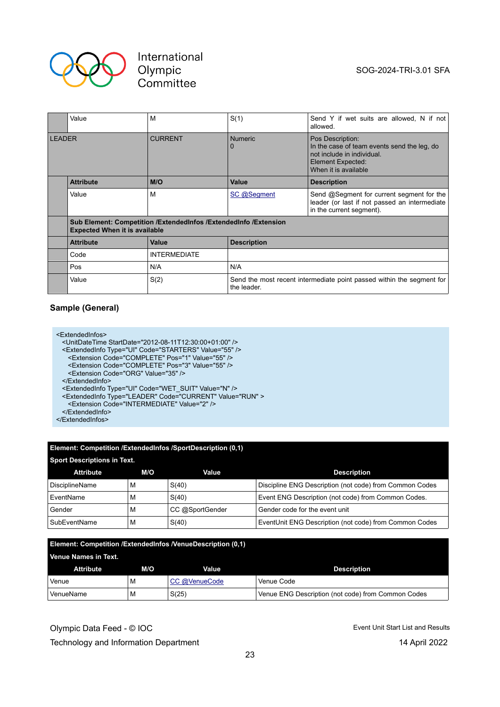

|               | Value                                | M                                                                | S(1)                       | Send Y if wet suits are allowed. N if not<br>allowed.                                                                                      |
|---------------|--------------------------------------|------------------------------------------------------------------|----------------------------|--------------------------------------------------------------------------------------------------------------------------------------------|
| <b>LEADER</b> |                                      | <b>CURRENT</b>                                                   | <b>Numeric</b><br>$\Omega$ | Pos Description:<br>In the case of team events send the leg, do<br>not include in individual.<br>Element Expected:<br>When it is available |
|               | <b>Attribute</b>                     | M/O                                                              | <b>Value</b>               | <b>Description</b>                                                                                                                         |
|               | Value                                | M                                                                | SC @Segment                | Send @Segment for current segment for the<br>leader (or last if not passed an intermediate<br>in the current segment).                     |
|               | <b>Expected When it is available</b> | Sub Element: Competition /ExtendedInfos /ExtendedInfo /Extension |                            |                                                                                                                                            |
|               | <b>Attribute</b>                     | Value                                                            | <b>Description</b>         |                                                                                                                                            |
|               | Code                                 | <b>INTERMEDIATE</b>                                              |                            |                                                                                                                                            |
|               | Pos                                  | N/A                                                              | N/A                        |                                                                                                                                            |
|               | Value                                | S(2)                                                             | the leader.                | Send the most recent intermediate point passed within the segment for                                                                      |

#### **Sample (General)**

<ExtendedInfos>

- <UnitDateTime StartDate="2012-08-11T12:30:00+01:00" />
- <ExtendedInfo Type="UI" Code="STARTERS" Value="55" />
- <Extension Code="COMPLETE" Pos="1" Value="55" />
- <Extension Code="COMPLETE" Pos="3" Value="55" />
- <Extension Code="ORG" Value="35" />
- </ExtendedInfo>
- <ExtendedInfo Type="UI" Code="WET\_SUIT" Value="N" />
- <ExtendedInfo Type="LEADER" Code="CURRENT" Value="RUN" >
- <Extension Code="INTERMEDIATE" Value="2" />
- </ExtendedInfo>
- </ExtendedInfos>

#### <span id="page-22-1"></span>**Element: Competition /ExtendedInfos /SportDescription (0,1)**

#### **Sport Descriptions in Text.**

| <b>Attribute</b> | M/O | Value           | <b>Description</b>                                      |
|------------------|-----|-----------------|---------------------------------------------------------|
| DisciplineName   | м   | S(40)           | Discipline ENG Description (not code) from Common Codes |
| EventName        | м   | S(40)           | Event ENG Description (not code) from Common Codes.     |
| Gender           | м   | CC @SportGender | Gender code for the event unit                          |
| SubEventName     | M   | S(40)           | EventUnit ENG Description (not code) from Common Codes  |

<span id="page-22-0"></span>**Element: Competition /ExtendedInfos /VenueDescription (0,1)**

| Venue Names in Text. |     |               |                                                    |
|----------------------|-----|---------------|----------------------------------------------------|
| <b>Attribute</b>     | M/O | Value         | Description                                        |
| Venue                | M   | CC @VenueCode | Venue Code                                         |
| VenueName            | M   | S(25)         | Venue ENG Description (not code) from Common Codes |

Olympic Data Feed - © IOC **Example 2018** Event Unit Start List and Results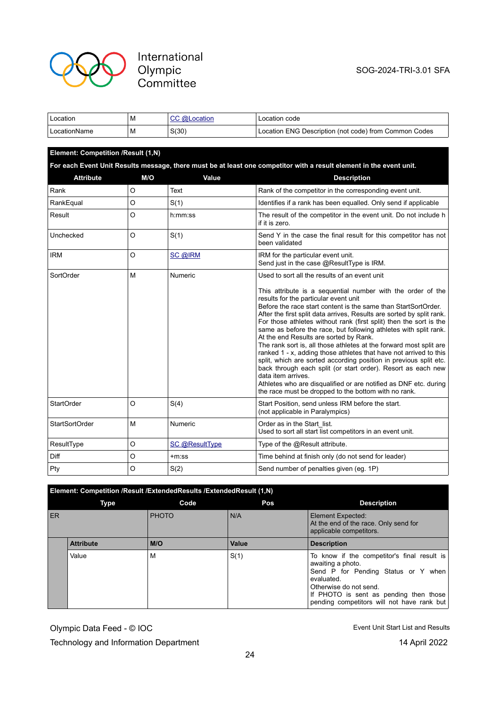

#### SOG-2024-TRI-3.01 SFA

| Location     | <b>M</b> | @Location | Location code                                         |
|--------------|----------|-----------|-------------------------------------------------------|
| LocationName | 'N.      | S(30)     | Location ENG Description (not code) from Common Codes |

<span id="page-23-0"></span>

| Element: Competition /Result (1,N) |                                                                                                                     |                       |                                                                                                                                                                                                                                                                                                                                                                                                                                                                                                                                                                                                                                                                                                                                                                                                                                                                       |  |  |  |
|------------------------------------|---------------------------------------------------------------------------------------------------------------------|-----------------------|-----------------------------------------------------------------------------------------------------------------------------------------------------------------------------------------------------------------------------------------------------------------------------------------------------------------------------------------------------------------------------------------------------------------------------------------------------------------------------------------------------------------------------------------------------------------------------------------------------------------------------------------------------------------------------------------------------------------------------------------------------------------------------------------------------------------------------------------------------------------------|--|--|--|
|                                    | For each Event Unit Results message, there must be at least one competitor with a result element in the event unit. |                       |                                                                                                                                                                                                                                                                                                                                                                                                                                                                                                                                                                                                                                                                                                                                                                                                                                                                       |  |  |  |
| <b>Attribute</b>                   | M/O                                                                                                                 | Value                 | <b>Description</b>                                                                                                                                                                                                                                                                                                                                                                                                                                                                                                                                                                                                                                                                                                                                                                                                                                                    |  |  |  |
| Rank                               | O                                                                                                                   | Text                  | Rank of the competitor in the corresponding event unit.                                                                                                                                                                                                                                                                                                                                                                                                                                                                                                                                                                                                                                                                                                                                                                                                               |  |  |  |
| RankEqual                          | O                                                                                                                   | S(1)                  | Identifies if a rank has been equalled. Only send if applicable                                                                                                                                                                                                                                                                                                                                                                                                                                                                                                                                                                                                                                                                                                                                                                                                       |  |  |  |
| Result                             | O                                                                                                                   | h:mm:ss               | The result of the competitor in the event unit. Do not include h<br>if it is zero.                                                                                                                                                                                                                                                                                                                                                                                                                                                                                                                                                                                                                                                                                                                                                                                    |  |  |  |
| Unchecked                          | $\circ$                                                                                                             | S(1)                  | Send Y in the case the final result for this competitor has not<br>been validated                                                                                                                                                                                                                                                                                                                                                                                                                                                                                                                                                                                                                                                                                                                                                                                     |  |  |  |
| <b>IRM</b>                         | O                                                                                                                   | SC @IRM               | IRM for the particular event unit.<br>Send just in the case @ResultType is IRM.                                                                                                                                                                                                                                                                                                                                                                                                                                                                                                                                                                                                                                                                                                                                                                                       |  |  |  |
| SortOrder                          | M                                                                                                                   | Numeric               | Used to sort all the results of an event unit                                                                                                                                                                                                                                                                                                                                                                                                                                                                                                                                                                                                                                                                                                                                                                                                                         |  |  |  |
|                                    |                                                                                                                     |                       | This attribute is a sequential number with the order of the<br>results for the particular event unit<br>Before the race start content is the same than StartSortOrder.<br>After the first split data arrives, Results are sorted by split rank.<br>For those athletes without rank (first split) then the sort is the<br>same as before the race, but following athletes with split rank.<br>At the end Results are sorted by Rank.<br>The rank sort is, all those athletes at the forward most split are<br>ranked 1 - x, adding those athletes that have not arrived to this<br>split, which are sorted according position in previous split etc.<br>back through each split (or start order). Resort as each new<br>data item arrives.<br>Athletes who are disqualified or are notified as DNF etc. during<br>the race must be dropped to the bottom with no rank. |  |  |  |
| <b>StartOrder</b>                  | O                                                                                                                   | S(4)                  | Start Position, send unless IRM before the start.<br>(not applicable in Paralympics)                                                                                                                                                                                                                                                                                                                                                                                                                                                                                                                                                                                                                                                                                                                                                                                  |  |  |  |
| <b>StartSortOrder</b>              | M                                                                                                                   | Numeric               | Order as in the Start list.<br>Used to sort all start list competitors in an event unit.                                                                                                                                                                                                                                                                                                                                                                                                                                                                                                                                                                                                                                                                                                                                                                              |  |  |  |
| ResultType                         | O                                                                                                                   | <b>SC @ResultType</b> | Type of the @Result attribute.                                                                                                                                                                                                                                                                                                                                                                                                                                                                                                                                                                                                                                                                                                                                                                                                                                        |  |  |  |
| Diff                               | O                                                                                                                   | $+m$ :ss              | Time behind at finish only (do not send for leader)                                                                                                                                                                                                                                                                                                                                                                                                                                                                                                                                                                                                                                                                                                                                                                                                                   |  |  |  |
| Pty                                | O                                                                                                                   | S(2)                  | Send number of penalties given (eg. 1P)                                                                                                                                                                                                                                                                                                                                                                                                                                                                                                                                                                                                                                                                                                                                                                                                                               |  |  |  |

<span id="page-23-1"></span>

| Element: Competition /Result /ExtendedResults /ExtendedResult (1,N) |                  |                    |              |                                                                                                                                                                                                                                         |  |
|---------------------------------------------------------------------|------------------|--------------------|--------------|-----------------------------------------------------------------------------------------------------------------------------------------------------------------------------------------------------------------------------------------|--|
|                                                                     | Type             | <b>Description</b> |              |                                                                                                                                                                                                                                         |  |
| ER                                                                  |                  | <b>PHOTO</b>       | N/A          | Element Expected:<br>At the end of the race. Only send for<br>applicable competitors.                                                                                                                                                   |  |
|                                                                     | <b>Attribute</b> | M/O                | <b>Value</b> | <b>Description</b>                                                                                                                                                                                                                      |  |
|                                                                     | Value            | M                  | S(1)         | To know if the competitor's final result is<br>awaiting a photo.<br>Send P for Pending Status or Y when<br>evaluated.<br>Otherwise do not send.<br>If PHOTO is sent as pending then those<br>pending competitors will not have rank but |  |

Olympic Data Feed - © IOC **Example 2018** Event Unit Start List and Results Technology and Information Department 14 April 2022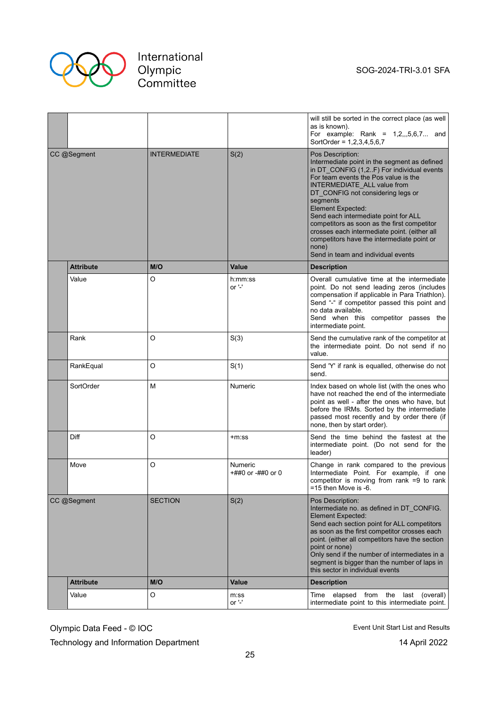

|                  |                     |                                     | will still be sorted in the correct place (as well<br>as is known).<br>For example: Rank = $1,2,1,5,6,7$ and<br>SortOrder = $1,2,3,4,5,6,7$                                                                                                                                                                                                                                                                                                                                                           |
|------------------|---------------------|-------------------------------------|-------------------------------------------------------------------------------------------------------------------------------------------------------------------------------------------------------------------------------------------------------------------------------------------------------------------------------------------------------------------------------------------------------------------------------------------------------------------------------------------------------|
| CC @Segment      | <b>INTERMEDIATE</b> | S(2)                                | Pos Description:<br>Intermediate point in the segment as defined<br>in DT_CONFIG (1,2F) For individual events<br>For team events the Pos value is the<br>INTERMEDIATE ALL value from<br>DT_CONFIG not considering legs or<br>segments<br><b>Element Expected:</b><br>Send each intermediate point for ALL<br>competitors as soon as the first competitor<br>crosses each intermediate point. (either all<br>competitors have the intermediate point or<br>none)<br>Send in team and individual events |
| <b>Attribute</b> | M/O                 | <b>Value</b>                        | <b>Description</b>                                                                                                                                                                                                                                                                                                                                                                                                                                                                                    |
| Value            | O                   | h:mm:ss<br>or $-$                   | Overall cumulative time at the intermediate<br>point. Do not send leading zeros (includes<br>compensation if applicable in Para Triathlon).<br>Send "-" if competitor passed this point and<br>no data available.<br>Send when this competitor passes the<br>intermediate point.                                                                                                                                                                                                                      |
| Rank             | O                   | S(3)                                | Send the cumulative rank of the competitor at<br>the intermediate point. Do not send if no<br>value.                                                                                                                                                                                                                                                                                                                                                                                                  |
| RankEqual        | O                   | S(1)                                | Send 'Y' if rank is equalled, otherwise do not<br>send.                                                                                                                                                                                                                                                                                                                                                                                                                                               |
| SortOrder        | M                   | <b>Numeric</b>                      | Index based on whole list (with the ones who<br>have not reached the end of the intermediate<br>point as well - after the ones who have, but<br>before the IRMs. Sorted by the intermediate<br>passed most recently and by order there (if<br>none, then by start order).                                                                                                                                                                                                                             |
| Diff             | O                   | $+m:ss$                             | Send the time behind the fastest at the<br>intermediate point. (Do not send for the<br>leader)                                                                                                                                                                                                                                                                                                                                                                                                        |
| Move             | O                   | <b>Numeric</b><br>+##0 or -##0 or 0 | Change in rank compared to the previous<br>Intermediate Point. For example, if one<br>competitor is moving from rank $=9$ to rank<br>$=$ 15 then Move is $-6$ .                                                                                                                                                                                                                                                                                                                                       |
| CC @Segment      | <b>SECTION</b>      | S(2)                                | Pos Description:<br>Intermediate no. as defined in DT CONFIG.<br><b>Element Expected:</b><br>Send each section point for ALL competitors<br>as soon as the first competitor crosses each<br>point. (either all competitors have the section<br>point or none)<br>Only send if the number of intermediates in a<br>segment is bigger than the number of laps in<br>this sector in individual events                                                                                                    |
| <b>Attribute</b> | M/O                 | Value                               | <b>Description</b>                                                                                                                                                                                                                                                                                                                                                                                                                                                                                    |
| Value            | O                   | m:ss<br>or $-$                      | Time elapsed from the last (overall)<br>intermediate point to this intermediate point.                                                                                                                                                                                                                                                                                                                                                                                                                |

Olympic Data Feed - © IOC **Example 2018** Event Unit Start List and Results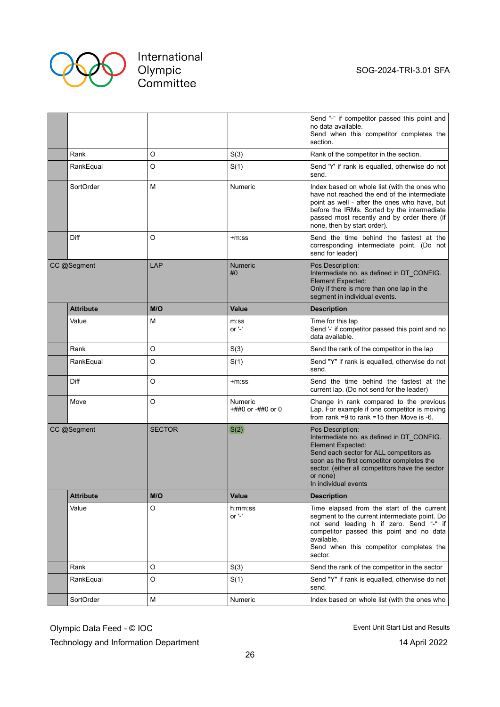

|                  |               |                              | Send "-" if competitor passed this point and<br>no data available.<br>Send when this competitor completes the<br>section.                                                                                                                                                 |
|------------------|---------------|------------------------------|---------------------------------------------------------------------------------------------------------------------------------------------------------------------------------------------------------------------------------------------------------------------------|
| Rank             | O             | S(3)                         | Rank of the competitor in the section.                                                                                                                                                                                                                                    |
| RankEqual        | O             | S(1)                         | Send 'Y' if rank is equalled, otherwise do not<br>send.                                                                                                                                                                                                                   |
| SortOrder        | M             | <b>Numeric</b>               | Index based on whole list (with the ones who<br>have not reached the end of the intermediate<br>point as well - after the ones who have, but<br>before the IRMs. Sorted by the intermediate<br>passed most recently and by order there (if<br>none, then by start order). |
| Diff             | O             | $+m:ss$                      | Send the time behind the fastest at the<br>corresponding intermediate point. (Do not<br>send for leader)                                                                                                                                                                  |
| CC @Segment      | LAP           | Numeric<br>#0                | Pos Description:<br>Intermediate no. as defined in DT_CONFIG.<br>Element Expected:<br>Only if there is more than one lap in the<br>segment in individual events.                                                                                                          |
| <b>Attribute</b> | M/O           | <b>Value</b>                 | <b>Description</b>                                                                                                                                                                                                                                                        |
| Value            | M             | m:ss<br>or $-$               | Time for this lap<br>Send '-' if competitor passed this point and no<br>data available.                                                                                                                                                                                   |
| Rank             | O             | S(3)                         | Send the rank of the competitor in the lap                                                                                                                                                                                                                                |
| RankEqual        | O             | S(1)                         | Send "Y" if rank is equalled, otherwise do not<br>send.                                                                                                                                                                                                                   |
| Diff             | O             | $+m:ss$                      | Send the time behind the fastest at the<br>current lap. (Do not send for the leader)                                                                                                                                                                                      |
| Move             | O             | Numeric<br>+##0 or -##0 or 0 | Change in rank compared to the previous<br>Lap. For example if one competitor is moving<br>from rank =9 to rank =15 then Move is $-6$ .                                                                                                                                   |
| CC @Segment      | <b>SECTOR</b> | S(2)                         | Pos Description:<br>Intermediate no. as defined in DT_CONFIG.<br><b>Element Expected:</b><br>Send each sector for ALL competitors as<br>soon as the first competitor completes the<br>sector. (either all competitors have the sector<br>or none)<br>In individual events |
| <b>Attribute</b> | M/O           | Value                        | <b>Description</b>                                                                                                                                                                                                                                                        |
| Value            | O             | h:mm:ss<br>or $-$            | Time elapsed from the start of the current<br>segment to the current intermediate point. Do<br>not send leading h if zero. Send "-" if<br>competitor passed this point and no data<br>available.<br>Send when this competitor completes the<br>sector.                    |
| Rank             | O             | S(3)                         | Send the rank of the competitor in the sector                                                                                                                                                                                                                             |
| RankEqual        | O             | S(1)                         | Send "Y" if rank is equalled, otherwise do not<br>send.                                                                                                                                                                                                                   |
| SortOrder        | M             | Numeric                      | Index based on whole list (with the ones who                                                                                                                                                                                                                              |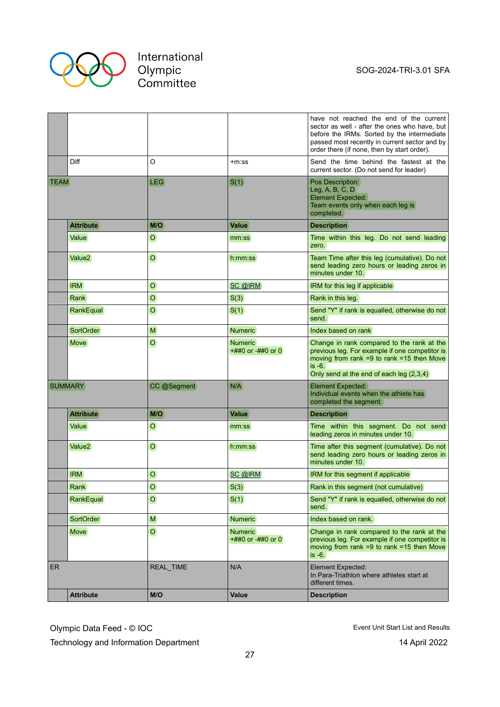

|      |                    |                  |                                           | have not reached the end of the current<br>sector as well - after the ones who have, but<br>before the IRMs. Sorted by the intermediate<br>passed most recently in current sector and by<br>order there (if none, then by start order). |
|------|--------------------|------------------|-------------------------------------------|-----------------------------------------------------------------------------------------------------------------------------------------------------------------------------------------------------------------------------------------|
|      | Diff               | O                | $+m:ss$                                   | Send the time behind the fastest at the<br>current sector. (Do not send for leader)                                                                                                                                                     |
| TEAM |                    | LEG <sup>®</sup> | S(1)                                      | Pos Description:<br>Leg, A, B, C, D<br><b>Element Expected:</b><br>Team events only when each leg is<br>completed.                                                                                                                      |
|      | <b>Attribute</b>   | M/O              | Value                                     | <b>Description</b>                                                                                                                                                                                                                      |
|      | Value              | $\circ$          | mm:ss                                     | Time within this leg. Do not send leading<br>zero.                                                                                                                                                                                      |
|      | Value <sub>2</sub> | $\circ$          | h:mm:ss                                   | Team Time after this leg (cumulative). Do not<br>send leading zero hours or leading zeros in<br>minutes under 10.                                                                                                                       |
|      | <b>IRM</b>         | $\circ$          | SC @IRM                                   | IRM for this leg if applicable                                                                                                                                                                                                          |
|      | Rank               | $\circ$          | S(3)                                      | Rank in this leg.                                                                                                                                                                                                                       |
|      | RankEqual          | $\circ$          | S(1)                                      | Send "Y" if rank is equalled, otherwise do not<br>send.                                                                                                                                                                                 |
|      | <b>SortOrder</b>   | M                | <b>Numeric</b>                            | Index based on rank                                                                                                                                                                                                                     |
|      | Move               | $\circ$          | <b>Numeric</b><br>+##0 or -##0 or 0       | Change in rank compared to the rank at the<br>previous leg. For example if one competitor is<br>moving from rank =9 to rank =15 then Move<br>$is -6.$<br>Only send at the end of each leg (2,3,4)                                       |
|      | <b>SUMMARY</b>     | CC @Segment      | N/A                                       | <b>Element Expected:</b><br>Individual events when the athlete has<br>completed the segment.                                                                                                                                            |
|      | <b>Attribute</b>   | M/O              | <b>Value</b>                              | <b>Description</b>                                                                                                                                                                                                                      |
|      | Value              | $\circ$          | mm:ss                                     | Time within this segment. Do not send<br>leading zeros in minutes under 10.                                                                                                                                                             |
|      | Value <sub>2</sub> | $\circ$          | h:mm:ss                                   | Time after this segment (cumulative). Do not<br>send leading zero hours or leading zeros in<br>minutes under 10.                                                                                                                        |
|      | <b>IRM</b>         | $\circ$          | SC @IRM                                   | IRM for this segment if applicable                                                                                                                                                                                                      |
|      | Rank               | $\circ$          | S(3)                                      | Rank in this segment (not cumulative)                                                                                                                                                                                                   |
|      | RankEqual          | $\circ$          | S(1)                                      | Send "Y" if rank is equalled, otherwise do not<br>send.                                                                                                                                                                                 |
|      | SortOrder          | M                | <b>Numeric</b>                            | Index based on rank.                                                                                                                                                                                                                    |
|      | <b>Move</b>        | $\overline{O}$   | <b>Numeric</b><br>$+$ ##0 or $-$ ##0 or 0 | Change in rank compared to the rank at the<br>previous leg. For example if one competitor is<br>moving from rank =9 to rank =15 then Move<br>$is -6.$                                                                                   |
| ER   |                    | <b>REAL TIME</b> | N/A                                       | Element Expected:<br>In Para-Triathlon where athletes start at<br>different times.                                                                                                                                                      |
|      | <b>Attribute</b>   | M/O              | Value                                     | <b>Description</b>                                                                                                                                                                                                                      |

Olympic Data Feed - © IOC **Example 2018** Event Unit Start List and Results Technology and Information Department 14 April 2022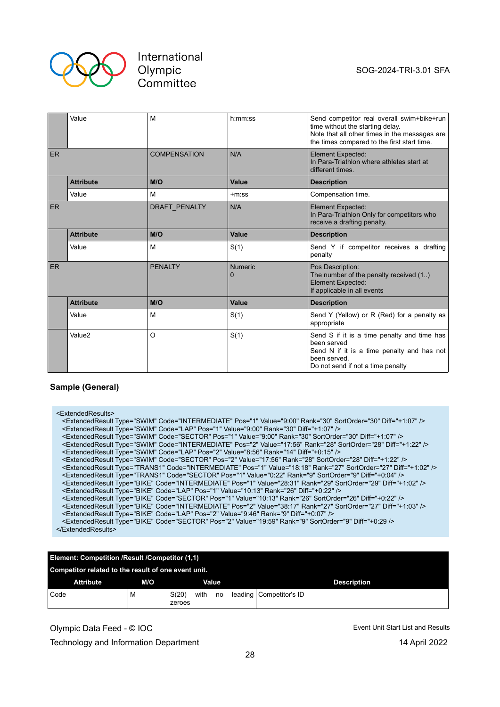

|           | Value              | M                    | h:mm:ss                    | Send competitor real overall swim+bike+run<br>time without the starting delay.<br>Note that all other times in the messages are<br>the times compared to the first start time. |
|-----------|--------------------|----------------------|----------------------------|--------------------------------------------------------------------------------------------------------------------------------------------------------------------------------|
| <b>ER</b> |                    | <b>COMPENSATION</b>  | N/A                        | Element Expected:<br>In Para-Triathlon where athletes start at<br>different times.                                                                                             |
|           | <b>Attribute</b>   | M/O                  | Value                      | <b>Description</b>                                                                                                                                                             |
|           | Value              | M                    | $+m$ :ss                   | Compensation time.                                                                                                                                                             |
| <b>ER</b> |                    | <b>DRAFT PENALTY</b> | N/A                        | Element Expected:<br>In Para-Triathlon Only for competitors who<br>receive a drafting penalty.                                                                                 |
|           | <b>Attribute</b>   | M/O                  | Value                      | <b>Description</b>                                                                                                                                                             |
|           | Value              | M                    | S(1)                       | Send Y if competitor receives a drafting<br>penalty                                                                                                                            |
| <b>ER</b> |                    | <b>PENALTY</b>       | <b>Numeric</b><br>$\Omega$ | Pos Description:<br>The number of the penalty received (1)<br><b>Element Expected:</b><br>If applicable in all events                                                          |
|           | <b>Attribute</b>   | M/O                  | Value                      | <b>Description</b>                                                                                                                                                             |
|           | Value              | M                    | S(1)                       | Send Y (Yellow) or R (Red) for a penalty as<br>appropriate                                                                                                                     |
|           | Value <sub>2</sub> | O                    | S(1)                       | Send S if it is a time penalty and time has<br>been served<br>Send N if it is a time penalty and has not<br>been served.<br>Do not send if not a time penalty                  |

#### **Sample (General)**

<ExtendedResults>

- <ExtendedResult Type="SWIM" Code="INTERMEDIATE" Pos="1" Value="9:00" Rank="30" SortOrder="30" Diff="+1:07" />
- <ExtendedResult Type="SWIM" Code="LAP" Pos="1" Value="9:00" Rank="30" Diff="+1:07" />
- <ExtendedResult Type="SWIM" Code="SECTOR" Pos="1" Value="9:00" Rank="30" SortOrder="30" Diff="+1:07" />
- <ExtendedResult Type="SWIM" Code="INTERMEDIATE" Pos="2" Value="17:56" Rank="28" SortOrder="28" Diff="+1:22" />
- <ExtendedResult Type="SWIM" Code="LAP" Pos="2" Value="8:56" Rank="14" Diff="+0:15" />
- <ExtendedResult Type="SWIM" Code="SECTOR" Pos="2" Value="17:56" Rank="28" SortOrder="28" Diff="+1:22" />
- <ExtendedResult Type="TRANS1" Code="INTERMEDIATE" Pos="1" Value="18:18" Rank="27" SortOrder="27" Diff="+1:02" />
- <ExtendedResult Type="TRANS1" Code="SECTOR" Pos="1" Value="0:22" Rank="9" SortOrder="9" Diff="+0:04" />
- <ExtendedResult Type="BIKE" Code="INTERMEDIATE" Pos="1" Value="28:31" Rank="29" SortOrder="29" Diff="+1:02" />
- <ExtendedResult Type="BIKE" Code="LAP" Pos="1" Value="10:13" Rank="26" Diff="+0:22" />
- <ExtendedResult Type="BIKE" Code="SECTOR" Pos="1" Value="10:13" Rank="26" SortOrder="26" Diff="+0:22" />
- <ExtendedResult Type="BIKE" Code="INTERMEDIATE" Pos="2" Value="38:17" Rank="27" SortOrder="27" Diff="+1:03" />
- <ExtendedResult Type="BIKE" Code="LAP" Pos="2" Value="9:46" Rank="9" Diff="+0:07" />
- <ExtendedResult Type="BIKE" Code="SECTOR" Pos="2" Value="19:59" Rank="9" SortOrder="9" Diff="+0:29 />

</ExtendedResults>

<span id="page-27-0"></span>

| <b>Element: Competition / Result / Competitor (1,1)</b> |     |                               |                           |  |
|---------------------------------------------------------|-----|-------------------------------|---------------------------|--|
| Competitor related to the result of one event unit.     |     |                               |                           |  |
| <b>Attribute</b>                                        | M/O | Value                         | <b>Description</b>        |  |
| Code                                                    | м   | S(20)<br>with<br>no<br>zeroes | leading   Competitor's ID |  |

Olympic Data Feed - © IOC **Event Unit Start List and Results**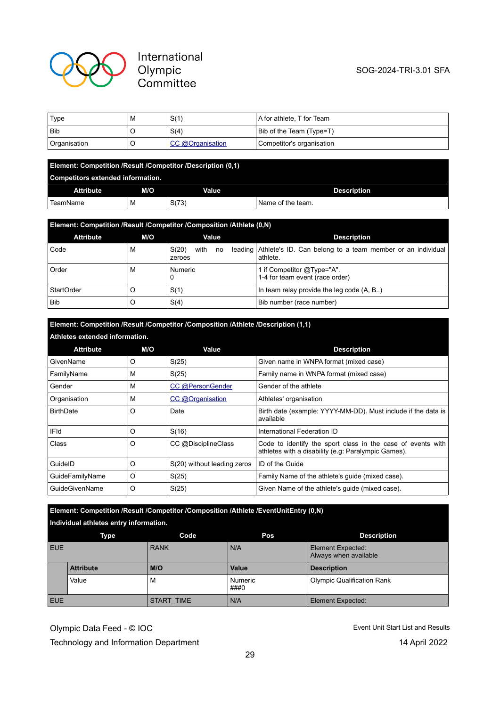

| Type         | M | S(1)             | A for athlete, T for Team |
|--------------|---|------------------|---------------------------|
| l Bib        |   | S(4)             | Bib of the Team (Type=T)  |
| Organisation |   | CC @Organisation | Competitor's organisation |

<span id="page-28-2"></span>

| <b>Element: Competition /Result /Competitor /Description (0.1)</b> |   |       |                                |  |  |
|--------------------------------------------------------------------|---|-------|--------------------------------|--|--|
| <b>Competitors extended information.</b>                           |   |       |                                |  |  |
| <b>Attribute</b><br>Value<br>M/O<br><b>Description</b>             |   |       |                                |  |  |
| TeamName                                                           | M | S(73) | <sup>1</sup> Name of the team. |  |  |

<span id="page-28-1"></span>

| Element: Competition /Result /Competitor /Composition /Athlete (0,N) |     |                               |                                                                                |  |
|----------------------------------------------------------------------|-----|-------------------------------|--------------------------------------------------------------------------------|--|
| <b>Attribute</b>                                                     | M/O | Value                         | <b>Description</b>                                                             |  |
| Code                                                                 | м   | S(20)<br>with<br>no<br>zeroes | leading Athlete's ID. Can belong to a team member or an individual<br>athlete. |  |
| Order                                                                | M   | <b>Numeric</b><br>0           | 1 if Competitor @Type="A".<br>1-4 for team event (race order)                  |  |
| <b>StartOrder</b>                                                    | O   | S(1)                          | In team relay provide the leg code (A, B.)                                     |  |
| <b>Bib</b>                                                           |     | S(4)                          | Bib number (race number)                                                       |  |

#### <span id="page-28-0"></span>**Element: Competition /Result /Competitor /Composition /Athlete /Description (1,1)**

**Athletes extended information. Attribute M/O Value Description** GivenName  $\begin{vmatrix} 0 & 1 \\ 1 & 0 \end{vmatrix}$  S(25) Given name in WNPA format (mixed case) Family Name  $\begin{vmatrix} M & 1 \end{vmatrix}$  S(25)  $\begin{vmatrix} S(25) & 1 \end{vmatrix}$  Family name in WNPA format (mixed case) Gender M [CC @PersonGender](http://odf.olympictech.org/2024-Paris/codes/HTML/og_cc/PersonGender.htm) Gender of the athlete

| usuu             | IVI | <u>UU (WE CISUNUCTIUCT</u>  | achia ann ann ann a                                                                                                |  |
|------------------|-----|-----------------------------|--------------------------------------------------------------------------------------------------------------------|--|
| Organisation     | м   | CC @Organisation            | Athletes' organisation                                                                                             |  |
| <b>BirthDate</b> | O   | Date                        | Birth date (example: YYYY-MM-DD). Must include if the data is<br>available                                         |  |
| IFId             | O   | S(16)                       | International Federation ID                                                                                        |  |
| Class            | O   | CC @DisciplineClass         | Code to identify the sport class in the case of events with<br>athletes with a disability (e.g: Paralympic Games). |  |
| GuidelD          | O   | S(20) without leading zeros | ID of the Guide                                                                                                    |  |
| GuideFamilyName  | O   | S(25)                       | Family Name of the athlete's quide (mixed case).                                                                   |  |
| GuideGivenName   | O   | S(25)                       | Given Name of the athlete's quide (mixed case).                                                                    |  |

<span id="page-28-3"></span>**Element: Competition /Result /Competitor /Composition /Athlete /EventUnitEntry (0,N)**

|            | Individual athletes entry information. |             |                 |                                                   |  |  |
|------------|----------------------------------------|-------------|-----------------|---------------------------------------------------|--|--|
|            | Type                                   | Code        | Pos             | <b>Description</b>                                |  |  |
| <b>EUE</b> |                                        | <b>RANK</b> | N/A             | <b>Element Expected:</b><br>Always when available |  |  |
|            | <b>Attribute</b>                       | M/O         | <b>Value</b>    | <b>Description</b>                                |  |  |
|            | Value                                  | м           | Numeric<br>###0 | <b>Olympic Qualification Rank</b>                 |  |  |
| <b>EUE</b> |                                        | START TIME  | N/A             | <b>Element Expected:</b>                          |  |  |

Olympic Data Feed - © IOC **Example 2018** Event Unit Start List and Results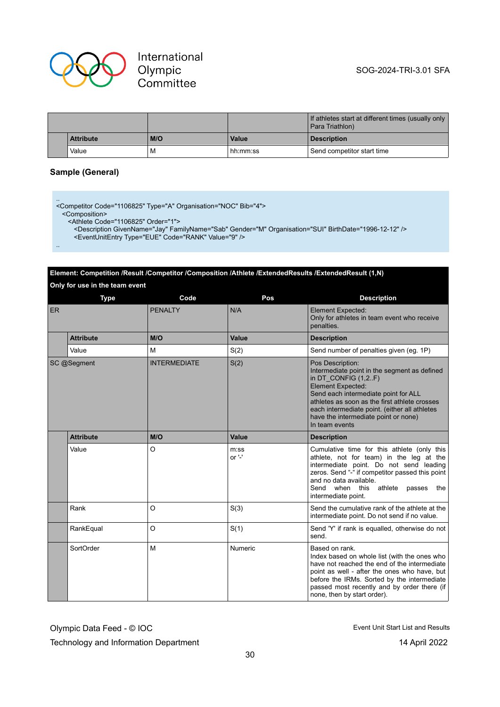

|                  |     |          | If athletes start at different times (usually only<br>Para Triathlon) |
|------------------|-----|----------|-----------------------------------------------------------------------|
| <b>Attribute</b> | M/O | Value    | <b>Description</b>                                                    |
| Value            | M   | hh:mm:ss | Send competitor start time                                            |

#### **Sample (General)**

.. <Competitor Code="1106825" Type="A" Organisation="NOC" Bib="4"> <Composition> <Athlete Code="1106825" Order="1"> <Description GivenName="Jay" FamilyName="Sab" Gender="M" Organisation="SUI" BirthDate="1996-12-12" /> <EventUnitEntry Type="EUE" Code="RANK" Value="9" /> .. **Element: Competition /Result /Competitor /Composition /Athlete /ExtendedResults /ExtendedResult (1,N)**

<span id="page-29-0"></span>

|           | Only for use in the team event |                     |                   |                                                                                                                                                                                                                                                                                                                         |  |
|-----------|--------------------------------|---------------------|-------------------|-------------------------------------------------------------------------------------------------------------------------------------------------------------------------------------------------------------------------------------------------------------------------------------------------------------------------|--|
|           | <b>Type</b>                    | Code                | Pos               | <b>Description</b>                                                                                                                                                                                                                                                                                                      |  |
| <b>ER</b> |                                | <b>PENALTY</b>      | N/A               | <b>Element Expected:</b><br>Only for athletes in team event who receive<br>penalties.                                                                                                                                                                                                                                   |  |
|           | <b>Attribute</b>               | M/O                 | Value             | <b>Description</b>                                                                                                                                                                                                                                                                                                      |  |
|           | Value                          | M                   | S(2)              | Send number of penalties given (eg. 1P)                                                                                                                                                                                                                                                                                 |  |
|           | SC @Segment                    | <b>INTERMEDIATE</b> | S(2)              | Pos Description:<br>Intermediate point in the segment as defined<br>in DT_CONFIG (1,2F)<br><b>Element Expected:</b><br>Send each intermediate point for ALL<br>athletes as soon as the first athlete crosses<br>each intermediate point. (either all athletes<br>have the intermediate point or none)<br>In team events |  |
|           | <b>Attribute</b>               | M/O                 | <b>Value</b>      | <b>Description</b>                                                                                                                                                                                                                                                                                                      |  |
|           | Value                          | O                   | m:ss<br>or $'$ -' | Cumulative time for this athlete (only this<br>athlete, not for team) in the leg at the<br>intermediate point. Do not send leading<br>zeros. Send "-" if competitor passed this point<br>and no data available.<br>when<br>Send<br>this<br>athlete<br>passes<br>the<br>intermediate point.                              |  |
|           | Rank                           | $\circ$             | S(3)              | Send the cumulative rank of the athlete at the<br>intermediate point. Do not send if no value.                                                                                                                                                                                                                          |  |
|           | RankEqual                      | O                   | S(1)              | Send 'Y' if rank is equalled, otherwise do not<br>send.                                                                                                                                                                                                                                                                 |  |
|           | SortOrder                      | M                   | Numeric           | Based on rank.<br>Index based on whole list (with the ones who<br>have not reached the end of the intermediate<br>point as well - after the ones who have, but<br>before the IRMs. Sorted by the intermediate<br>passed most recently and by order there (if<br>none, then by start order).                             |  |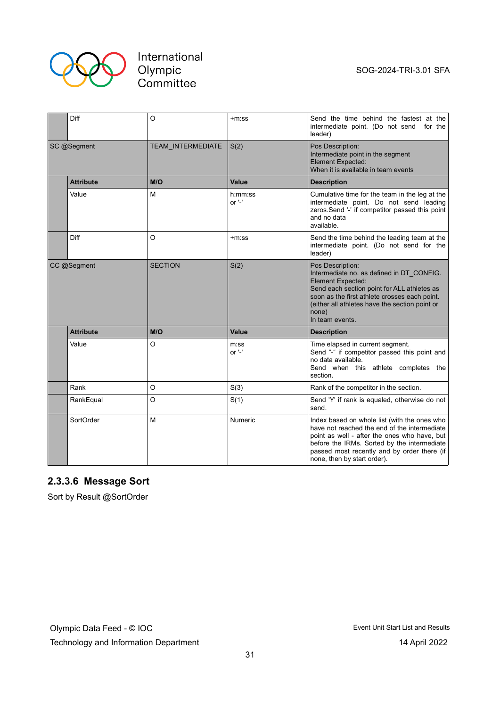

| Diff             | O                 | $+m:ss$           | Send the time behind the fastest at the<br>intermediate point. (Do not send for the<br>leader)                                                                                                                                                                            |
|------------------|-------------------|-------------------|---------------------------------------------------------------------------------------------------------------------------------------------------------------------------------------------------------------------------------------------------------------------------|
| SC @Segment      | TEAM INTERMEDIATE | S(2)              | Pos Description:<br>Intermediate point in the segment<br><b>Element Expected:</b><br>When it is available in team events                                                                                                                                                  |
| <b>Attribute</b> | M/O               | <b>Value</b>      | <b>Description</b>                                                                                                                                                                                                                                                        |
| Value            | М                 | h:mm:ss<br>or $-$ | Cumulative time for the team in the leg at the<br>intermediate point. Do not send leading<br>zeros.Send '-' if competitor passed this point<br>and no data<br>available.                                                                                                  |
| Diff             | O                 | $+m:ss$           | Send the time behind the leading team at the<br>intermediate point. (Do not send for the<br>leader)                                                                                                                                                                       |
| CC @Segment      | <b>SECTION</b>    | S(2)              | Pos Description:<br>Intermediate no. as defined in DT_CONFIG.<br><b>Element Expected:</b><br>Send each section point for ALL athletes as<br>soon as the first athlete crosses each point.<br>(either all athletes have the section point or<br>none)<br>In team events.   |
| <b>Attribute</b> | M/O               | <b>Value</b>      | <b>Description</b>                                                                                                                                                                                                                                                        |
| Value            | O                 | m:ss<br>or $-$    | Time elapsed in current segment.<br>Send "-" if competitor passed this point and<br>no data available.<br>Send when this athlete completes the<br>section.                                                                                                                |
| Rank             | O                 | S(3)              | Rank of the competitor in the section.                                                                                                                                                                                                                                    |
| RankEqual        | O                 | S(1)              | Send 'Y' if rank is equaled, otherwise do not<br>send.                                                                                                                                                                                                                    |
| SortOrder        | М                 | <b>Numeric</b>    | Index based on whole list (with the ones who<br>have not reached the end of the intermediate<br>point as well - after the ones who have, but<br>before the IRMs. Sorted by the intermediate<br>passed most recently and by order there (if<br>none, then by start order). |

## <span id="page-30-0"></span>**2.3.3.6 Message Sort**

Sort by Result @SortOrder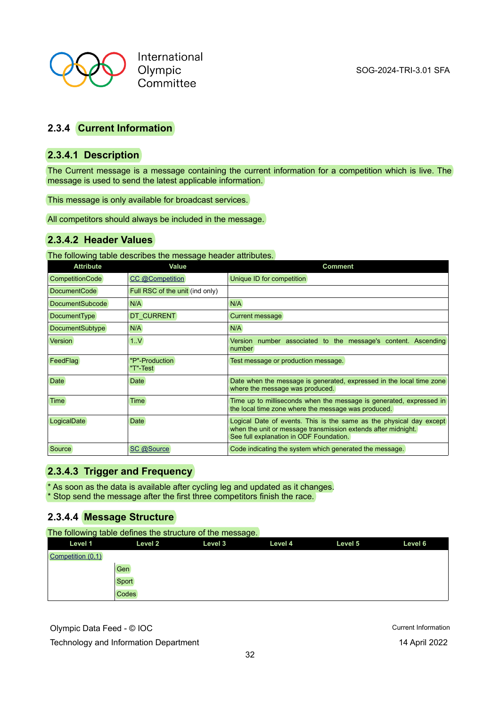

#### <span id="page-31-4"></span>**2.3.4 Current Information**

## <span id="page-31-3"></span>**2.3.4.1 Description**

The Current message is a message containing the current information for a competition which is live. The message is used to send the latest applicable information.

This message is only available for broadcast services.

All competitors should always be included in the message.

#### <span id="page-31-2"></span>**2.3.4.2 Header Values**

The following table describes the message header attributes.

| <b>Attribute</b>       | <b>Value</b>                    | <b>Comment</b>                                                                                                                                                                  |
|------------------------|---------------------------------|---------------------------------------------------------------------------------------------------------------------------------------------------------------------------------|
| <b>CompetitionCode</b> | CC @Competition                 | Unique ID for competition                                                                                                                                                       |
| DocumentCode           | Full RSC of the unit (ind only) |                                                                                                                                                                                 |
| DocumentSubcode        | N/A                             | N/A                                                                                                                                                                             |
| <b>DocumentType</b>    | DT CURRENT                      | Current message                                                                                                                                                                 |
| DocumentSubtype        | N/A                             | N/A                                                                                                                                                                             |
| <b>Version</b>         | 1. V                            | Version number associated to the message's content. Ascending<br>number                                                                                                         |
| FeedFlag               | "P"-Production<br>"T"-Test      | Test message or production message.                                                                                                                                             |
| <b>Date</b>            | <b>Date</b>                     | Date when the message is generated, expressed in the local time zone<br>where the message was produced.                                                                         |
| <b>Time</b>            | Time                            | Time up to milliseconds when the message is generated, expressed in<br>the local time zone where the message was produced.                                                      |
| LogicalDate            | <b>Date</b>                     | Logical Date of events. This is the same as the physical day except<br>when the unit or message transmission extends after midnight.<br>See full explanation in ODF Foundation. |
| Source                 | SC @Source                      | Code indicating the system which generated the message.                                                                                                                         |

#### <span id="page-31-1"></span>**2.3.4.3 Trigger and Frequency**

\* As soon as the data is available after cycling leg and updated as it changes.

\* Stop send the message after the first three competitors finish the race.

#### <span id="page-31-0"></span>**2.3.4.4 Message Structure**

|                   | The following table defines the structure of the message. |                |                |         |         |  |
|-------------------|-----------------------------------------------------------|----------------|----------------|---------|---------|--|
| <b>Level 1</b>    | <b>Level 2</b>                                            | <b>Level 3</b> | <b>Level 4</b> | Level 5 | Level 6 |  |
| Competition (0,1) |                                                           |                |                |         |         |  |
|                   | Gen                                                       |                |                |         |         |  |
|                   | Sport                                                     |                |                |         |         |  |
|                   | <b>Codes</b>                                              |                |                |         |         |  |

Olympic Data Feed - © IOC Current Information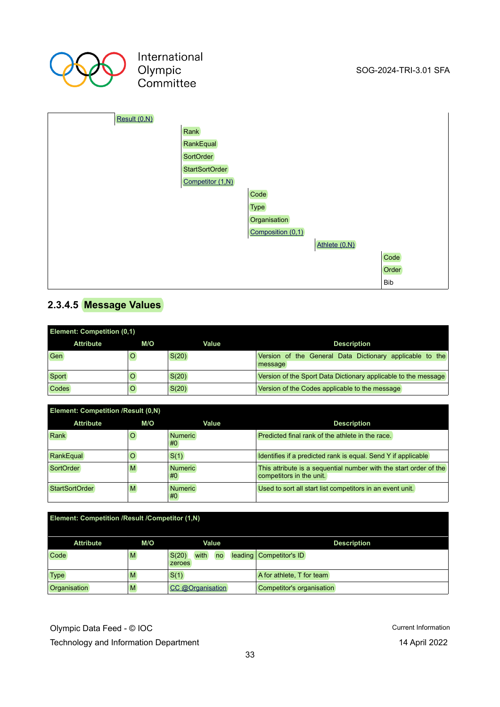



## <span id="page-32-0"></span>**2.3.4.5 Message Values**

<span id="page-32-1"></span>

|                  | <b>Element: Competition (0,1)</b> |       |                                                                     |  |  |  |  |
|------------------|-----------------------------------|-------|---------------------------------------------------------------------|--|--|--|--|
| <b>Attribute</b> | M/O                               | Value | <b>Description</b>                                                  |  |  |  |  |
| Gen              |                                   | S(20) | Version of the General Data Dictionary applicable to the<br>message |  |  |  |  |
| Sport            |                                   | S(20) | Version of the Sport Data Dictionary applicable to the message      |  |  |  |  |
| Codes            |                                   | S(20) | Version of the Codes applicable to the message                      |  |  |  |  |

<span id="page-32-4"></span>

|                       | <b>Element: Competition /Result (0,N)</b> |                      |                                                                                               |  |  |  |
|-----------------------|-------------------------------------------|----------------------|-----------------------------------------------------------------------------------------------|--|--|--|
| <b>Attribute</b>      | M/O                                       | Value                | <b>Description</b>                                                                            |  |  |  |
| Rank                  | O                                         | <b>Numeric</b><br>#0 | Predicted final rank of the athlete in the race.                                              |  |  |  |
| RankEqual             |                                           | S(1)                 | Identifies if a predicted rank is equal. Send Y if applicable                                 |  |  |  |
| SortOrder             | M                                         | <b>Numeric</b><br>#0 | This attribute is a sequential number with the start order of the<br>competitors in the unit. |  |  |  |
| <b>StartSortOrder</b> | M                                         | <b>Numeric</b><br>#0 | Used to sort all start list competitors in an event unit.                                     |  |  |  |

<span id="page-32-3"></span>

|                  | <b>Element: Competition / Result / Competitor (1,N)</b> |                               |                           |  |  |  |
|------------------|---------------------------------------------------------|-------------------------------|---------------------------|--|--|--|
| <b>Attribute</b> | M/O                                                     | Value                         | <b>Description</b>        |  |  |  |
| Code             | M                                                       | no<br>with<br>S(20)<br>zeroes | leading   Competitor's ID |  |  |  |
| <b>Type</b>      | M                                                       | S(1)                          | A for athlete, T for team |  |  |  |
| Organisation     | M                                                       | CC @Organisation              | Competitor's organisation |  |  |  |

<span id="page-32-2"></span>Olympic Data Feed - © IOC Current Information Technology and Information Department 14 April 2022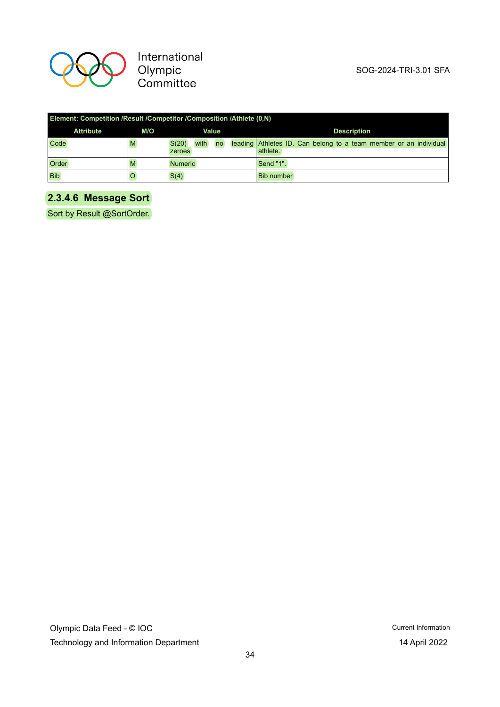

|                  | Element: Competition /Result /Competitor /Composition /Athlete (0,N) |                               |                                                                               |  |  |  |
|------------------|----------------------------------------------------------------------|-------------------------------|-------------------------------------------------------------------------------|--|--|--|
| <b>Attribute</b> | M/O                                                                  | Value                         | <b>Description</b>                                                            |  |  |  |
| Code             | M                                                                    | with<br>S(20)<br>no<br>zeroes | leading Athletes ID. Can belong to a team member or an individual<br>athlete. |  |  |  |
| Order            | м                                                                    | <b>Numeric</b>                | Send "1".                                                                     |  |  |  |
| <b>Bib</b>       |                                                                      | S(4)                          | <b>Bib number</b>                                                             |  |  |  |

## <span id="page-33-0"></span>**2.3.4.6 Message Sort**

Sort by Result @SortOrder.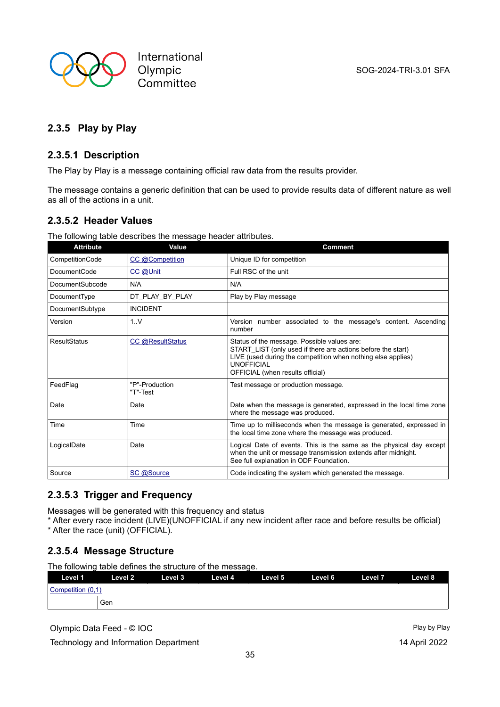## <span id="page-34-4"></span>**2.3.5 Play by Play**

#### <span id="page-34-3"></span>**2.3.5.1 Description**

The Play by Play is a message containing official raw data from the results provider.

The message contains a generic definition that can be used to provide results data of different nature as well as all of the actions in a unit.

## <span id="page-34-2"></span>**2.3.5.2 Header Values**

The following table describes the message header attributes.

| <b>Attribute</b>    | Value                      | <b>Comment</b>                                                                                                                                                                                                                       |
|---------------------|----------------------------|--------------------------------------------------------------------------------------------------------------------------------------------------------------------------------------------------------------------------------------|
| CompetitionCode     | CC @Competition            | Unique ID for competition                                                                                                                                                                                                            |
| <b>DocumentCode</b> | CC @Unit                   | Full RSC of the unit                                                                                                                                                                                                                 |
| DocumentSubcode     | N/A                        | N/A                                                                                                                                                                                                                                  |
| DocumentType        | DT PLAY BY PLAY            | Play by Play message                                                                                                                                                                                                                 |
| DocumentSubtype     | <b>INCIDENT</b>            |                                                                                                                                                                                                                                      |
| Version             | 1.1 <sub>Y</sub>           | Version number associated to the message's content. Ascending<br>number                                                                                                                                                              |
| <b>ResultStatus</b> | CC @ResultStatus           | Status of the message. Possible values are:<br>START LIST (only used if there are actions before the start)<br>LIVE (used during the competition when nothing else applies)<br><b>UNOFFICIAL</b><br>OFFICIAL (when results official) |
| FeedFlag            | "P"-Production<br>"T"-Test | Test message or production message.                                                                                                                                                                                                  |
| Date                | Date                       | Date when the message is generated, expressed in the local time zone<br>where the message was produced.                                                                                                                              |
| Time                | Time                       | Time up to milliseconds when the message is generated, expressed in<br>the local time zone where the message was produced.                                                                                                           |
| LogicalDate         | Date                       | Logical Date of events. This is the same as the physical day except<br>when the unit or message transmission extends after midnight.<br>See full explanation in ODF Foundation.                                                      |
| Source              | SC @Source                 | Code indicating the system which generated the message.                                                                                                                                                                              |

## <span id="page-34-1"></span>**2.3.5.3 Trigger and Frequency**

Messages will be generated with this frequency and status

\* After every race incident (LIVE)(UNOFFICIAL if any new incident after race and before results be official) \* After the race (unit) (OFFICIAL).

## <span id="page-34-0"></span>**2.3.5.4 Message Structure**

The following table defines the structure of the message.

| Level 1           |     | Level 2 Level 3 | Level 4 | Level 5 | Level 6 | Level 7 | Level 8 |
|-------------------|-----|-----------------|---------|---------|---------|---------|---------|
| Competition (0,1) |     |                 |         |         |         |         |         |
|                   | Gen |                 |         |         |         |         |         |

35

Olympic Data Feed - © IOC Play by Play by Play by Play by Play by Play by Play by Play by Play by Play by Play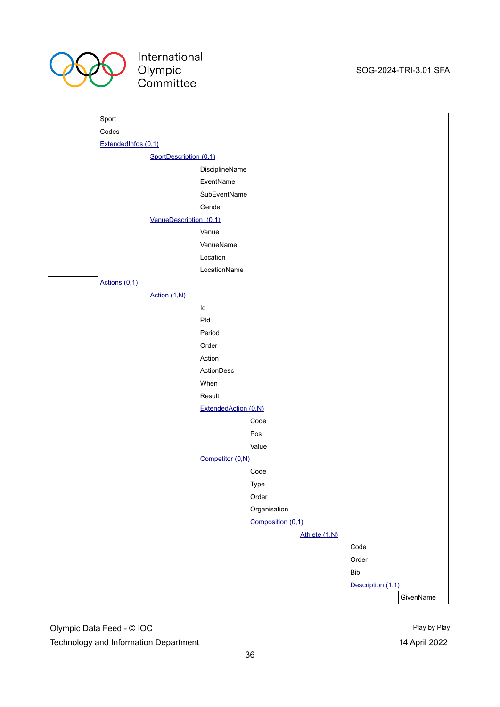



Olympic Data Feed - © IOC Play by Play by Play by Play by Play by Play by Play by Play by Play by Play by Play Technology and Information Department 14 April 2022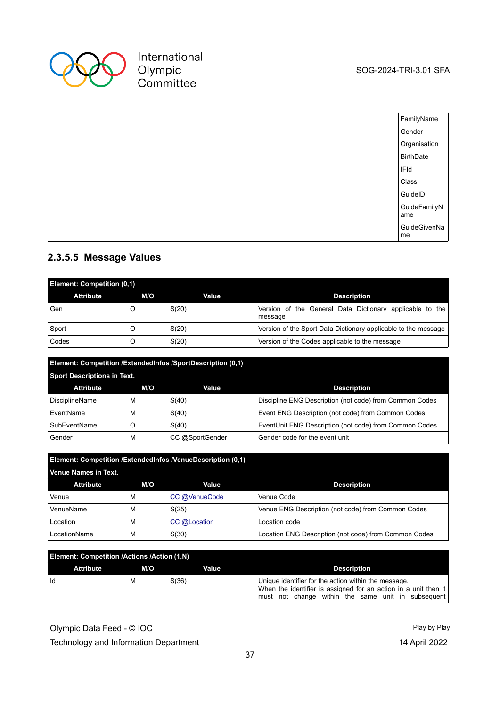

| FamilyName          |
|---------------------|
| Gender              |
| Organisation        |
| BirthDate           |
| IEId                |
| Class               |
| GuidelD             |
| GuideFamilyN<br>ame |
| GuideGivenNa<br>me  |

## <span id="page-36-0"></span>**2.3.5.5 Message Values**

<span id="page-36-1"></span>

| <b>Element: Competition (0,1)</b> |     |       |                                                                     |
|-----------------------------------|-----|-------|---------------------------------------------------------------------|
| <b>Attribute</b>                  | M/O | Value | <b>Description</b>                                                  |
| Gen                               |     | S(20) | Version of the General Data Dictionary applicable to the<br>message |
| Sport                             |     | S(20) | Version of the Sport Data Dictionary applicable to the message      |
| Codes                             |     | S(20) | Version of the Codes applicable to the message                      |

<span id="page-36-4"></span>

| Element: Competition /ExtendedInfos /SportDescription (0,1) |     |                 |                                                         |  |
|-------------------------------------------------------------|-----|-----------------|---------------------------------------------------------|--|
| <b>Sport Descriptions in Text.</b>                          |     |                 |                                                         |  |
| <b>Attribute</b>                                            | M/O | Value           | <b>Description</b>                                      |  |
| <b>DisciplineName</b>                                       | м   | S(40)           | Discipline ENG Description (not code) from Common Codes |  |
| EventName                                                   | М   | S(40)           | Event ENG Description (not code) from Common Codes.     |  |
| SubEventName                                                | O   | S(40)           | EventUnit ENG Description (not code) from Common Codes  |  |
| Gender                                                      | М   | CC @SportGender | Gender code for the event unit                          |  |

<span id="page-36-3"></span>

| Element: Competition /ExtendedInfos /VenueDescription (0.1) |     |               |                                                       |
|-------------------------------------------------------------|-----|---------------|-------------------------------------------------------|
| Venue Names in Text.                                        |     |               |                                                       |
| <b>Attribute</b>                                            | M/O | Value         | <b>Description</b>                                    |
| Venue                                                       | М   | CC @VenueCode | Venue Code                                            |
| VenueName                                                   | м   | S(25)         | Venue ENG Description (not code) from Common Codes    |
| Location                                                    | М   | CC @Location  | Location code                                         |
| LocationName                                                | м   | S(30)         | Location ENG Description (not code) from Common Codes |

<span id="page-36-2"></span>

| <b>Element: Competition /Actions /Action (1,N)</b> |     |       |                                                                                                                                                                               |
|----------------------------------------------------|-----|-------|-------------------------------------------------------------------------------------------------------------------------------------------------------------------------------|
| <b>Attribute</b>                                   | M/O | Value | Description                                                                                                                                                                   |
| Id                                                 | M   | S(36) | Unique identifier for the action within the message.<br>When the identifier is assigned for an action in a unit then it<br>must not change within the same unit in subsequent |

Olympic Data Feed - © IOC Play by Play by Play by Play by Play by Play by Play by Play by Play by Play by Play Technology and Information Department 14 April 2022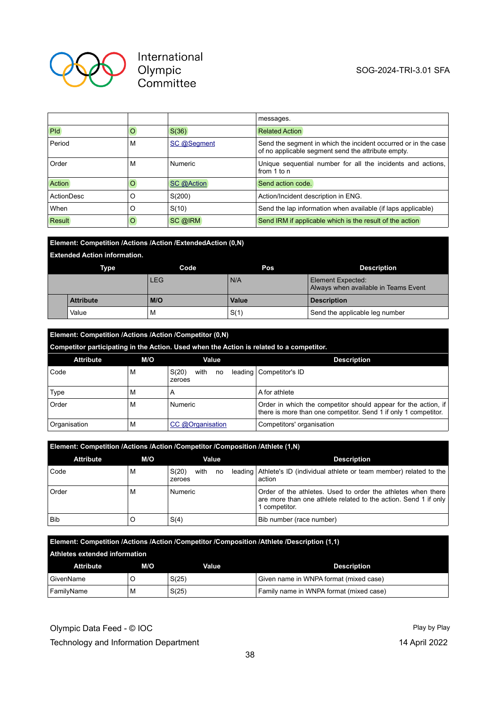

|               |         |                | messages.                                                                                                            |
|---------------|---------|----------------|----------------------------------------------------------------------------------------------------------------------|
| <b>Pld</b>    | O       | S(36)          | <b>Related Action</b>                                                                                                |
| Period        | М       | SC @Segment    | Send the segment in which the incident occurred or in the case<br>of no applicable segment send the attribute empty. |
| Order         | М       | <b>Numeric</b> | Unique sequential number for all the incidents and actions,<br>from 1 to n                                           |
| Action        | O       | SC @Action     | Send action code.                                                                                                    |
| ActionDesc    | O       | S(200)         | Action/Incident description in ENG.                                                                                  |
| When          | O       | S(10)          | Send the lap information when available (if laps applicable)                                                         |
| <b>Result</b> | $\circ$ | SC @IRM        | Send IRM if applicable which is the result of the action                                                             |

<span id="page-37-3"></span>

| <b>Extended Action information.</b> |            |              |                                                                  |  |
|-------------------------------------|------------|--------------|------------------------------------------------------------------|--|
| Type                                | Code       | Pos          | <b>Description</b>                                               |  |
|                                     | <b>LEG</b> | N/A          | <b>Element Expected:</b><br>Always when available in Teams Event |  |
| <b>Attribute</b>                    | M/O        | <b>Value</b> | <b>Description</b>                                               |  |
| Value                               | M          | S(1)         | Send the applicable leg number                                   |  |

#### <span id="page-37-2"></span>**Element: Competition /Actions /Action /Competitor (0,N)**

**Competitor participating in the Action. Used when the Action is related to a competitor.**

| <b>Attribute</b> | M/O | Value                         | <b>Description</b>                                                                                                                |
|------------------|-----|-------------------------------|-----------------------------------------------------------------------------------------------------------------------------------|
| Code             | м   | S(20)<br>with<br>no<br>zeroes | leading   Competitor's ID                                                                                                         |
| Type             | M   | A                             | A for athlete                                                                                                                     |
| Order            | M   | <b>Numeric</b>                | Order in which the competitor should appear for the action, if<br>there is more than one competitor. Send 1 if only 1 competitor. |
| Organisation     | M   | CC @Organisation              | Competitors' organisation                                                                                                         |

<span id="page-37-1"></span>

| Element: Competition /Actions /Action /Competitor /Composition /Athlete (1,N) |     |                               |                                                                                                                                                  |
|-------------------------------------------------------------------------------|-----|-------------------------------|--------------------------------------------------------------------------------------------------------------------------------------------------|
| <b>Attribute</b>                                                              | M/O | Value                         | <b>Description</b>                                                                                                                               |
| Code                                                                          | м   | S(20)<br>with<br>no<br>zeroes | leading Athlete's ID (individual athlete or team member) related to the<br>action                                                                |
| Order                                                                         | м   | <b>Numeric</b>                | Order of the athletes. Used to order the athletes when there<br>are more than one athlete related to the action. Send 1 if only<br>1 competitor. |
| <b>Bib</b>                                                                    |     | S(4)                          | Bib number (race number)                                                                                                                         |

<span id="page-37-0"></span>**Element: Competition /Actions /Action /Competitor /Composition /Athlete /Description (1,1)**

| Athletes extended information |     |       |                                         |  |
|-------------------------------|-----|-------|-----------------------------------------|--|
| Attribute                     | M/O | Value | Description                             |  |
| GivenName                     |     | S(25) | Given name in WNPA format (mixed case)  |  |
| FamilyName                    | м   | S(25) | Family name in WNPA format (mixed case) |  |

Olympic Data Feed - © IOC Play by Play by Play by Play by Play by Play by Play by Play by Play by Play by Play Technology and Information Department 14 April 2022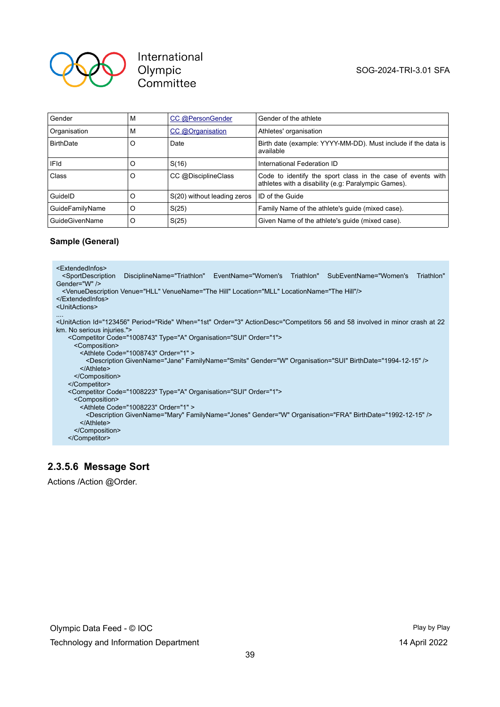

| Gender           | м       | CC @PersonGender            | Gender of the athlete                                                                                              |
|------------------|---------|-----------------------------|--------------------------------------------------------------------------------------------------------------------|
| Organisation     | м       | CC @Organisation            | Athletes' organisation                                                                                             |
| <b>BirthDate</b> | O       | Date                        | Birth date (example: YYYY-MM-DD). Must include if the data is<br>available                                         |
| IFId             | O       | S(16)                       | International Federation ID                                                                                        |
| Class            | O       | CC @DisciplineClass         | Code to identify the sport class in the case of events with<br>athletes with a disability (e.g: Paralympic Games). |
| GuidelD          | O       | S(20) without leading zeros | ID of the Guide                                                                                                    |
| GuideFamilyName  | $\circ$ | S(25)                       | Family Name of the athlete's quide (mixed case).                                                                   |
| GuideGivenName   | O       | S(25)                       | Given Name of the athlete's quide (mixed case).                                                                    |

#### **Sample (General)**

<ExtendedInfos>

<SportDescription DisciplineName="Triathlon" EventName="Women's Triathlon" SubEventName="Women's Triathlon" Gender="W" />

<VenueDescription Venue="HLL" VenueName="The Hill" Location="MLL" LocationName="The Hill"/>

</ExtendedInfos>

<UnitActions> ....

<UnitAction Id="123456" Period="Ride" When="1st" Order="3" ActionDesc="Competitors 56 and 58 involved in minor crash at 22 km. No serious injuries.">

<Competitor Code="1008743" Type="A" Organisation="SUI" Order="1">

- <Composition>
	- <Athlete Code="1008743" Order="1" >
- <Description GivenName="Jane" FamilyName="Smits" Gender="W" Organisation="SUI" BirthDate="1994-12-15" />
- </Athlete>
- </Composition>

</Competitor>

<Competitor Code="1008223" Type="A" Organisation="SUI" Order="1">

- <Composition> <Athlete Code="1008223" Order="1" >
- <Description GivenName="Mary" FamilyName="Jones" Gender="W" Organisation="FRA" BirthDate="1992-12-15" /> </Athlete>
- <span id="page-38-0"></span></Composition> </Competitor>

## **2.3.5.6 Message Sort**

Actions /Action @Order.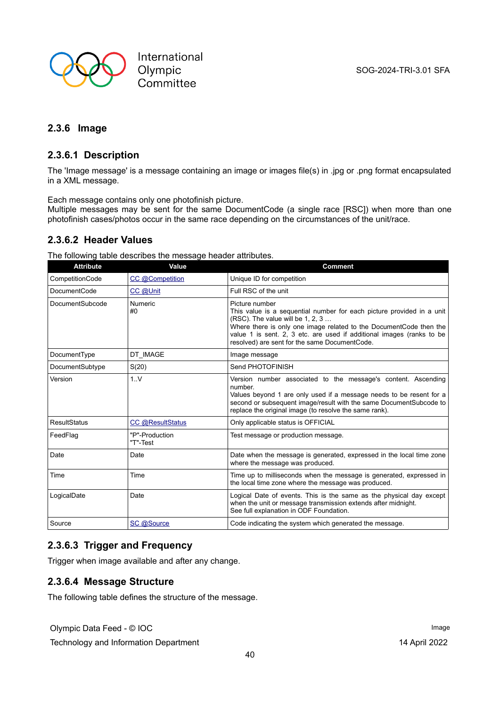

## <span id="page-39-0"></span>**2.3.6 Image**

## <span id="page-39-4"></span>**2.3.6.1 Description**

The 'Image message' is a message containing an image or images file(s) in .jpg or .png format encapsulated in a XML message.

Each message contains only one photofinish picture.

Multiple messages may be sent for the same DocumentCode (a single race [RSC]) when more than one photofinish cases/photos occur in the same race depending on the circumstances of the unit/race.

## <span id="page-39-3"></span>**2.3.6.2 Header Values**

The following table describes the message header attributes.

| <b>Attribute</b>       | Value                      | <b>Comment</b>                                                                                                                                                                                                                                                                                                                 |
|------------------------|----------------------------|--------------------------------------------------------------------------------------------------------------------------------------------------------------------------------------------------------------------------------------------------------------------------------------------------------------------------------|
| CompetitionCode        | CC @Competition            | Unique ID for competition                                                                                                                                                                                                                                                                                                      |
| <b>DocumentCode</b>    | CC @Unit                   | Full RSC of the unit                                                                                                                                                                                                                                                                                                           |
| <b>DocumentSubcode</b> | <b>Numeric</b><br>#0       | Picture number<br>This value is a sequential number for each picture provided in a unit<br>$(RSC)$ . The value will be 1, 2, 3<br>Where there is only one image related to the DocumentCode then the<br>value 1 is sent. 2, 3 etc. are used if additional images (ranks to be<br>resolved) are sent for the same DocumentCode. |
| DocumentType           | DT IMAGE                   | Image message                                                                                                                                                                                                                                                                                                                  |
| DocumentSubtype        | S(20)                      | Send PHOTOFINISH                                                                                                                                                                                                                                                                                                               |
| Version                | 1.1V                       | Version number associated to the message's content. Ascending<br>number<br>Values beyond 1 are only used if a message needs to be resent for a<br>second or subsequent image/result with the same DocumentSubcode to<br>replace the original image (to resolve the same rank).                                                 |
| <b>ResultStatus</b>    | CC @ResultStatus           | Only applicable status is OFFICIAL                                                                                                                                                                                                                                                                                             |
| FeedFlag               | "P"-Production<br>"T"-Test | Test message or production message.                                                                                                                                                                                                                                                                                            |
| Date                   | Date                       | Date when the message is generated, expressed in the local time zone<br>where the message was produced.                                                                                                                                                                                                                        |
| Time                   | Time                       | Time up to milliseconds when the message is generated, expressed in<br>the local time zone where the message was produced.                                                                                                                                                                                                     |
| LogicalDate            | Date                       | Logical Date of events. This is the same as the physical day except<br>when the unit or message transmission extends after midnight.<br>See full explanation in ODF Foundation.                                                                                                                                                |
| Source                 | SC @Source                 | Code indicating the system which generated the message.                                                                                                                                                                                                                                                                        |

## <span id="page-39-2"></span>**2.3.6.3 Trigger and Frequency**

Trigger when image available and after any change.

## <span id="page-39-1"></span>**2.3.6.4 Message Structure**

The following table defines the structure of the message.

Olympic Data Feed - © IOC Image Technology and Information Department 14 April 2022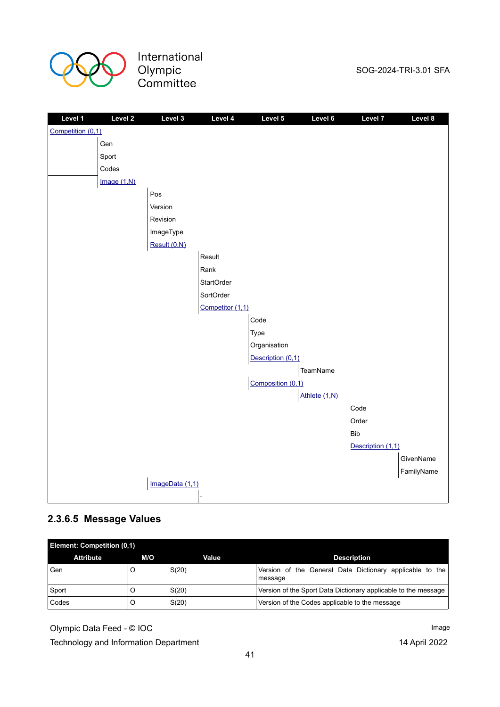

| Level 1           | Level 2    | Level 3         | Level 4          | Level 5           | Level 6       | Level 7           | Level 8    |
|-------------------|------------|-----------------|------------------|-------------------|---------------|-------------------|------------|
| Competition (0,1) |            |                 |                  |                   |               |                   |            |
|                   | Gen        |                 |                  |                   |               |                   |            |
|                   | Sport      |                 |                  |                   |               |                   |            |
|                   | Codes      |                 |                  |                   |               |                   |            |
|                   | Image(1,N) |                 |                  |                   |               |                   |            |
|                   |            | Pos             |                  |                   |               |                   |            |
|                   |            | Version         |                  |                   |               |                   |            |
|                   |            | Revision        |                  |                   |               |                   |            |
|                   |            | ImageType       |                  |                   |               |                   |            |
|                   |            | Result (0,N)    |                  |                   |               |                   |            |
|                   |            |                 | Result           |                   |               |                   |            |
|                   |            |                 | Rank             |                   |               |                   |            |
|                   |            |                 | StartOrder       |                   |               |                   |            |
|                   |            |                 | SortOrder        |                   |               |                   |            |
|                   |            |                 | Competitor (1,1) |                   |               |                   |            |
|                   |            |                 |                  | Code              |               |                   |            |
|                   |            |                 |                  | Type              |               |                   |            |
|                   |            |                 |                  | Organisation      |               |                   |            |
|                   |            |                 |                  | Description (0,1) |               |                   |            |
|                   |            |                 |                  |                   | TeamName      |                   |            |
|                   |            |                 |                  | Composition (0,1) |               |                   |            |
|                   |            |                 |                  |                   | Athlete (1,N) | Code              |            |
|                   |            |                 |                  |                   |               | Order             |            |
|                   |            |                 |                  |                   |               | <b>Bib</b>        |            |
|                   |            |                 |                  |                   |               | Description (1,1) |            |
|                   |            |                 |                  |                   |               |                   | GivenName  |
|                   |            |                 |                  |                   |               |                   | FamilyName |
|                   |            | ImageData (1,1) |                  |                   |               |                   |            |
|                   |            |                 | $\overline{a}$   |                   |               |                   |            |

## <span id="page-40-0"></span>**2.3.6.5 Message Values**

<span id="page-40-1"></span>

| <b>Element: Competition (0,1)</b> |     |       |                                                                     |  |  |  |  |
|-----------------------------------|-----|-------|---------------------------------------------------------------------|--|--|--|--|
| <b>Attribute</b>                  | M/O | Value | <b>Description</b>                                                  |  |  |  |  |
| Gen                               |     | S(20) | Version of the General Data Dictionary applicable to the<br>message |  |  |  |  |
| Sport                             |     | S(20) | Version of the Sport Data Dictionary applicable to the message      |  |  |  |  |
| Codes                             |     | S(20) | Version of the Codes applicable to the message                      |  |  |  |  |

Olympic Data Feed - © IOC Image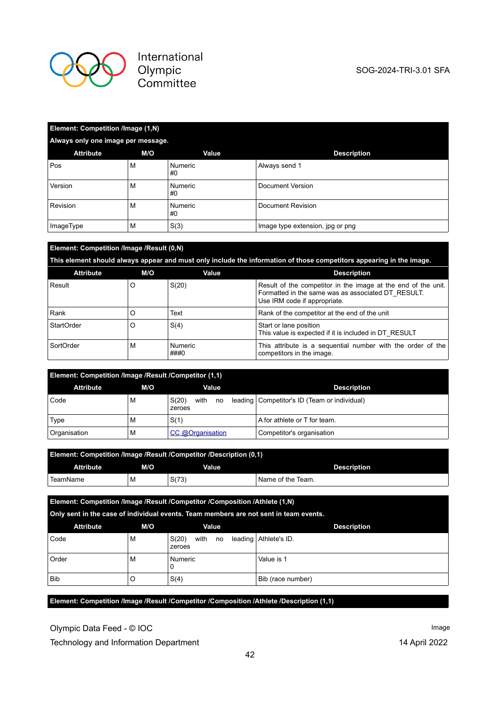

<span id="page-41-5"></span>

|                                    | Element: Competition /Image (1,N) |                      |                                  |  |  |  |  |  |
|------------------------------------|-----------------------------------|----------------------|----------------------------------|--|--|--|--|--|
| Always only one image per message. |                                   |                      |                                  |  |  |  |  |  |
| <b>Attribute</b>                   | M/O                               | Value                | <b>Description</b>               |  |  |  |  |  |
| Pos                                | М                                 | <b>Numeric</b><br>#0 | Always send 1                    |  |  |  |  |  |
| Version                            | M                                 | <b>Numeric</b><br>#0 | Document Version                 |  |  |  |  |  |
| Revision                           | м                                 | <b>Numeric</b><br>#0 | Document Revision                |  |  |  |  |  |
| ImageType                          | M                                 | S(3)                 | Image type extension, jpg or png |  |  |  |  |  |

<span id="page-41-4"></span>

| Element: Competition /Image /Result (0,N)                                                                            |     |                        |                                                                                                                                                     |  |  |  |  |  |
|----------------------------------------------------------------------------------------------------------------------|-----|------------------------|-----------------------------------------------------------------------------------------------------------------------------------------------------|--|--|--|--|--|
| This element should always appear and must only include the information of those competitors appearing in the image. |     |                        |                                                                                                                                                     |  |  |  |  |  |
| <b>Attribute</b>                                                                                                     | M/O | Value                  | <b>Description</b>                                                                                                                                  |  |  |  |  |  |
| Result                                                                                                               | O   | S(20)                  | Result of the competitor in the image at the end of the unit.<br>Formatted in the same was as associated DT RESULT.<br>Use IRM code if appropriate. |  |  |  |  |  |
| Rank                                                                                                                 | O   | Text                   | Rank of the competitor at the end of the unit                                                                                                       |  |  |  |  |  |
| <b>StartOrder</b>                                                                                                    | O   | S(4)                   | Start or lane position<br>This value is expected if it is included in DT RESULT                                                                     |  |  |  |  |  |
| SortOrder                                                                                                            | м   | <b>Numeric</b><br>###0 | This attribute is a sequential number with the order of the<br>competitors in the image.                                                            |  |  |  |  |  |

<span id="page-41-3"></span>

| Element: Competition /Image /Result /Competitor (1,1) |     |                               |                                                |
|-------------------------------------------------------|-----|-------------------------------|------------------------------------------------|
| <b>Attribute</b>                                      | M/O | Value                         | <b>Description</b>                             |
| Code                                                  | M   | S(20)<br>with<br>no<br>zeroes | leading   Competitor's ID (Team or individual) |
| Type                                                  | м   | S(1)                          | A for athlete or T for team.                   |
| Organisation                                          | М   | CC @Organisation              | Competitor's organisation                      |

<span id="page-41-2"></span>

| Element: Competition /Image /Result /Competitor /Description (0,1) |     |       |                     |  |  |  |  |
|--------------------------------------------------------------------|-----|-------|---------------------|--|--|--|--|
| <b>Attribute</b>                                                   | M/O | Value | <b>Description</b>  |  |  |  |  |
| TeamName                                                           | M   | S(73) | ' Name of the Team. |  |  |  |  |

<span id="page-41-1"></span>

| Element: Competition /Image / Result / Competitor / Composition / Athlete (1,N)       |     |                               |                         |  |  |  |  |  |
|---------------------------------------------------------------------------------------|-----|-------------------------------|-------------------------|--|--|--|--|--|
| Only sent in the case of individual events. Team members are not sent in team events. |     |                               |                         |  |  |  |  |  |
| <b>Attribute</b>                                                                      | M/O | Value                         | <b>Description</b>      |  |  |  |  |  |
| Code                                                                                  | м   | S(20)<br>with<br>no<br>zeroes | leading   Athlete's ID. |  |  |  |  |  |
| Order                                                                                 | M   | <b>Numeric</b><br>0           | Value is 1              |  |  |  |  |  |
| <b>Bib</b>                                                                            | O   | S(4)                          | Bib (race number)       |  |  |  |  |  |

<span id="page-41-0"></span>**Element: Competition /Image /Result /Competitor /Composition /Athlete /Description (1,1)**

Olympic Data Feed - © IOC Image Technology and Information Department 14 April 2022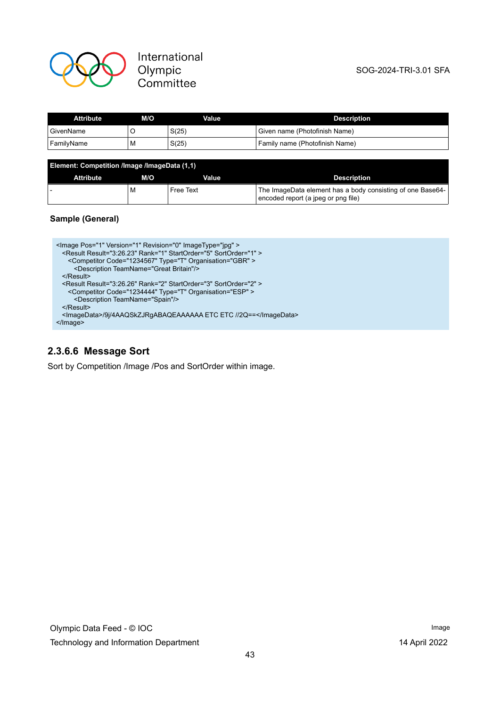

#### SOG-2024-TRI-3.01 SFA

| <b>Attribute</b> | M/O | Value | Description                    |
|------------------|-----|-------|--------------------------------|
| GivenName        | ◡   | S(25) | Given name (Photofinish Name)  |
| FamilvName       | M   | S(25) | Family name (Photofinish Name) |

<span id="page-42-1"></span>

| <b>Element: Competition /Image /ImageData (1.1)</b> |     |           |                                                                                                   |  |  |  |  |
|-----------------------------------------------------|-----|-----------|---------------------------------------------------------------------------------------------------|--|--|--|--|
| <b>Attribute</b>                                    | M/O | Value     | <b>Description</b>                                                                                |  |  |  |  |
|                                                     |     | Free Text | The ImageData element has a body consisting of one Base64-<br>encoded report (a jpeg or png file) |  |  |  |  |

#### **Sample (General)**

<Image Pos="1" Version="1" Revision="0" ImageType="jpg" > <Result Result="3:26.23" Rank="1" StartOrder="5" SortOrder="1" > <Competitor Code="1234567" Type="T" Organisation="GBR" > <Description TeamName="Great Britain"/> </Result> <Result Result="3:26.26" Rank="2" StartOrder="3" SortOrder="2" > <Competitor Code="1234444" Type="T" Organisation="ESP" > <Description TeamName="Spain"/> </Result> <ImageData>/9j/4AAQSkZJRgABAQEAAAAAA ETC ETC //2Q==</ImageData> </Image>

## <span id="page-42-0"></span>**2.3.6.6 Message Sort**

Sort by Competition /Image /Pos and SortOrder within image.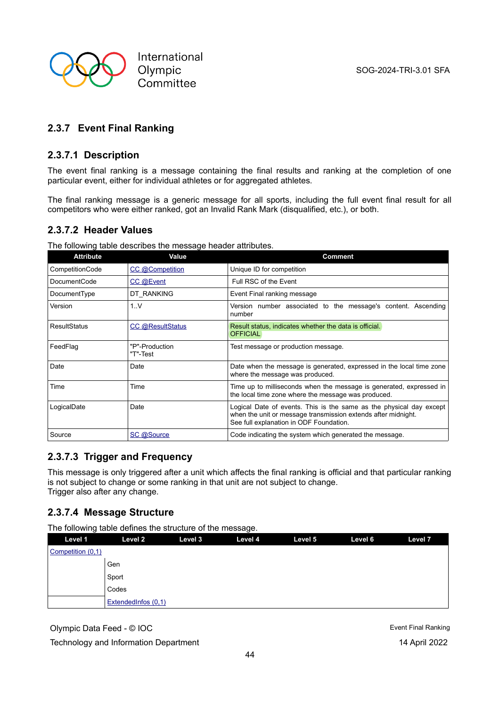

## <span id="page-43-4"></span>**2.3.7 Event Final Ranking**

#### <span id="page-43-3"></span>**2.3.7.1 Description**

The event final ranking is a message containing the final results and ranking at the completion of one particular event, either for individual athletes or for aggregated athletes.

The final ranking message is a generic message for all sports, including the full event final result for all competitors who were either ranked, got an Invalid Rank Mark (disqualified, etc.), or both.

## <span id="page-43-2"></span>**2.3.7.2 Header Values**

The following table describes the message header attributes.

| <b>Attribute</b>    | Value                      | <b>Comment</b>                                                                                                                                                                  |
|---------------------|----------------------------|---------------------------------------------------------------------------------------------------------------------------------------------------------------------------------|
| CompetitionCode     | CC @Competition            | Unique ID for competition                                                                                                                                                       |
| DocumentCode        | CC @Event                  | Full RSC of the Event                                                                                                                                                           |
| DocumentType        | DT RANKING                 | Event Final ranking message                                                                                                                                                     |
| Version             | 1.1V                       | Version number associated to the message's content. Ascending<br>number                                                                                                         |
| <b>ResultStatus</b> | CC @ResultStatus           | Result status, indicates whether the data is official.<br><b>OFFICIAL</b>                                                                                                       |
| FeedFlag            | "P"-Production<br>"T"-Test | Test message or production message.                                                                                                                                             |
| Date                | Date                       | Date when the message is generated, expressed in the local time zone<br>where the message was produced.                                                                         |
| Time                | Time                       | Time up to milliseconds when the message is generated, expressed in<br>the local time zone where the message was produced.                                                      |
| LogicalDate         | Date                       | Logical Date of events. This is the same as the physical day except<br>when the unit or message transmission extends after midnight.<br>See full explanation in ODF Foundation. |
| Source              | SC @Source                 | Code indicating the system which generated the message.                                                                                                                         |

#### <span id="page-43-1"></span>**2.3.7.3 Trigger and Frequency**

This message is only triggered after a unit which affects the final ranking is official and that particular ranking is not subject to change or some ranking in that unit are not subject to change. Trigger also after any change.

## <span id="page-43-0"></span>**2.3.7.4 Message Structure**

The following table defines the structure of the message.

| $\cdot$<br>Level 1 | Level 2             | Level 3 | $\cdot$<br>Level 4 | Level 5 | Level 6 | Level 7 |
|--------------------|---------------------|---------|--------------------|---------|---------|---------|
| Competition (0,1)  |                     |         |                    |         |         |         |
|                    | Gen                 |         |                    |         |         |         |
|                    | Sport               |         |                    |         |         |         |
|                    | Codes               |         |                    |         |         |         |
|                    | ExtendedInfos (0,1) |         |                    |         |         |         |

Olympic Data Feed - © IOC **Example 2018** Event Final Ranking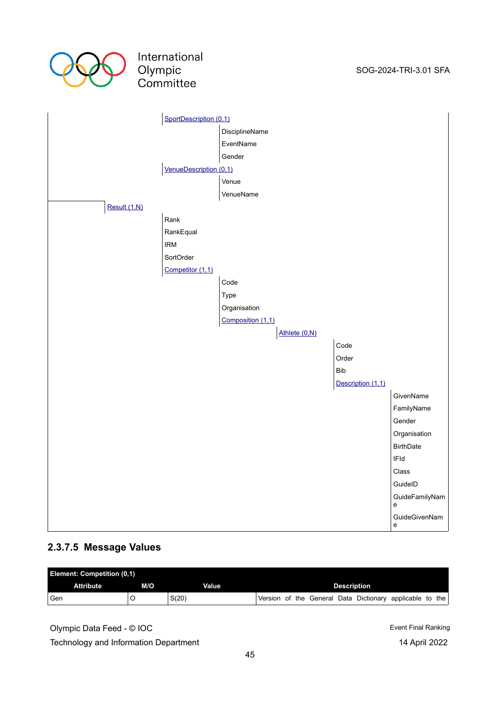



## <span id="page-44-0"></span>**2.3.7.5 Message Values**

<span id="page-44-1"></span>

| Element: Competition (0,1) |     |       |                    |  |  |  |  |  |                                                          |  |  |
|----------------------------|-----|-------|--------------------|--|--|--|--|--|----------------------------------------------------------|--|--|
| <b>Attribute</b>           | M/O | Value | <b>Description</b> |  |  |  |  |  |                                                          |  |  |
| Gen                        |     | S(20) |                    |  |  |  |  |  | Version of the General Data Dictionary applicable to the |  |  |

Olympic Data Feed - © IOC **Example 2018** Event Final Ranking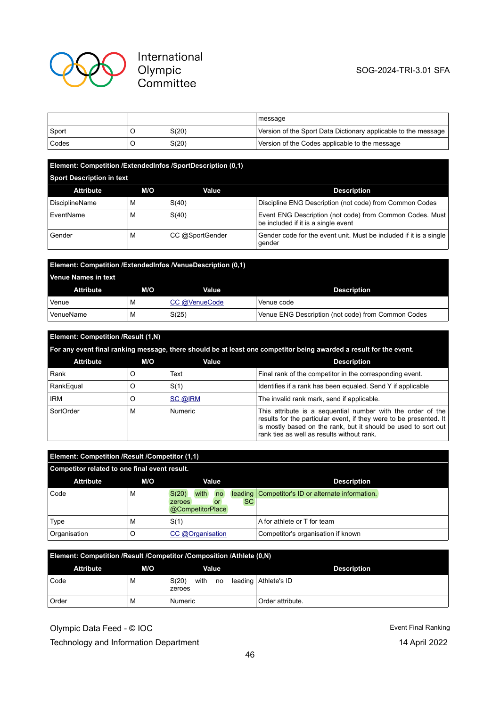

|       |       | message                                                        |
|-------|-------|----------------------------------------------------------------|
| Sport | S(20) | Version of the Sport Data Dictionary applicable to the message |
| Codes | S(20) | Version of the Codes applicable to the message                 |

<span id="page-45-4"></span>

| Element: Competition /ExtendedInfos /SportDescription (0.1) |     |                 |                                                                                                 |  |  |
|-------------------------------------------------------------|-----|-----------------|-------------------------------------------------------------------------------------------------|--|--|
| <b>Sport Description in text</b>                            |     |                 |                                                                                                 |  |  |
| <b>Attribute</b>                                            | M/O | Value           | <b>Description</b>                                                                              |  |  |
| <b>DisciplineName</b>                                       | м   | S(40)           | Discipline ENG Description (not code) from Common Codes                                         |  |  |
| EventName                                                   | M   | S(40)           | Event ENG Description (not code) from Common Codes. Must<br>be included if it is a single event |  |  |
| Gender                                                      | M   | CC @SportGender | Gender code for the event unit. Must be included if it is a single<br>gender                    |  |  |

<span id="page-45-3"></span>

| Element: Competition /ExtendedInfos /VenueDescription (0,1) |     |               |                                                    |  |
|-------------------------------------------------------------|-----|---------------|----------------------------------------------------|--|
| l Venue Names in text                                       |     |               |                                                    |  |
| <b>Attribute</b>                                            | M/O | Value         | <b>Description</b>                                 |  |
| Venue                                                       | M   | CC @VenueCode | Venue code                                         |  |
| VenueName                                                   | M   | S(25)         | Venue ENG Description (not code) from Common Codes |  |

#### <span id="page-45-2"></span>**Element: Competition /Result (1,N)**

| For any event final ranking message, there should be at least one competitor being awarded a result for the event. |     |                |                                                                                                                                                                                                                                                   |  |  |
|--------------------------------------------------------------------------------------------------------------------|-----|----------------|---------------------------------------------------------------------------------------------------------------------------------------------------------------------------------------------------------------------------------------------------|--|--|
| <b>Attribute</b>                                                                                                   | M/O | Value          | <b>Description</b>                                                                                                                                                                                                                                |  |  |
| Rank                                                                                                               | 0   | Text           | Final rank of the competitor in the corresponding event.                                                                                                                                                                                          |  |  |
| RankEqual                                                                                                          | Ő   | S(1)           | Identifies if a rank has been equaled. Send Y if applicable                                                                                                                                                                                       |  |  |
| <b>IRM</b>                                                                                                         |     | SC @IRM        | The invalid rank mark, send if applicable.                                                                                                                                                                                                        |  |  |
| SortOrder                                                                                                          | м   | <b>Numeric</b> | This attribute is a sequential number with the order of the<br>results for the particular event, if they were to be presented. It<br>is mostly based on the rank, but it should be used to sort out<br>rank ties as well as results without rank. |  |  |

<span id="page-45-1"></span>

| <b>Element: Competition /Result /Competitor (1.1)</b> |                                               |                                             |                     |           |                                                     |  |
|-------------------------------------------------------|-----------------------------------------------|---------------------------------------------|---------------------|-----------|-----------------------------------------------------|--|
|                                                       | Competitor related to one final event result. |                                             |                     |           |                                                     |  |
| <b>Attribute</b>                                      | M/O                                           |                                             | Value               |           | <b>Description</b>                                  |  |
| Code                                                  | М                                             | with<br>S(20)<br>zeroes<br>@CompetitorPlace | no<br><sub>or</sub> | <b>SC</b> | leading   Competitor's ID or alternate information. |  |
| Type                                                  | м                                             | S(1)                                        |                     |           | A for athlete or T for team                         |  |
| Organisation                                          | O                                             | CC @Organisation                            |                     |           | Competitor's organisation if known                  |  |

<span id="page-45-0"></span>

| <b>Element: Competition /Result /Competitor /Composition /Athlete (0,N)</b> |     |                               |                        |  |  |
|-----------------------------------------------------------------------------|-----|-------------------------------|------------------------|--|--|
| <b>Attribute</b>                                                            | M/O | Value                         | <b>Description</b>     |  |  |
| Code                                                                        | M   | S(20)<br>with<br>no<br>zeroes | leading   Athlete's ID |  |  |
| Order                                                                       | M   | Numeric                       | Order attribute.       |  |  |

Olympic Data Feed - © IOC **Example 2018** Event Final Ranking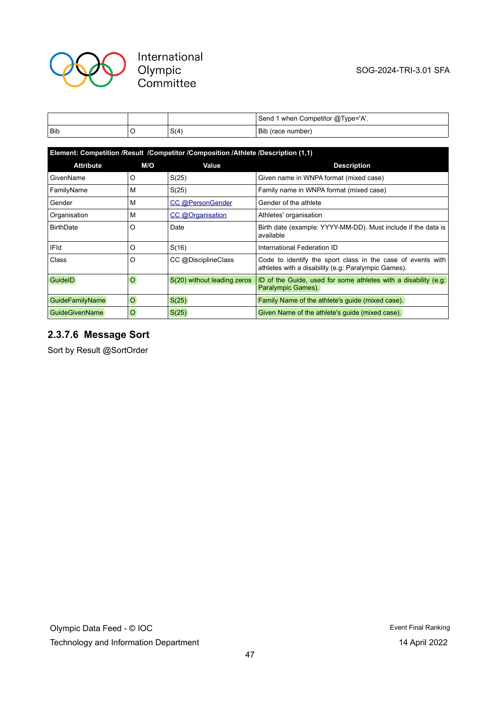

|            |      | Send 1 when Competitor @Type='A'. |
|------------|------|-----------------------------------|
| <b>Bib</b> | S(4) | Bib (race number)                 |

<span id="page-46-1"></span>

| Element: Competition /Result /Competitor /Composition /Athlete /Description (1,1) |         |                             |                                                                                                                    |  |
|-----------------------------------------------------------------------------------|---------|-----------------------------|--------------------------------------------------------------------------------------------------------------------|--|
| <b>Attribute</b>                                                                  | M/O     | Value                       | <b>Description</b>                                                                                                 |  |
| GivenName                                                                         | O       | S(25)                       | Given name in WNPA format (mixed case)                                                                             |  |
| FamilyName                                                                        | м       | S(25)                       | Family name in WNPA format (mixed case)                                                                            |  |
| Gender                                                                            | м       | CC @PersonGender            | Gender of the athlete                                                                                              |  |
| Organisation                                                                      | м       | CC @Organisation            | Athletes' organisation                                                                                             |  |
| <b>BirthDate</b>                                                                  | O       | Date                        | Birth date (example: YYYY-MM-DD). Must include if the data is<br>available                                         |  |
| <b>IFId</b>                                                                       | O       | S(16)                       | International Federation ID                                                                                        |  |
| Class                                                                             | O       | CC @DisciplineClass         | Code to identify the sport class in the case of events with<br>athletes with a disability (e.g: Paralympic Games). |  |
| GuidelD                                                                           | $\circ$ | S(20) without leading zeros | ID of the Guide, used for some athletes with a disability (e.g.<br>Paralympic Games).                              |  |
| <b>GuideFamilyName</b>                                                            | $\circ$ | S(25)                       | Family Name of the athlete's quide (mixed case).                                                                   |  |
| GuideGivenName                                                                    | $\circ$ | S(25)                       | Given Name of the athlete's quide (mixed case).                                                                    |  |

## <span id="page-46-0"></span>**2.3.7.6 Message Sort**

Sort by Result @SortOrder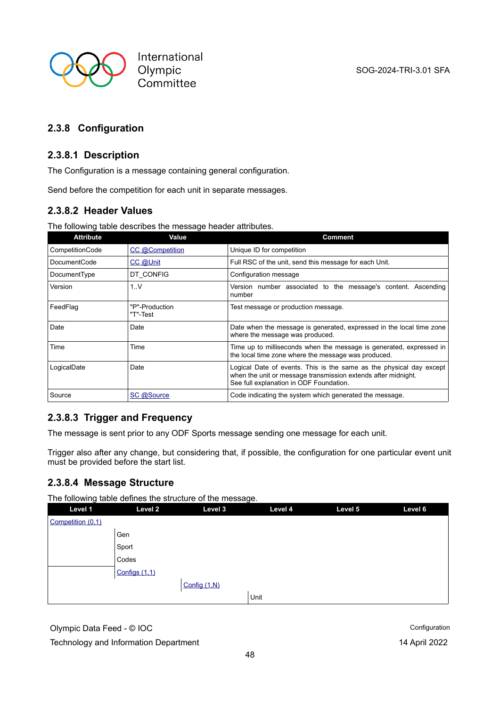

## <span id="page-47-4"></span>**2.3.8 Configuration**

## <span id="page-47-3"></span>**2.3.8.1 Description**

The Configuration is a message containing general configuration.

Send before the competition for each unit in separate messages.

## <span id="page-47-2"></span>**2.3.8.2 Header Values**

The following table describes the message header attributes.

| <b>Attribute</b> | Value                      | <b>Comment</b>                                                                                                                                                                  |
|------------------|----------------------------|---------------------------------------------------------------------------------------------------------------------------------------------------------------------------------|
| CompetitionCode  | CC @Competition            | Unique ID for competition                                                                                                                                                       |
| DocumentCode     | CC @Unit                   | Full RSC of the unit, send this message for each Unit.                                                                                                                          |
| DocumentType     | DT CONFIG                  | Configuration message                                                                                                                                                           |
| Version          | 1.1V                       | Version number associated to the message's content. Ascending<br>number                                                                                                         |
| FeedFlag         | "P"-Production<br>"T"-Test | Test message or production message.                                                                                                                                             |
| Date             | Date                       | Date when the message is generated, expressed in the local time zone<br>where the message was produced.                                                                         |
| Time             | Time                       | Time up to milliseconds when the message is generated, expressed in<br>the local time zone where the message was produced.                                                      |
| LogicalDate      | Date                       | Logical Date of events. This is the same as the physical day except<br>when the unit or message transmission extends after midnight.<br>See full explanation in ODF Foundation. |
| Source           | <b>SC @Source</b>          | Code indicating the system which generated the message.                                                                                                                         |

## <span id="page-47-1"></span>**2.3.8.3 Trigger and Frequency**

The message is sent prior to any ODF Sports message sending one message for each unit.

Trigger also after any change, but considering that, if possible, the configuration for one particular event unit must be provided before the start list.

## <span id="page-47-0"></span>**2.3.8.4 Message Structure**

The following table defines the structure of the message.

| Level 1           | Level 2         | Level 3      | Level 4 | Level 5 | Level 6 |
|-------------------|-----------------|--------------|---------|---------|---------|
| Competition (0,1) |                 |              |         |         |         |
|                   | Gen             |              |         |         |         |
|                   | Sport           |              |         |         |         |
|                   | Codes           |              |         |         |         |
|                   | Configs $(1,1)$ |              |         |         |         |
|                   |                 | Config (1,N) |         |         |         |
|                   |                 |              | Unit    |         |         |

Olympic Data Feed - © IOC Configuration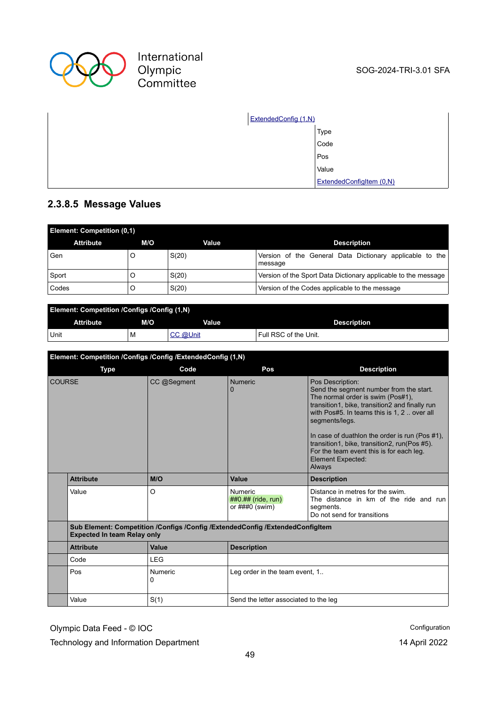

| ExtendedConfig (1,N) |                          |
|----------------------|--------------------------|
|                      | Type                     |
|                      | Code                     |
|                      | Pos                      |
|                      | Value                    |
|                      | ExtendedConfigItem (0,N) |

## <span id="page-48-0"></span>**2.3.8.5 Message Values**

<span id="page-48-2"></span>

| <b>Element: Competition (0,1)</b> |     |       |                                                                     |  |  |
|-----------------------------------|-----|-------|---------------------------------------------------------------------|--|--|
| <b>Attribute</b>                  | M/O | Value | <b>Description</b>                                                  |  |  |
| Gen                               |     | S(20) | Version of the General Data Dictionary applicable to the<br>message |  |  |
| Sport                             |     | S(20) | Version of the Sport Data Dictionary applicable to the message      |  |  |
| Codes                             |     | S(20) | Version of the Codes applicable to the message                      |  |  |

<span id="page-48-1"></span>

| Element: Competition /Configs /Config (1,N) |     |          |                                    |  |  |
|---------------------------------------------|-----|----------|------------------------------------|--|--|
| <b>Attribute</b>                            | M/O | Value    | <b>Description</b>                 |  |  |
| Unit                                        | M   | CC @Unit | <sup>'</sup> Full RSC of the Unit. |  |  |

<span id="page-48-3"></span>

|                     | Element: Competition /Configs /Config /ExtendedConfig (1,N) |                                                                               |                                                             |                                                                                                                                                                                                                                                                                                                                                                                                         |  |
|---------------------|-------------------------------------------------------------|-------------------------------------------------------------------------------|-------------------------------------------------------------|---------------------------------------------------------------------------------------------------------------------------------------------------------------------------------------------------------------------------------------------------------------------------------------------------------------------------------------------------------------------------------------------------------|--|
| Code<br><b>Type</b> |                                                             |                                                                               | Pos                                                         | <b>Description</b>                                                                                                                                                                                                                                                                                                                                                                                      |  |
| <b>COURSE</b>       |                                                             | CC @Segment                                                                   | <b>Numeric</b><br>$\mathbf{0}$                              | Pos Description:<br>Send the segment number from the start.<br>The normal order is swim (Pos#1),<br>transition1, bike, transition2 and finally run<br>with Pos#5. In teams this is 1, 2. over all<br>segments/legs.<br>In case of duathlon the order is run (Pos #1).<br>transition1, bike, transition2, run(Pos #5).<br>For the team event this is for each leg.<br><b>Element Expected:</b><br>Always |  |
|                     | <b>Attribute</b>                                            | M/O                                                                           | Value                                                       | <b>Description</b>                                                                                                                                                                                                                                                                                                                                                                                      |  |
|                     | Value                                                       | $\circ$                                                                       | <b>Numeric</b><br>##0.## (ride, run)<br>or $\# \# 0$ (swim) | Distance in metres for the swim.<br>The distance in km of the ride and run<br>segments.<br>Do not send for transitions                                                                                                                                                                                                                                                                                  |  |
|                     | <b>Expected In team Relay only</b>                          | Sub Element: Competition /Configs /Config /ExtendedConfig /ExtendedConfigltem |                                                             |                                                                                                                                                                                                                                                                                                                                                                                                         |  |
|                     | <b>Attribute</b>                                            | Value                                                                         | <b>Description</b>                                          |                                                                                                                                                                                                                                                                                                                                                                                                         |  |
|                     | Code                                                        | <b>LEG</b>                                                                    |                                                             |                                                                                                                                                                                                                                                                                                                                                                                                         |  |
|                     | Pos                                                         | Numeric<br>0                                                                  | Leg order in the team event, 1.                             |                                                                                                                                                                                                                                                                                                                                                                                                         |  |
|                     | Value                                                       | S(1)                                                                          | Send the letter associated to the leg                       |                                                                                                                                                                                                                                                                                                                                                                                                         |  |

Olympic Data Feed - © IOC Configuration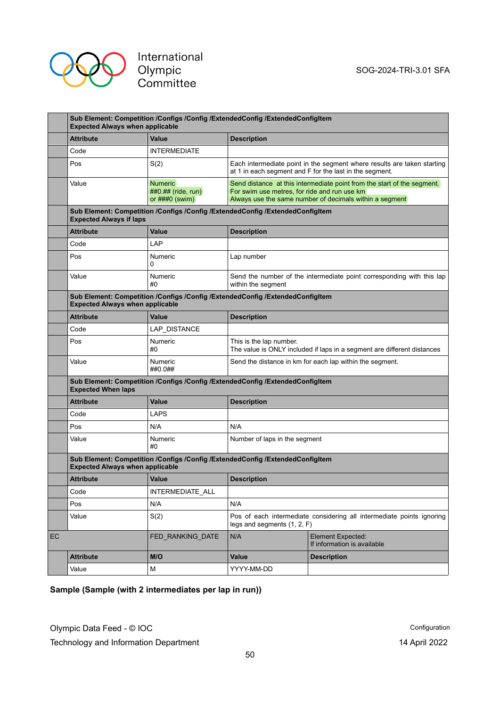

|    | <b>Expected Always when applicable</b> |                                                                                       | Sub Element: Competition /Configs /Config /ExtendedConfig /ExtendedConfigltem                        |                                                                                                                                    |  |
|----|----------------------------------------|---------------------------------------------------------------------------------------|------------------------------------------------------------------------------------------------------|------------------------------------------------------------------------------------------------------------------------------------|--|
|    | <b>Attribute</b>                       | <b>Value</b>                                                                          | <b>Description</b>                                                                                   |                                                                                                                                    |  |
|    | Code                                   | <b>INTERMEDIATE</b>                                                                   |                                                                                                      |                                                                                                                                    |  |
|    | Pos                                    | S(2)                                                                                  |                                                                                                      | Each intermediate point in the segment where results are taken starting<br>at 1 in each segment and F for the last in the segment. |  |
|    | Value                                  | <b>Numeric</b><br>$\#40.$ ## (ride, run)<br>or $\# \# 0$ (swim)                       | For swim use metres, for ride and run use km                                                         | Send distance at this intermediate point from the start of the segment.<br>Always use the same number of decimals within a segment |  |
|    | <b>Expected Always if laps</b>         |                                                                                       | Sub Element: Competition /Configs /Config /ExtendedConfig /ExtendedConfigItem                        |                                                                                                                                    |  |
|    | <b>Attribute</b>                       | <b>Value</b>                                                                          | <b>Description</b>                                                                                   |                                                                                                                                    |  |
|    | Code                                   | LAP                                                                                   |                                                                                                      |                                                                                                                                    |  |
|    | Pos                                    | Numeric<br>0                                                                          | Lap number                                                                                           |                                                                                                                                    |  |
|    | Value                                  | Numeric<br>#0                                                                         | within the segment                                                                                   | Send the number of the intermediate point corresponding with this lap                                                              |  |
|    | <b>Expected Always when applicable</b> |                                                                                       | Sub Element: Competition /Configs /Config /ExtendedConfig /ExtendedConfigltem                        |                                                                                                                                    |  |
|    | <b>Attribute</b>                       | Value                                                                                 | <b>Description</b>                                                                                   |                                                                                                                                    |  |
|    | Code                                   | <b>LAP DISTANCE</b>                                                                   |                                                                                                      |                                                                                                                                    |  |
|    | Pos                                    | Numeric<br>#0                                                                         | This is the lap number.<br>The value is ONLY included if laps in a segment are different distances   |                                                                                                                                    |  |
|    | Value                                  | Numeric<br>##0.0##                                                                    | Send the distance in km for each lap within the segment.                                             |                                                                                                                                    |  |
|    | <b>Expected When laps</b>              |                                                                                       | Sub Element: Competition /Configs /Config /ExtendedConfig /ExtendedConfigltem                        |                                                                                                                                    |  |
|    | <b>Attribute</b>                       | <b>Value</b>                                                                          | <b>Description</b>                                                                                   |                                                                                                                                    |  |
|    | Code                                   | LAPS                                                                                  |                                                                                                      |                                                                                                                                    |  |
|    | Pos                                    | N/A                                                                                   | N/A                                                                                                  |                                                                                                                                    |  |
|    | Value                                  | Numeric<br>#()                                                                        | Number of laps in the segment                                                                        |                                                                                                                                    |  |
|    | <b>Expected Always when applicable</b> |                                                                                       | Sub Element: Competition /Configs /Config /ExtendedConfig /ExtendedConfigltem                        |                                                                                                                                    |  |
|    | <b>Attribute</b>                       | Value                                                                                 | <b>Description</b>                                                                                   |                                                                                                                                    |  |
|    | Code                                   | INTERMEDIATE ALL                                                                      |                                                                                                      |                                                                                                                                    |  |
|    | Pos                                    | N/A                                                                                   | N/A                                                                                                  |                                                                                                                                    |  |
|    | Value                                  | S(2)                                                                                  | Pos of each intermediate considering all intermediate points ignoring<br>legs and segments (1, 2, F) |                                                                                                                                    |  |
| EC |                                        | <b>FED RANKING DATE</b>                                                               | N/A<br><b>Element Expected:</b><br>If information is available                                       |                                                                                                                                    |  |
|    | <b>Attribute</b>                       | M/O                                                                                   | <b>Value</b>                                                                                         | <b>Description</b>                                                                                                                 |  |
|    | Value                                  | $\mathsf{M}% _{T}=\mathsf{M}_{T}\!\left( a,b\right) ,\ \mathsf{M}_{T}=\mathsf{M}_{T}$ | YYYY-MM-DD                                                                                           |                                                                                                                                    |  |

## **Sample (Sample (with 2 intermediates per lap in run))**

Olympic Data Feed - © IOC Configuration Technology and Information Department 14 April 2022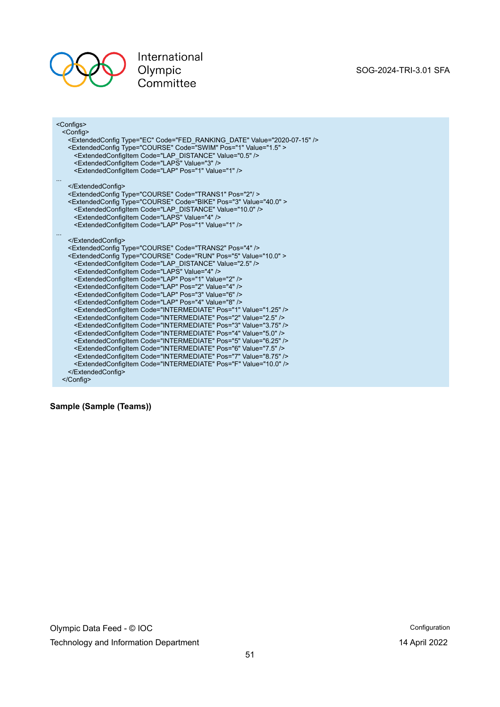

#### SOG-2024-TRI-3.01 SFA

| <configs></configs>                                                                                                                                                                                                                                     |
|---------------------------------------------------------------------------------------------------------------------------------------------------------------------------------------------------------------------------------------------------------|
| <config></config>                                                                                                                                                                                                                                       |
| <extendedconfig code="FED_RANKING_DATE" type="EC" value="2020-07-15"></extendedconfig><br><extendedconfig code="SWIM" pos="1" type="COURSE" value="1.5"><br/><extendedconfigitem code="LAP_DISTANCE" value="0.5"></extendedconfigitem></extendedconfig> |
| <extendedconfigitem code="LAPS" value="3"></extendedconfigitem>                                                                                                                                                                                         |
| <extendedconfigitem code="LAP" pos="1" value="1"></extendedconfigitem>                                                                                                                                                                                  |
|                                                                                                                                                                                                                                                         |
| <extendedconfig code="TRANS1" pos="2" type="COURSE"></extendedconfig>                                                                                                                                                                                   |
| <extendedconfig code="BIKE" pos="3" type="COURSE" value="40.0"></extendedconfig>                                                                                                                                                                        |
| <extendedconfigitem code="LAP_DISTANCE" value="10.0"></extendedconfigitem>                                                                                                                                                                              |
| <extendedconfigitem code="LAPS" value="4"></extendedconfigitem>                                                                                                                                                                                         |
| <extendedconfigitem code="LAP" pos="1" value="1"></extendedconfigitem>                                                                                                                                                                                  |
|                                                                                                                                                                                                                                                         |
|                                                                                                                                                                                                                                                         |
| <extendedconfig code="TRANS2" pos="4" type="COURSE"></extendedconfig>                                                                                                                                                                                   |
| <extendedconfig code="RUN" pos="5" type="COURSE" value="10.0"></extendedconfig>                                                                                                                                                                         |
| <extendedconfigitem code="LAP_DISTANCE" value="2.5"></extendedconfigitem>                                                                                                                                                                               |
| <extendedconfigitem code="LAPS" value="4"></extendedconfigitem>                                                                                                                                                                                         |
| <extendedconfigitem code="LAP" pos="1" value="2"></extendedconfigitem>                                                                                                                                                                                  |
| <extendedconfigitem code="LAP" pos="2" value="4"></extendedconfigitem>                                                                                                                                                                                  |
| <extendedconfigitem code="LAP" pos="3" value="6"></extendedconfigitem>                                                                                                                                                                                  |
| <extendedconfigitem code="LAP" pos="4" value="8"></extendedconfigitem>                                                                                                                                                                                  |
| <extendedconfigitem code="INTERMEDIATE" pos="1" value="1.25"></extendedconfigitem>                                                                                                                                                                      |
| <extendedconfigitem code="INTERMEDIATE" pos="2" value="2.5"></extendedconfigitem>                                                                                                                                                                       |
| <extendedconfigitem code="INTERMEDIATE" pos="3" value="3.75"></extendedconfigitem>                                                                                                                                                                      |
| <extendedconfigitem code="INTERMEDIATE" pos="4" value="5.0"></extendedconfigitem>                                                                                                                                                                       |
| <extendedconfigitem code="INTERMEDIATE" pos="5" value="6.25"></extendedconfigitem>                                                                                                                                                                      |
| <extendedconfigitem code="INTERMEDIATE" pos="6" value="7.5"></extendedconfigitem>                                                                                                                                                                       |
| <extendedconfigitem code="INTERMEDIATE" pos="7" value="8.75"></extendedconfigitem>                                                                                                                                                                      |
| <extendedconfigitem code="INTERMEDIATE" pos="F" value="10.0"></extendedconfigitem>                                                                                                                                                                      |
|                                                                                                                                                                                                                                                         |
|                                                                                                                                                                                                                                                         |

## **Sample (Sample (Teams))**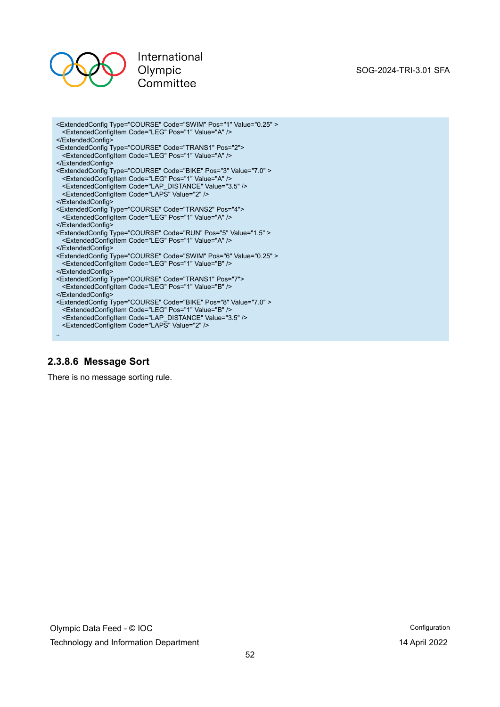

| <extendedconfig code="SWIM" pos="1" type="COURSE" value="0.25"><br/><extendedconfigitem code="LEG" pos="1" value="A"></extendedconfigitem></extendedconfig> |  |
|-------------------------------------------------------------------------------------------------------------------------------------------------------------|--|
|                                                                                                                                                             |  |
| <extendedconfig code="TRANS1" pos="2" type="COURSE"><br/><extendedconfigitem code="LEG" pos="1" value="A"></extendedconfigitem></extendedconfig>            |  |
|                                                                                                                                                             |  |
| <extendedconfig code="BIKE" pos="3" type="COURSE" value="7.0"><br/><extendedconfigitem code="LEG" pos="1" value="A"></extendedconfigitem></extendedconfig>  |  |
| <extendedconfigitem code="LAP_DISTANCE" value="3.5"></extendedconfigitem>                                                                                   |  |
| <extendedconfigitem code="LAPS" value="2"></extendedconfigitem>                                                                                             |  |
|                                                                                                                                                             |  |
| <extendedconfig code="TRANS2" pos="4" type="COURSE"></extendedconfig>                                                                                       |  |
| <extendedconfigitem code="LEG" pos="1" value="A"></extendedconfigitem>                                                                                      |  |
|                                                                                                                                                             |  |
| <extendedconfig code="RUN" pos="5" type="COURSE" value="1.5"></extendedconfig>                                                                              |  |
| <extendedconfigitem code="LEG" pos="1" value="A"></extendedconfigitem>                                                                                      |  |
|                                                                                                                                                             |  |
| <extendedconfig code="SWIM" pos="6" type="COURSE" value="0.25"><br/><extendedconfigitem code="LEG" pos="1" value="B"></extendedconfigitem></extendedconfig> |  |
|                                                                                                                                                             |  |
| <extendedconfig code="TRANS1" pos="7" type="COURSE"><br/><extendedconfigitem code="LEG" pos="1" value="B"></extendedconfigitem></extendedconfig>            |  |
|                                                                                                                                                             |  |
| <extendedconfig code="BIKE" pos="8" type="COURSE" value="7.0"><br/><extendedconfigitem code="LEG" pos="1" value="B"></extendedconfigitem></extendedconfig>  |  |
| <extendedconfigitem code="LAP_DISTANCE" value="3.5"></extendedconfigitem>                                                                                   |  |
| <extendedconfigitem code="LAPS" value="2"></extendedconfigitem>                                                                                             |  |
|                                                                                                                                                             |  |

## <span id="page-51-0"></span>**2.3.8.6 Message Sort**

There is no message sorting rule.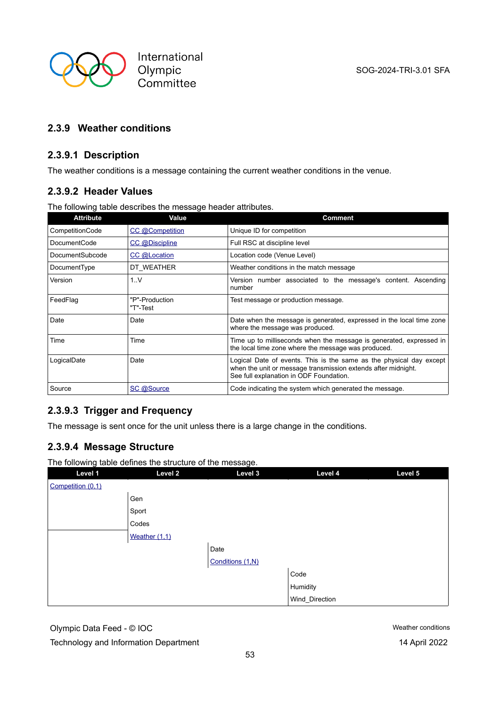

## <span id="page-52-4"></span>**2.3.9 Weather conditions**

## <span id="page-52-3"></span>**2.3.9.1 Description**

The weather conditions is a message containing the current weather conditions in the venue.

#### <span id="page-52-2"></span>**2.3.9.2 Header Values**

The following table describes the message header attributes.

| <b>Attribute</b>    | Value                      | <b>Comment</b>                                                                                                                                                                  |
|---------------------|----------------------------|---------------------------------------------------------------------------------------------------------------------------------------------------------------------------------|
| CompetitionCode     | CC @Competition            | Unique ID for competition                                                                                                                                                       |
| <b>DocumentCode</b> | CC @Discipline             | Full RSC at discipline level                                                                                                                                                    |
| DocumentSubcode     | CC @Location               | Location code (Venue Level)                                                                                                                                                     |
| DocumentType        | DT WEATHER                 | Weather conditions in the match message                                                                                                                                         |
| Version             | 1.1V                       | Version number associated to the message's content. Ascending<br>number                                                                                                         |
| FeedFlag            | "P"-Production<br>"T"-Test | Test message or production message.                                                                                                                                             |
| Date                | Date                       | Date when the message is generated, expressed in the local time zone<br>where the message was produced.                                                                         |
| Time                | Time                       | Time up to milliseconds when the message is generated, expressed in<br>the local time zone where the message was produced.                                                      |
| LogicalDate         | Date                       | Logical Date of events. This is the same as the physical day except<br>when the unit or message transmission extends after midnight.<br>See full explanation in ODF Foundation. |
| Source              | SC @Source                 | Code indicating the system which generated the message.                                                                                                                         |

## <span id="page-52-1"></span>**2.3.9.3 Trigger and Frequency**

The message is sent once for the unit unless there is a large change in the conditions.

## <span id="page-52-0"></span>**2.3.9.4 Message Structure**

The following table defines the structure of the message.

| Level 1           | Level 2         | Level 3          | Level 4        | Level 5 |
|-------------------|-----------------|------------------|----------------|---------|
| Competition (0,1) |                 |                  |                |         |
|                   | Gen             |                  |                |         |
|                   | Sport           |                  |                |         |
|                   | Codes           |                  |                |         |
|                   | Weather $(1,1)$ |                  |                |         |
|                   |                 | Date             |                |         |
|                   |                 | Conditions (1,N) |                |         |
|                   |                 |                  | Code           |         |
|                   |                 |                  | Humidity       |         |
|                   |                 |                  | Wind_Direction |         |

Olympic Data Feed - © IOC Weather conditions Technology and Information Department 14 April 2022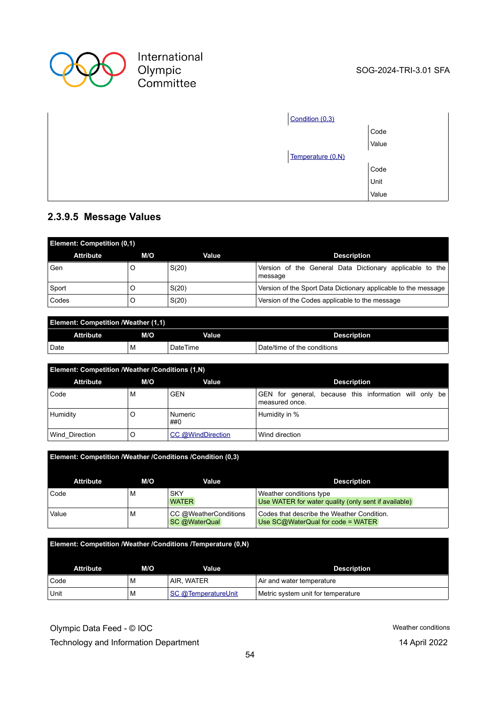

| Condition (0,3)   |       |
|-------------------|-------|
|                   | Code  |
|                   | Value |
| Temperature (0,N) |       |
|                   | Code  |
|                   | Unit  |
|                   | Value |

## <span id="page-53-0"></span>**2.3.9.5 Message Values**

<span id="page-53-3"></span>

| <b>Element: Competition (0,1)</b> |     |       |                                                                     |  |
|-----------------------------------|-----|-------|---------------------------------------------------------------------|--|
| <b>Attribute</b>                  | M/O | Value | <b>Description</b>                                                  |  |
| Gen                               |     | S(20) | Version of the General Data Dictionary applicable to the<br>message |  |
| Sport                             |     | S(20) | Version of the Sport Data Dictionary applicable to the message      |  |
| Codes                             |     | S(20) | Version of the Codes applicable to the message                      |  |

<span id="page-53-2"></span>

| <b>Element: Competition /Weather (1,1)</b> |     |              |                             |  |  |
|--------------------------------------------|-----|--------------|-----------------------------|--|--|
| <b>Attribute</b>                           | M/O | <b>Value</b> | <b>Description</b>          |  |  |
| Date                                       |     | DateTime     | Date/time of the conditions |  |  |

<span id="page-53-1"></span>

| <b>Element: Competition /Weather /Conditions (1,N)</b> |     |                   |                                                                          |  |  |
|--------------------------------------------------------|-----|-------------------|--------------------------------------------------------------------------|--|--|
| <b>Attribute</b>                                       | M/O | Value             | <b>Description</b>                                                       |  |  |
| Code                                                   | М   | <b>GEN</b>        | GEN for general, because this information will only be<br>measured once. |  |  |
| Humidity                                               | Ő   | Numeric<br>##0    | Humidity in %                                                            |  |  |
| Wind Direction                                         | Ő   | CC @WindDirection | Wind direction                                                           |  |  |

<span id="page-53-5"></span>

| Element: Competition / Weather / Conditions / Condition (0.3) |     |                                        |                                                                                   |  |
|---------------------------------------------------------------|-----|----------------------------------------|-----------------------------------------------------------------------------------|--|
| <b>Attribute</b>                                              | M/O | Value                                  | <b>Description</b>                                                                |  |
| Code                                                          | М   | <b>SKY</b><br><b>WATER</b>             | Weather conditions type<br>Use WATER for water quality (only sent if available)   |  |
| Value                                                         | м   | CC @WeatherConditions<br>SC @WaterQual | Codes that describe the Weather Condition.<br>Use $SC@WaterQual$ for code = WATER |  |

<span id="page-53-4"></span>

| Element: Competition /Weather /Conditions /Temperature (0,N) |     |                     |                                    |  |
|--------------------------------------------------------------|-----|---------------------|------------------------------------|--|
| <b>Attribute</b>                                             | M/O | Value               | <b>Description</b>                 |  |
| Code                                                         | M   | AIR, WATER          | Air and water temperature          |  |
| Unit                                                         | M   | SC @TemperatureUnit | Metric system unit for temperature |  |

Olympic Data Feed - © IOC Weather conditions Technology and Information Department 14 April 2022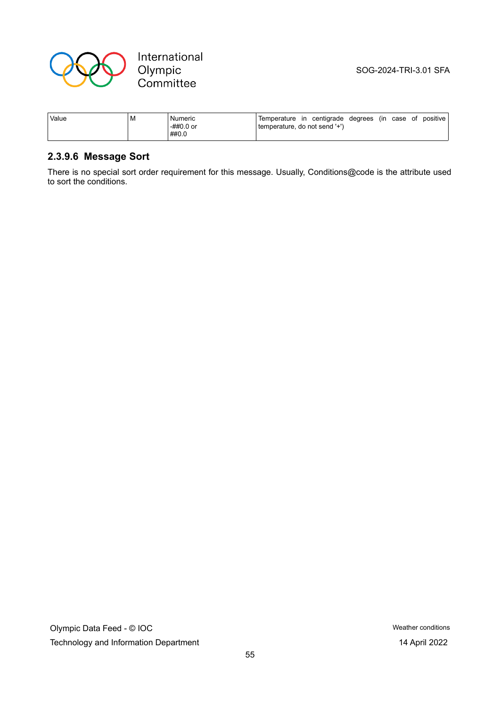

| Value<br>Numeric<br>M<br>-##0.0 or<br>##0.0 | positive l<br>Temperature in centigrade degrees (in case of<br>temperature, do not send '+') |
|---------------------------------------------|----------------------------------------------------------------------------------------------|
|---------------------------------------------|----------------------------------------------------------------------------------------------|

## <span id="page-54-0"></span>**2.3.9.6 Message Sort**

There is no special sort order requirement for this message. Usually, Conditions@code is the attribute used to sort the conditions.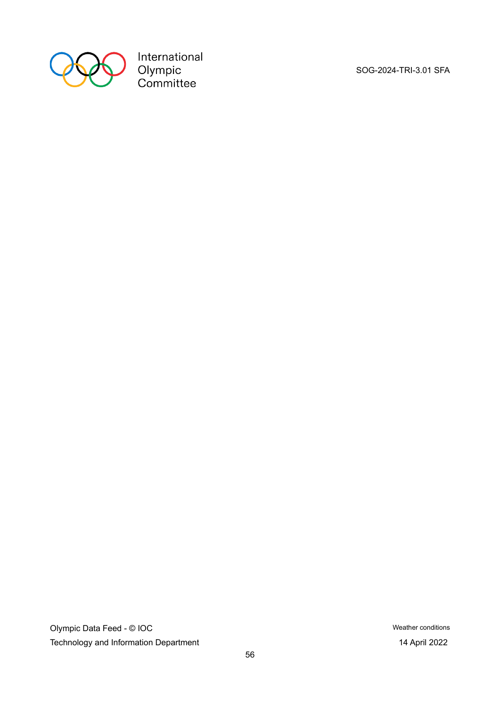

SOG-2024-TRI-3.01 SFA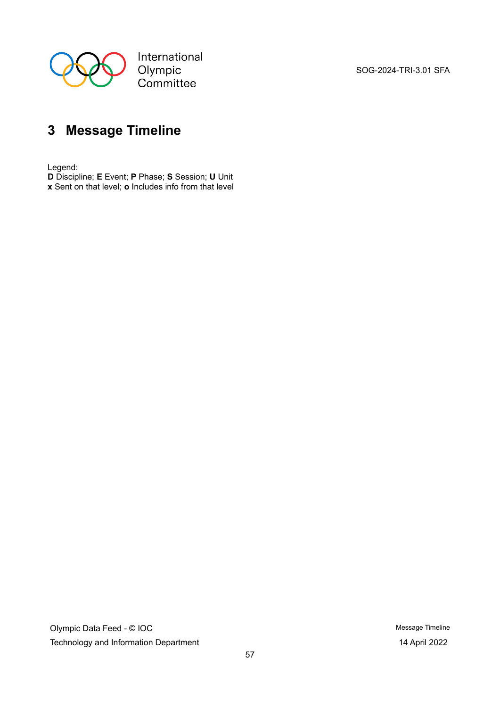

SOG-2024-TRI-3.01 SFA

# <span id="page-56-0"></span>**3 Message Timeline**

Legend:

**D** Discipline; **E** Event; **P** Phase; **S** Session; **U** Unit **x** Sent on that level; **o** Includes info from that level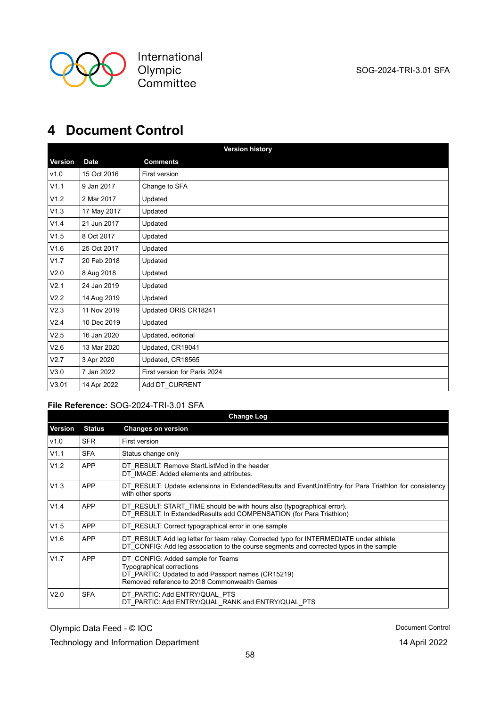

# <span id="page-57-0"></span>**4 Document Control**

|         | <b>Version history</b> |                              |  |
|---------|------------------------|------------------------------|--|
| Version | <b>Date</b>            | <b>Comments</b>              |  |
| v1.0    | 15 Oct 2016            | First version                |  |
| V1.1    | 9 Jan 2017             | Change to SFA                |  |
| V1.2    | 2 Mar 2017             | Updated                      |  |
| V1.3    | 17 May 2017            | Updated                      |  |
| V1.4    | 21 Jun 2017            | Updated                      |  |
| V1.5    | 8 Oct 2017             | Updated                      |  |
| V1.6    | 25 Oct 2017            | Updated                      |  |
| V1.7    | 20 Feb 2018            | Updated                      |  |
| V2.0    | 8 Aug 2018             | Updated                      |  |
| V2.1    | 24 Jan 2019            | Updated                      |  |
| V2.2    | 14 Aug 2019            | Updated                      |  |
| V2.3    | 11 Nov 2019            | Updated ORIS CR18241         |  |
| V2.4    | 10 Dec 2019            | Updated                      |  |
| V2.5    | 16 Jan 2020            | Updated, editorial           |  |
| V2.6    | 13 Mar 2020            | Updated, CR19041             |  |
| V2.7    | 3 Apr 2020             | Updated, CR18565             |  |
| V3.0    | 7 Jan 2022             | First version for Paris 2024 |  |
| V3.01   | 14 Apr 2022            | Add DT CURRENT               |  |

#### **File Reference:** SOG-2024-TRI-3.01 SFA

|         |               | <b>Change Log</b>                                                                                                                                                                  |
|---------|---------------|------------------------------------------------------------------------------------------------------------------------------------------------------------------------------------|
| Version | <b>Status</b> | <b>Changes on version</b>                                                                                                                                                          |
| v1.0    | <b>SFR</b>    | First version                                                                                                                                                                      |
| V1.1    | <b>SFA</b>    | Status change only                                                                                                                                                                 |
| V1.2    | <b>APP</b>    | DT RESULT: Remove StartListMod in the header<br>DT IMAGE: Added elements and attributes.                                                                                           |
| V1.3    | <b>APP</b>    | DT RESULT: Update extensions in ExtendedResults and EventUnitEntry for Para Triathlon for consistency<br>with other sports                                                         |
| V1.4    | <b>APP</b>    | DT_RESULT: START_TIME should be with hours also (typographical error).<br>DT RESULT: In ExtendedResults add COMPENSATION (for Para Triathlon)                                      |
| V1.5    | <b>APP</b>    | DT RESULT: Correct typographical error in one sample                                                                                                                               |
| V1.6    | <b>APP</b>    | DT RESULT: Add leg letter for team relay. Corrected typo for INTERMEDIATE under athlete<br>DT CONFIG: Add leg association to the course segments and corrected typos in the sample |
| V1.7    | <b>APP</b>    | DT CONFIG: Added sample for Teams<br><b>Typographical corrections</b><br>DT PARTIC: Updated to add Passport names (CR15219)<br>Removed reference to 2018 Commonwealth Games        |
| V2.0    | <b>SFA</b>    | DT PARTIC: Add ENTRY/QUAL PTS<br>DT PARTIC: Add ENTRY/QUAL RANK and ENTRY/QUAL PTS                                                                                                 |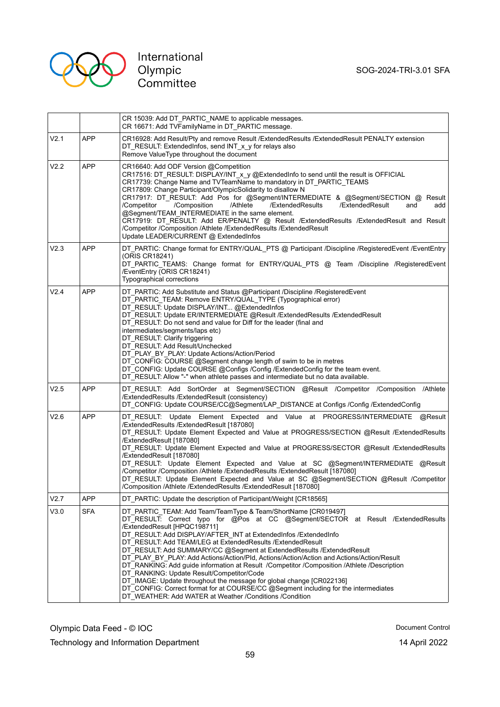

|      |            | CR 15039: Add DT PARTIC NAME to applicable messages.<br>CR 16671: Add TVFamilyName in DT_PARTIC message.                                                                                                                                                                                                                                                                                                                                                                                                                                                                                                                                                                                                                                                                                                                                                          |
|------|------------|-------------------------------------------------------------------------------------------------------------------------------------------------------------------------------------------------------------------------------------------------------------------------------------------------------------------------------------------------------------------------------------------------------------------------------------------------------------------------------------------------------------------------------------------------------------------------------------------------------------------------------------------------------------------------------------------------------------------------------------------------------------------------------------------------------------------------------------------------------------------|
| V2.1 | <b>APP</b> | CR16928: Add Result/Pty and remove Result /ExtendedResults /ExtendedResult PENALTY extension<br>DT_RESULT: ExtendedInfos, send INT_x_y for relays also<br>Remove ValueType throughout the document                                                                                                                                                                                                                                                                                                                                                                                                                                                                                                                                                                                                                                                                |
| V2.2 | <b>APP</b> | CR16640: Add ODF Version @Competition<br>CR17516: DT_RESULT: DISPLAY/INT_x_y @ExtendedInfo to send until the result is OFFICIAL<br>CR17739: Change Name and TVTeamName to mandatory in DT PARTIC TEAMS<br>CR17809: Change Participant/OlympicSolidarity to disallow N<br>CR17917: DT_RESULT: Add Pos for @Segment/INTERMEDIATE & @Segment/SECTION @ Result<br>/Competitor<br>/Composition<br>/Athlete<br>/ExtendedResult<br>/ExtendedResults<br>and<br>add<br>@Segment/TEAM INTERMEDIATE in the same element.<br>CR17919: DT RESULT: Add ER/PENALTY @ Result /ExtendedResults /ExtendedResult and Result<br>/Competitor /Composition /Athlete /ExtendedResults /ExtendedResult<br>Update LEADER/CURRENT @ ExtendedInfos                                                                                                                                           |
| V2.3 | <b>APP</b> | DT_PARTIC: Change format for ENTRY/QUAL_PTS @ Participant /Discipline /RegisteredEvent /EventEntry<br>(ORIS CR18241)<br>DT PARTIC TEAMS: Change format for ENTRY/QUAL PTS @ Team /Discipline /RegisteredEvent<br>/EventEntry (ORIS CR18241)<br>Typographical corrections                                                                                                                                                                                                                                                                                                                                                                                                                                                                                                                                                                                          |
| V2.4 | <b>APP</b> | DT_PARTIC: Add Substitute and Status @Participant /Discipline /RegisteredEvent<br>DT_PARTIC_TEAM: Remove ENTRY/QUAL_TYPE (Typographical error)<br>DT_RESULT: Update DISPLAY/INT @ExtendedInfos<br>DT_RESULT: Update ER/INTERMEDIATE @Result /ExtendedResults /ExtendedResult<br>DT RESULT: Do not send and value for Diff for the leader (final and<br>intermediates/segments/laps etc)<br>DT RESULT: Clarify triggering<br>DT RESULT: Add Result/Unchecked<br>DT PLAY BY PLAY: Update Actions/Action/Period<br>DT CONFIG: COURSE @Segment change length of swim to be in metres<br>DT_CONFIG: Update COURSE @Configs /Config /ExtendedConfig for the team event.<br>DT_RESULT: Allow "-" when athlete passes and intermediate but no data available.                                                                                                             |
| V2.5 | <b>APP</b> | DT RESULT: Add SortOrder at Segment/SECTION @Result /Competitor /Composition /Athlete<br>/ExtendedResults /ExtendedResult (consistency)<br>DT_CONFIG: Update COURSE/CC@Segment/LAP_DISTANCE at Configs /Config /ExtendedConfig                                                                                                                                                                                                                                                                                                                                                                                                                                                                                                                                                                                                                                    |
| V2.6 | <b>APP</b> | DT RESULT: Update Element Expected<br>and Value at PROGRESS/INTERMEDIATE<br>@Result<br>/ExtendedResults /ExtendedResult [187080]<br>DT RESULT: Update Element Expected and Value at PROGRESS/SECTION @Result /ExtendedResults<br>/ExtendedResult [187080]<br>DT RESULT: Update Element Expected and Value at PROGRESS/SECTOR @Result /ExtendedResults<br>/ExtendedResult [187080]<br>DT_RESULT: Update Element Expected and Value at SC @Segment/INTERMEDIATE @Result<br>/Competitor /Composition /Athlete /ExtendedResults /ExtendedResult [187080]<br>DT RESULT: Update Element Expected and Value at SC @Segment/SECTION @Result /Competitor<br>/Composition /Athlete /ExtendedResults /ExtendedResult [187080]                                                                                                                                                |
| V2.7 | APP        | DT PARTIC: Update the description of Participant/Weight [CR18565]                                                                                                                                                                                                                                                                                                                                                                                                                                                                                                                                                                                                                                                                                                                                                                                                 |
| V3.0 | <b>SFA</b> | DT PARTIC TEAM: Add Team/TeamType & Team/ShortName [CR019497]<br>DT RESULT: Correct typo for @Pos at CC @Segment/SECTOR at Result /ExtendedResults<br>/ExtendedResult [HPQC198711]<br>DT_RESULT: Add DISPLAY/AFTER_INT at ExtendedInfos /ExtendedInfo<br>DT RESULT: Add TEAM/LEG at ExtendedResults / ExtendedResult<br>DT RESULT: Add SUMMARY/CC @Segment at ExtendedResults / ExtendedResult<br>DT_PLAY_BY_PLAY: Add Actions/Action/Pld, Actions/Action/Action and Actions/Action/Result<br>DT RANKING: Add quide information at Result /Competitor /Composition /Athlete /Description<br>DT_RANKING: Update Result/Competitor/Code<br>DT_IMAGE: Update throughout the message for global change [CR022136]<br>DT_CONFIG: Correct format for at COURSE/CC @Segment including for the intermediates<br>DT WEATHER: Add WATER at Weather / Conditions / Condition |